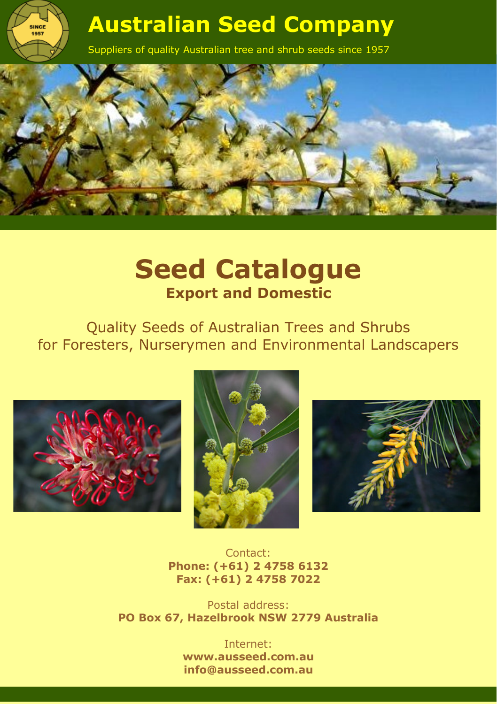

Suppliers of quality Australian tree and shrub seeds since 1957



# **Seed Catalogue Export and Domestic**

Quality Seeds of Australian Trees and Shrubs for Foresters, Nurserymen and Environmental Landscapers



**SINCE**<br>1957





Contact: **Phone: (+61) 2 4758 6132 Fax: (+61) 2 4758 7022**

Postal address: **PO Box 67, Hazelbrook NSW 2779 Australia**

> Internet: **[www.ausseed.com.au](http://www.ausseed.com.au/) info@ausseed.com.au**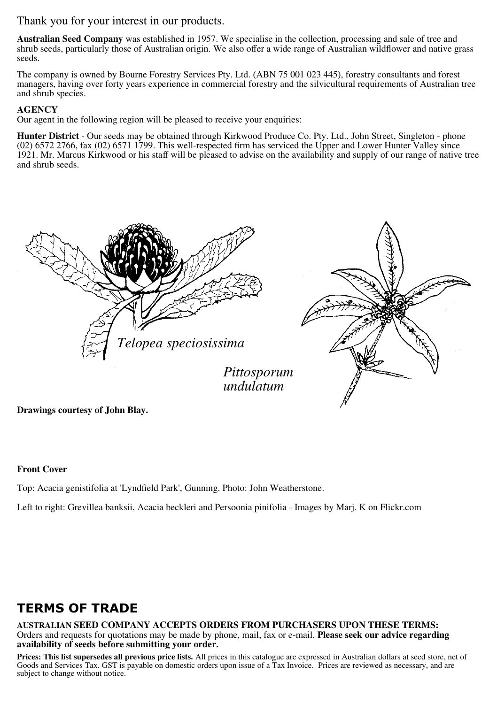Thank you for your interest in our products.

**Australian Seed Company** was established in 1957. We specialise in the collection, processing and sale of tree and shrub seeds, particularly those of Australian origin. We also offer a wide range of Australian wildflower and native grass seeds.

The company is owned by Bourne Forestry Services Pty. Ltd. (ABN 75 001 023 445), forestry consultants and forest managers, having over forty years experience in commercial forestry and the silvicultural requirements of Australian tree and shrub species.

#### **AGENCY**

Our agent in the following region will be pleased to receive your enquiries:

**Hunter District** - Our seeds may be obtained through Kirkwood Produce Co. Pty. Ltd., John Street, Singleton - phone (02) 6572 2766, fax (02) 6571 1799. This well-respected firm has serviced the Upper and Lower Hunter Valley since 1921. Mr. Marcus Kirkwood or his staff will be pleased to advise on the availability and supply of our range of native tree and shrub seeds.



**Drawings courtesy of John Blay.** 

#### **Front Cover**

Top: Acacia genistifolia at 'Lyndfield Park', Gunning. Photo: John Weatherstone.

Left to right: Grevillea banksii, Acacia beckleri and Persoonia pinifolia - Images by Marj. K on Flickr.com

# **TERMS OF TRADE**

**AUSTRALIAN SEED COMPANY ACCEPTS ORDERS FROM PURCHASERS UPON THESE TERMS:** Orders and requests for quotations may be made by phone, mail, fax or e-mail. **Please seek our advice regarding availability of seeds before submitting your order.** 

**Prices: This list supersedes all previous price lists.** All prices in this catalogue are expressed in Australian dollars at seed store, net of Goods and Services Tax. GST is payable on domestic orders upon issue of a Tax Invoice. Prices are reviewed as necessary, and are subject to change without notice.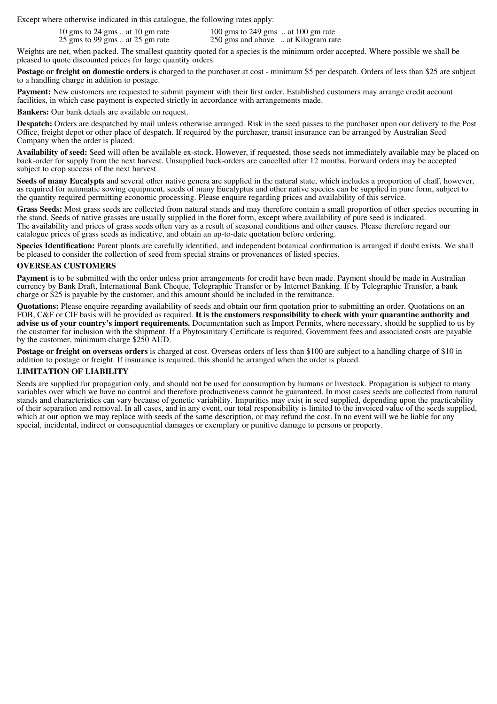Except where otherwise indicated in this catalogue, the following rates apply:

10 gms to 24 gms .. at 10 gm rate 100 gms to 249 gms .. at 100 gm rate 25 gms to 99 gms .. at 25 gm rate 250 gms and above .. at Kilogram rate 250 gms and above ... at Kilogram rate

Weights are net, when packed. The smallest quantity quoted for a species is the minimum order accepted. Where possible we shall be pleased to quote discounted prices for large quantity orders.

**Postage or freight on domestic orders** is charged to the purchaser at cost - minimum \$5 per despatch. Orders of less than \$25 are subject to a handling charge in addition to postage.

Payment: New customers are requested to submit payment with their first order. Established customers may arrange credit account facilities, in which case payment is expected strictly in accordance with arrangements made.

**Bankers:** Our bank details are available on request.

**Despatch:** Orders are despatched by mail unless otherwise arranged. Risk in the seed passes to the purchaser upon our delivery to the Post Office, freight depot or other place of despatch. If required by the purchaser, transit insurance can be arranged by Australian Seed Company when the order is placed.

**Availability of seed:** Seed will often be available ex-stock. However, if requested, those seeds not immediately available may be placed on back-order for supply from the next harvest. Unsupplied back-orders are cancelled after 12 months. Forward orders may be accepted subject to crop success of the next harvest.

Seeds of many Eucalypts and several other native genera are supplied in the natural state, which includes a proportion of chaff, however, as required for automatic sowing equipment, seeds of many Eucalyptus and other native species can be supplied in pure form, subject to the quantity required permitting economic processing. Please enquire regarding prices and availability of this service.

**Grass Seeds:** Most grass seeds are collected from natural stands and may therefore contain a small proportion of other species occurring in the stand. Seeds of native grasses are usually supplied in the floret form, except where availability of pure seed is indicated. The availability and prices of grass seeds often vary as a result of seasonal conditions and other causes. Please therefore regard our catalogue prices of grass seeds as indicative, and obtain an up-to-date quotation before ordering.

**Species Identification:** Parent plants are carefully identified, and independent botanical confirmation is arranged if doubt exists. We shall be pleased to consider the collection of seed from special strains or provenances of listed species.

#### **OVERSEAS CUSTOMERS**

**Payment** is to be submitted with the order unless prior arrangements for credit have been made. Payment should be made in Australian currency by Bank Draft, International Bank Cheque, Telegraphic Transfer or by Internet Banking. If by Telegraphic Transfer, a bank charge or \$25 is payable by the customer, and this amount should be included in the remittance.

**Quotations:** Please enquire regarding availability of seeds and obtain our firm quotation prior to submitting an order. Quotations on an FOB, C&F or CIF basis will be provided as required. It is the customers responsibility to check with your quarantine authority and<br>advise us of your country's import requirements. Documentation such as Import Permits, wher the customer for inclusion with the shipment. If a Phytosanitary Certificate is required, Government fees and associated costs are payable by the customer, minimum charge \$250 AUD.

**Postage or freight on overseas orders** is charged at cost. Overseas orders of less than \$100 are subject to a handling charge of \$10 in addition to postage or freight. If insurance is required, this should be arranged when the order is placed.

#### **LIMITATION OF LIABILITY**

Seeds are supplied for propagation only, and should not be used for consumption by humans or livestock. Propagation is subject to many variables over which we have no control and therefore productiveness cannot be guaranteed. In most cases seeds are collected from natural stands and characteristics can vary because of genetic variability. Impurities may exist in seed supplied, depending upon the practicability of their separation and removal. In all cases, and in any event, our total responsibility is limited to the invoiced value of the seeds supplied, which at our option we may replace with seeds of the same description, or may refund the cost. In no event will we be liable for any special, incidental, indirect or consequential damages or exemplary or punitive damage to persons or property.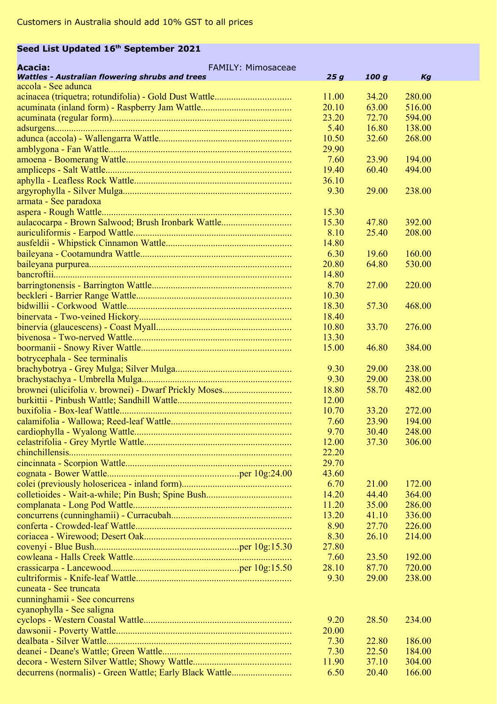## **Seed List Updated 16th September 2021**

| Acacia:<br>FAMILY: Mimosaceae                           |       |       |        |
|---------------------------------------------------------|-------|-------|--------|
| <b>Wattles - Australian flowering shrubs and trees</b>  | 25g   | 100 g | Kg     |
| accola - See adunca                                     |       |       |        |
|                                                         | 11.00 | 34.20 | 280.00 |
|                                                         | 20.10 | 63.00 | 516.00 |
|                                                         | 23.20 | 72.70 | 594.00 |
|                                                         | 5.40  | 16.80 | 138.00 |
|                                                         | 10.50 | 32.60 | 268.00 |
|                                                         | 29.90 |       |        |
|                                                         | 7.60  | 23.90 | 194.00 |
|                                                         | 19.40 | 60.40 | 494.00 |
|                                                         | 36.10 |       |        |
|                                                         | 9.30  | 29.00 | 238.00 |
| armata - See paradoxa                                   |       |       |        |
|                                                         | 15.30 |       |        |
| aulacocarpa - Brown Salwood; Brush Ironbark Wattle      | 15.30 | 47.80 | 392.00 |
|                                                         | 8.10  | 25.40 | 208.00 |
|                                                         | 14.80 |       |        |
|                                                         | 6.30  | 19.60 | 160.00 |
|                                                         | 20.80 | 64.80 | 530.00 |
|                                                         | 14.80 |       |        |
|                                                         | 8.70  | 27.00 | 220.00 |
|                                                         | 10.30 |       |        |
|                                                         | 18.30 | 57.30 | 468.00 |
|                                                         | 18.40 |       |        |
|                                                         | 10.80 | 33.70 | 276.00 |
|                                                         | 13.30 |       |        |
|                                                         | 15.00 | 46.80 | 384.00 |
| botrycephala - See terminalis                           |       |       |        |
|                                                         | 9.30  | 29.00 | 238.00 |
|                                                         | 9.30  | 29.00 | 238.00 |
|                                                         | 18.80 | 58.70 | 482.00 |
|                                                         | 12.00 |       |        |
|                                                         | 10.70 | 33.20 | 272.00 |
|                                                         | 7.60  | 23.90 | 194.00 |
|                                                         | 9.70  | 30.40 | 248.00 |
|                                                         | 12.00 | 37.30 | 306.00 |
|                                                         | 22.20 |       |        |
|                                                         | 29.70 |       |        |
|                                                         | 43.60 |       |        |
|                                                         | 6.70  | 21.00 | 172.00 |
|                                                         | 14.20 | 44.40 | 364.00 |
|                                                         | 11.20 | 35.00 | 286.00 |
|                                                         | 13.20 | 41.10 | 336.00 |
|                                                         | 8.90  | 27.70 | 226.00 |
|                                                         | 8.30  | 26.10 | 214.00 |
|                                                         | 27.80 |       |        |
|                                                         | 7.60  | 23.50 | 192.00 |
|                                                         | 28.10 | 87.70 | 720.00 |
|                                                         | 9.30  | 29.00 | 238.00 |
| cuneata - See truncata                                  |       |       |        |
| cunninghamii - See concurrens                           |       |       |        |
| cyanophylla - See saligna                               |       |       |        |
|                                                         | 9.20  | 28.50 | 234.00 |
|                                                         | 20.00 |       |        |
|                                                         | 7.30  | 22.80 | 186.00 |
|                                                         | 7.30  | 22.50 | 184.00 |
|                                                         | 11.90 | 37.10 | 304.00 |
| decurrens (normalis) - Green Wattle; Early Black Wattle | 6.50  | 20.40 | 166.00 |
|                                                         |       |       |        |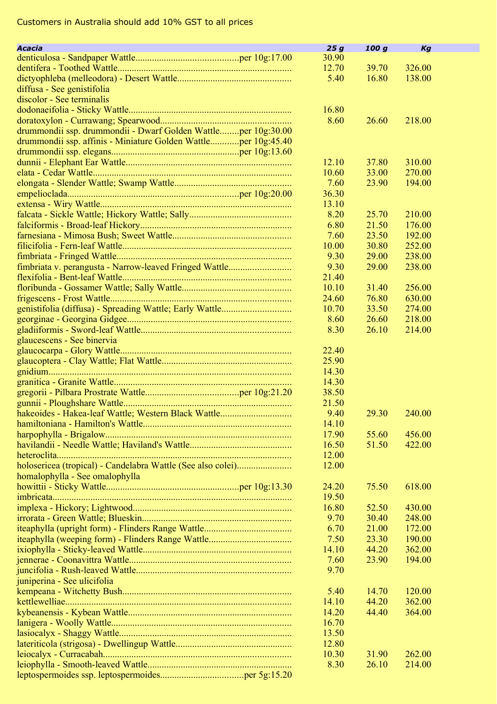| Acacia                                                         | 25g   | 100 g | Kg     |  |
|----------------------------------------------------------------|-------|-------|--------|--|
|                                                                | 30.90 |       |        |  |
|                                                                | 12.70 | 39.70 | 326.00 |  |
|                                                                | 5.40  | 16.80 | 138.00 |  |
| diffusa - See genistifolia                                     |       |       |        |  |
| discolor - See terminalis                                      |       |       |        |  |
|                                                                | 16.80 |       |        |  |
|                                                                |       | 26.60 |        |  |
|                                                                | 8.60  |       | 218.00 |  |
| drummondii ssp. drummondii - Dwarf Golden Wattleper 10g:30.00  |       |       |        |  |
| drummondii ssp. affinis - Miniature Golden Wattleper 10g:45.40 |       |       |        |  |
|                                                                |       |       |        |  |
|                                                                | 12.10 | 37.80 | 310.00 |  |
|                                                                | 10.60 | 33.00 | 270.00 |  |
|                                                                | 7.60  | 23.90 | 194.00 |  |
|                                                                | 36.30 |       |        |  |
|                                                                | 13.10 |       |        |  |
|                                                                | 8.20  | 25.70 | 210.00 |  |
|                                                                | 6.80  | 21.50 | 176.00 |  |
|                                                                | 7.60  | 23.50 | 192.00 |  |
|                                                                | 10.00 | 30.80 | 252.00 |  |
|                                                                | 9.30  | 29.00 | 238.00 |  |
| fimbriata v. perangusta - Narrow-leaved Fringed Wattle         | 9.30  | 29.00 | 238.00 |  |
|                                                                | 21.40 |       |        |  |
|                                                                | 10.10 | 31.40 | 256.00 |  |
|                                                                | 24.60 |       |        |  |
|                                                                |       | 76.80 | 630.00 |  |
|                                                                | 10.70 | 33.50 | 274.00 |  |
|                                                                | 8.60  | 26.60 | 218.00 |  |
|                                                                | 8.30  | 26.10 | 214.00 |  |
| glaucescens - See binervia                                     |       |       |        |  |
|                                                                | 22.40 |       |        |  |
|                                                                | 25.90 |       |        |  |
|                                                                | 14.30 |       |        |  |
|                                                                | 14.30 |       |        |  |
|                                                                | 38.50 |       |        |  |
|                                                                | 21.50 |       |        |  |
| hakeoides - Hakea-leaf Wattle; Western Black Wattle            | 9.40  | 29.30 | 240.00 |  |
|                                                                | 14.10 |       |        |  |
|                                                                | 17.90 | 55.60 | 456.00 |  |
|                                                                | 16.50 | 51.50 | 422.00 |  |
|                                                                | 12.00 |       |        |  |
|                                                                | 12.00 |       |        |  |
|                                                                |       |       |        |  |
| homalophylla - See omalophylla                                 |       |       |        |  |
|                                                                | 24.20 | 75.50 | 618.00 |  |
|                                                                | 19.50 |       |        |  |
|                                                                | 16.80 | 52.50 | 430.00 |  |
|                                                                | 9.70  | 30.40 | 248.00 |  |
|                                                                | 6.70  | 21.00 | 172.00 |  |
|                                                                | 7.50  | 23.30 | 190.00 |  |
|                                                                | 14.10 | 44.20 | 362.00 |  |
|                                                                | 7.60  | 23.90 | 194.00 |  |
|                                                                | 9.70  |       |        |  |
| juniperina - See ulicifolia                                    |       |       |        |  |
|                                                                | 5.40  | 14.70 | 120.00 |  |
|                                                                | 14.10 | 44.20 | 362.00 |  |
|                                                                | 14.20 | 44.40 | 364.00 |  |
|                                                                | 16.70 |       |        |  |
|                                                                | 13.50 |       |        |  |
|                                                                |       |       |        |  |
|                                                                | 12.80 |       |        |  |
|                                                                | 10.30 | 31.90 | 262.00 |  |
|                                                                | 8.30  | 26.10 | 214.00 |  |
|                                                                |       |       |        |  |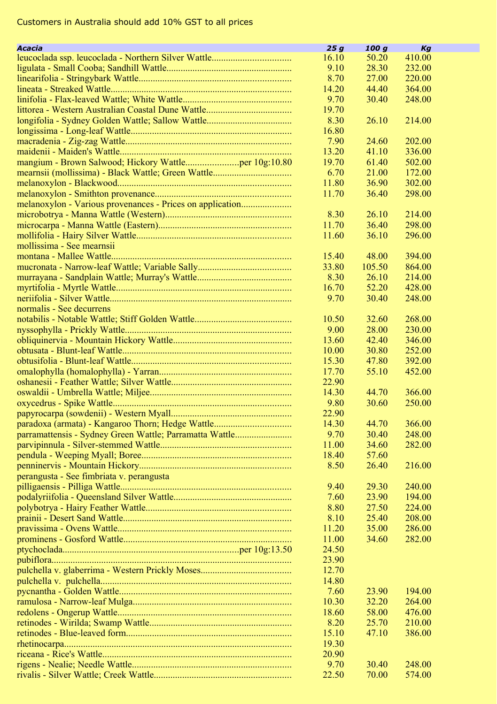| Acacia                                                    | 25g   | 100g           | Kg     |  |
|-----------------------------------------------------------|-------|----------------|--------|--|
|                                                           | 16.10 | 50.20          | 410.00 |  |
|                                                           | 9.10  | 28.30          | 232.00 |  |
|                                                           | 8.70  | 27.00          | 220.00 |  |
|                                                           | 14.20 | 44.40          | 364.00 |  |
|                                                           | 9.70  | 30.40          | 248.00 |  |
|                                                           | 19.70 |                |        |  |
|                                                           | 8.30  | 26.10          | 214.00 |  |
|                                                           | 16.80 |                |        |  |
|                                                           | 7.90  | 24.60          | 202.00 |  |
|                                                           | 13.20 | 41.10          | 336.00 |  |
|                                                           | 19.70 | 61.40          | 502.00 |  |
|                                                           | 6.70  | 21.00          | 172.00 |  |
|                                                           | 11.80 | 36.90          | 302.00 |  |
|                                                           | 11.70 | 36.40          | 298.00 |  |
| melanoxylon - Various provenances - Prices on application |       |                |        |  |
|                                                           | 8.30  | 26.10          | 214.00 |  |
|                                                           | 11.70 | 36.40          | 298.00 |  |
|                                                           | 11.60 | 36.10          | 296.00 |  |
| mollissima - See mearnsii                                 |       |                |        |  |
|                                                           | 15.40 | 48.00          | 394.00 |  |
|                                                           | 33.80 | 105.50         | 864.00 |  |
|                                                           | 8.30  | 26.10          | 214.00 |  |
|                                                           | 16.70 | 52.20          | 428.00 |  |
|                                                           | 9.70  | 30.40          | 248.00 |  |
| normalis - See decurrens                                  |       |                |        |  |
|                                                           | 10.50 | 32.60          | 268.00 |  |
|                                                           | 9.00  | 28.00          | 230.00 |  |
|                                                           | 13.60 | 42.40          | 346.00 |  |
|                                                           | 10.00 | 30.80          | 252.00 |  |
|                                                           | 15.30 | 47.80          | 392.00 |  |
|                                                           | 17.70 | 55.10          | 452.00 |  |
|                                                           | 22.90 |                |        |  |
|                                                           | 14.30 | 44.70          | 366.00 |  |
|                                                           |       |                |        |  |
|                                                           | 9.80  | 30.60          | 250.00 |  |
|                                                           | 22.90 |                |        |  |
| paradoxa (armata) - Kangaroo Thorn; Hedge Wattle          | 14.30 | 44.70          | 366.00 |  |
| parramattensis - Sydney Green Wattle; Parramatta Wattle   | 9.70  | 30.40<br>34.60 | 248.00 |  |
|                                                           | 11.00 |                | 282.00 |  |
|                                                           | 18.40 | 57.60          | 216.00 |  |
|                                                           | 8.50  | 26.40          |        |  |
| perangusta - See fimbriata v. perangusta                  |       |                |        |  |
|                                                           | 9.40  | 29.30          | 240.00 |  |
|                                                           | 7.60  | 23.90          | 194.00 |  |
|                                                           | 8.80  | 27.50          | 224.00 |  |
|                                                           | 8.10  | 25.40          | 208.00 |  |
|                                                           | 11.20 | 35.00          | 286.00 |  |
|                                                           | 11.00 | 34.60          | 282.00 |  |
|                                                           | 24.50 |                |        |  |
|                                                           | 23.90 |                |        |  |
|                                                           | 12.70 |                |        |  |
|                                                           | 14.80 |                |        |  |
|                                                           | 7.60  | 23.90          | 194.00 |  |
|                                                           | 10.30 | 32.20          | 264.00 |  |
|                                                           | 18.60 | 58.00          | 476.00 |  |
|                                                           | 8.20  | 25.70          | 210.00 |  |
|                                                           | 15.10 | 47.10          | 386.00 |  |
|                                                           | 19.30 |                |        |  |
|                                                           | 20.90 |                |        |  |
|                                                           | 9.70  | 30.40          | 248.00 |  |
|                                                           | 22.50 | 70.00          | 574.00 |  |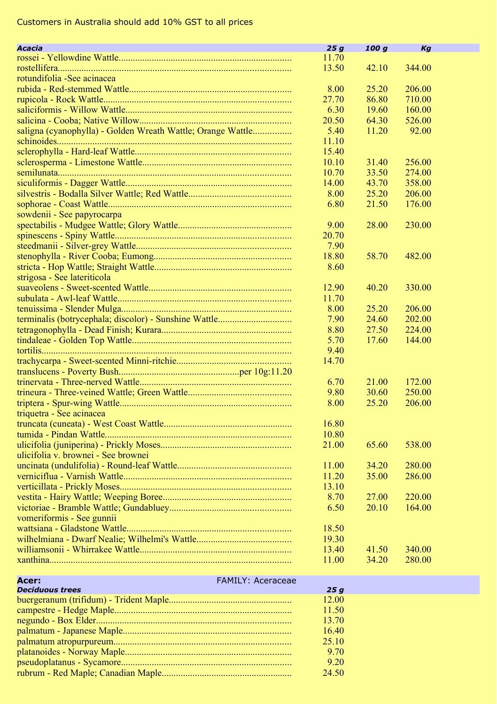| Acacia                                                      | 25g   | 100 g | Kg     |
|-------------------------------------------------------------|-------|-------|--------|
|                                                             | 11.70 |       |        |
|                                                             | 13.50 | 42.10 | 344.00 |
| rotundifolia - See acinacea                                 |       |       |        |
|                                                             | 8.00  | 25.20 | 206.00 |
|                                                             | 27.70 | 86.80 | 710.00 |
|                                                             | 6.30  | 19.60 | 160.00 |
|                                                             | 20.50 | 64.30 | 526.00 |
| saligna (cyanophylla) - Golden Wreath Wattle; Orange Wattle | 5.40  | 11.20 | 92.00  |
|                                                             | 11.10 |       |        |
|                                                             | 15.40 |       |        |
|                                                             | 10.10 | 31.40 | 256.00 |
|                                                             | 10.70 | 33.50 | 274.00 |
|                                                             | 14.00 | 43.70 | 358.00 |
|                                                             | 8.00  | 25.20 | 206.00 |
|                                                             | 6.80  | 21.50 | 176.00 |
| sowdenii - See papyrocarpa                                  |       |       |        |
|                                                             | 9.00  | 28.00 | 230.00 |
|                                                             | 20.70 |       |        |
|                                                             | 7.90  |       |        |
|                                                             | 18.80 | 58.70 | 482.00 |
|                                                             | 8.60  |       |        |
| strigosa - See lateriticola                                 |       |       |        |
|                                                             | 12.90 | 40.20 | 330.00 |
|                                                             | 11.70 |       |        |
|                                                             | 8.00  | 25.20 | 206.00 |
| terminalis (botrycephala; discolor) - Sunshine Wattle       | 7.90  | 24.60 | 202.00 |
|                                                             | 8.80  | 27.50 | 224.00 |
|                                                             | 5.70  | 17.60 | 144.00 |
|                                                             | 9.40  |       |        |
|                                                             | 14.70 |       |        |
|                                                             |       |       |        |
|                                                             | 6.70  | 21.00 | 172.00 |
|                                                             | 9.80  | 30.60 | 250.00 |
|                                                             | 8.00  | 25.20 | 206.00 |
|                                                             |       |       |        |
| triquetra - See acinacea                                    | 16.80 |       |        |
|                                                             |       |       |        |
|                                                             | 10.80 |       |        |
|                                                             | 21.00 | 65.60 | 538.00 |
| ulicifolia v. brownei - See brownei                         |       |       |        |
|                                                             | 11.00 | 34.20 | 280.00 |
|                                                             | 11.20 | 35.00 | 286.00 |
|                                                             | 13.10 |       |        |
|                                                             | 8.70  | 27.00 | 220.00 |
|                                                             | 6.50  | 20.10 | 164.00 |
| vomeriformis - See gunnii                                   |       |       |        |
|                                                             | 18.50 |       |        |
|                                                             | 19.30 |       |        |
|                                                             | 13.40 | 41.50 | 340.00 |
|                                                             | 11.00 | 34.20 | 280.00 |
| <b>FAMILY: Aceraceae</b><br>Acer:                           |       |       |        |
| <b>Deciduous trees</b>                                      | 25g   |       |        |
|                                                             | 12.00 |       |        |
|                                                             | 11.50 |       |        |
|                                                             | 13.70 |       |        |
|                                                             | 16.40 |       |        |
|                                                             | 25.10 |       |        |
|                                                             | 9.70  |       |        |

pseudoplatanus - Sycamore........................................................................ 9.20 rubrum - Red Maple; Canadian Maple....................................................... 24.50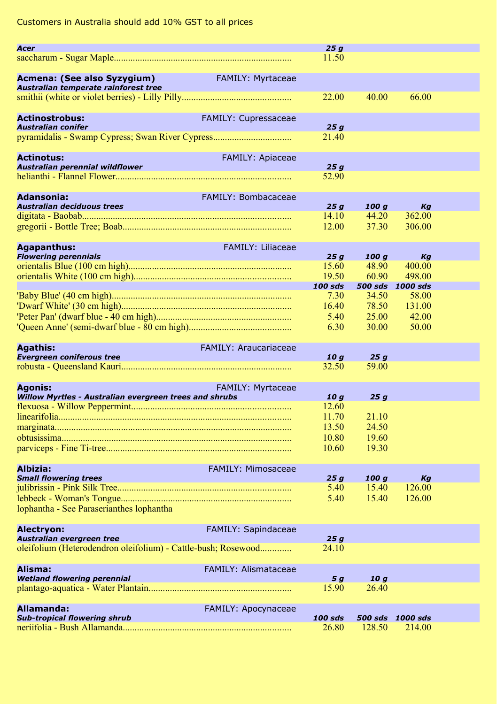|                                                               |                             | 25g                      |              |                            |  |
|---------------------------------------------------------------|-----------------------------|--------------------------|--------------|----------------------------|--|
| Acer                                                          |                             | 11.50                    |              |                            |  |
|                                                               |                             |                          |              |                            |  |
| Acmena: (See also Syzygium)                                   | FAMILY: Myrtaceae           |                          |              |                            |  |
| Australian temperate rainforest tree                          |                             |                          |              |                            |  |
|                                                               |                             | 22.00                    | 40.00        | 66.00                      |  |
|                                                               |                             |                          |              |                            |  |
| <b>Actinostrobus:</b>                                         | FAMILY: Cupressaceae        |                          |              |                            |  |
| <b>Australian conifer</b>                                     |                             | 25q                      |              |                            |  |
| pyramidalis - Swamp Cypress; Swan River Cypress               |                             | 21.40                    |              |                            |  |
|                                                               |                             |                          |              |                            |  |
| <b>Actinotus:</b>                                             | <b>FAMILY: Apiaceae</b>     |                          |              |                            |  |
| Australian perennial wildflower                               |                             | 25g                      |              |                            |  |
|                                                               |                             | 52.90                    |              |                            |  |
|                                                               |                             |                          |              |                            |  |
| <b>Adansonia:</b>                                             | FAMILY: Bombacaceae         |                          |              |                            |  |
| Australian deciduous trees                                    |                             | 25g                      | 100q         | Kg                         |  |
|                                                               |                             | 14.10                    | 44.20        | 362.00                     |  |
|                                                               |                             | 12.00                    | 37.30        | 306.00                     |  |
|                                                               |                             |                          |              |                            |  |
| <b>Agapanthus:</b>                                            | FAMILY: Liliaceae           |                          |              |                            |  |
| <b>Flowering perennials</b>                                   |                             | 25g                      | 100q         | Kg                         |  |
|                                                               |                             | 15.60                    | 48.90        | 400.00                     |  |
|                                                               |                             | 19.50                    | 60.90        | 498.00                     |  |
|                                                               |                             | <b>100 sds</b>           |              | 500 sds 1000 sds           |  |
|                                                               |                             | 7.30                     | 34.50        | 58.00                      |  |
|                                                               |                             | 16.40                    | 78.50        | 131.00                     |  |
|                                                               |                             | 5.40                     | 25.00        | 42.00                      |  |
|                                                               |                             | 6.30                     | 30.00        | 50.00                      |  |
|                                                               |                             |                          |              |                            |  |
| <b>Agathis:</b>                                               | FAMILY: Araucariaceae       |                          |              |                            |  |
| <b>Evergreen coniferous tree</b>                              |                             | 10 <sub>g</sub><br>32.50 | 25g<br>59.00 |                            |  |
|                                                               |                             |                          |              |                            |  |
|                                                               |                             |                          |              |                            |  |
|                                                               |                             |                          |              |                            |  |
| <b>Agonis:</b>                                                | FAMILY: Myrtaceae           |                          |              |                            |  |
| Willow Myrtles - Australian evergreen trees and shrubs        |                             | 10g                      | 25g          |                            |  |
|                                                               |                             | 12.60                    |              |                            |  |
|                                                               |                             | 11.70                    | 21.10        |                            |  |
|                                                               |                             | 13.50                    | 24.50        |                            |  |
|                                                               |                             | 10.80                    | 19.60        |                            |  |
|                                                               |                             | 10.60                    | 19.30        |                            |  |
|                                                               |                             |                          |              |                            |  |
| Albizia:                                                      | FAMILY: Mimosaceae          |                          |              |                            |  |
| <b>Small flowering trees</b>                                  |                             | 25g                      | 100g         | Kg                         |  |
|                                                               |                             | 5.40                     | 15.40        | 126.00                     |  |
|                                                               |                             | 5.40                     | 15.40        | 126.00                     |  |
| lophantha - See Paraserianthes lophantha                      |                             |                          |              |                            |  |
|                                                               |                             |                          |              |                            |  |
| Alectryon:<br>Australian evergreen tree                       | FAMILY: Sapindaceae         | 25g                      |              |                            |  |
|                                                               |                             | 24.10                    |              |                            |  |
| oleifolium (Heterodendron oleifolium) - Cattle-bush; Rosewood |                             |                          |              |                            |  |
| Alisma:                                                       | <b>FAMILY: Alismataceae</b> |                          |              |                            |  |
| <b>Wetland flowering perennial</b>                            |                             | 5 g                      | 10q          |                            |  |
|                                                               |                             | 15.90                    | 26.40        |                            |  |
|                                                               |                             |                          |              |                            |  |
| Allamanda:                                                    | FAMILY: Apocynaceae         |                          |              |                            |  |
| <b>Sub-tropical flowering shrub</b>                           |                             | 100 sds<br>26.80         | 128.50       | 500 sds 1000 sds<br>214.00 |  |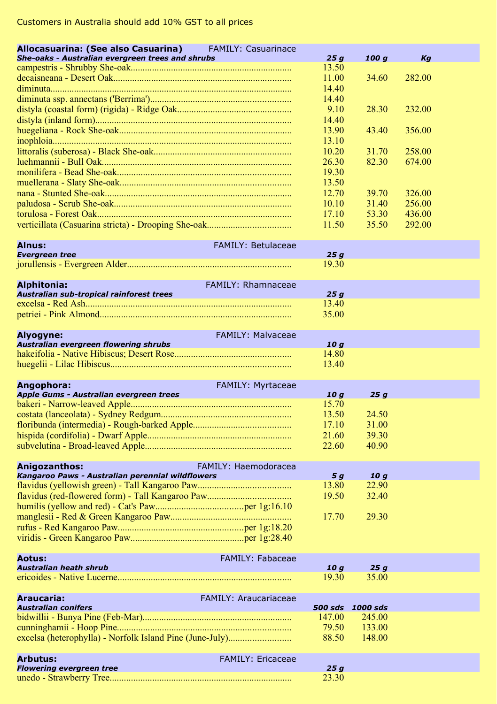| Allocasuarina: (See also Casuarina) FAMILY: Casuarinace  |                              |                  |                          |                  |  |
|----------------------------------------------------------|------------------------------|------------------|--------------------------|------------------|--|
| She-oaks - Australian evergreen trees and shrubs         |                              | 25 g             | 100 g                    | Кg               |  |
|                                                          |                              | 13.50            |                          |                  |  |
|                                                          |                              | 11.00            | 34.60                    | 282.00           |  |
|                                                          |                              | 14.40            |                          |                  |  |
|                                                          |                              | 14.40            |                          |                  |  |
|                                                          |                              | 9.10             | 28.30                    | 232.00           |  |
|                                                          |                              | 14.40            |                          |                  |  |
|                                                          |                              | 13.90            | 43.40                    | 356.00           |  |
|                                                          |                              | 13.10            |                          |                  |  |
|                                                          |                              | 10.20<br>26.30   | 31.70<br>82.30           | 258.00<br>674.00 |  |
|                                                          |                              | 19.30            |                          |                  |  |
|                                                          |                              | 13.50            |                          |                  |  |
|                                                          |                              | 12.70            | 39.70                    | 326.00           |  |
|                                                          |                              | 10.10            | 31.40                    | 256.00           |  |
|                                                          |                              | 17.10            | 53.30                    | 436.00           |  |
|                                                          |                              | 11.50            | 35.50                    | 292.00           |  |
|                                                          |                              |                  |                          |                  |  |
| Alnus:                                                   | <b>FAMILY: Betulaceae</b>    |                  |                          |                  |  |
| <b>Evergreen tree</b>                                    |                              | 25g              |                          |                  |  |
|                                                          |                              | 19.30            |                          |                  |  |
| <b>Alphitonia:</b>                                       | <b>FAMILY: Rhamnaceae</b>    |                  |                          |                  |  |
| Australian sub-tropical rainforest trees                 |                              | 25g              |                          |                  |  |
|                                                          |                              | 13.40            |                          |                  |  |
|                                                          |                              | 35.00            |                          |                  |  |
|                                                          |                              |                  |                          |                  |  |
| Alyogyne:                                                | FAMILY: Malvaceae            |                  |                          |                  |  |
| Australian evergreen flowering shrubs                    |                              | 10 g             |                          |                  |  |
|                                                          |                              | 14.80            |                          |                  |  |
|                                                          |                              | 13.40            |                          |                  |  |
| Angophora:                                               | FAMILY: Myrtaceae            |                  |                          |                  |  |
| Apple Gums - Australian evergreen trees                  |                              | 10g              | 25g                      |                  |  |
|                                                          |                              | 15.70            |                          |                  |  |
|                                                          |                              | 13.50            | 24.50                    |                  |  |
|                                                          |                              | 17.10            | 31.00                    |                  |  |
|                                                          |                              | 21.60            | 39.30                    |                  |  |
|                                                          |                              | 22.60            | 40.90                    |                  |  |
|                                                          |                              |                  |                          |                  |  |
| Anigozanthos:                                            | FAMILY: Haemodoracea         |                  |                          |                  |  |
| Kangaroo Paws - Australian perennial wildflowers         |                              | 5 g<br>13.80     | 10 <sub>g</sub><br>22.90 |                  |  |
|                                                          |                              | 19.50            | 32.40                    |                  |  |
|                                                          |                              |                  |                          |                  |  |
|                                                          |                              | 17.70            | 29.30                    |                  |  |
|                                                          |                              |                  |                          |                  |  |
|                                                          |                              |                  |                          |                  |  |
|                                                          |                              |                  |                          |                  |  |
| Aotus:                                                   | <b>FAMILY: Fabaceae</b>      |                  |                          |                  |  |
| <b>Australian heath shrub</b>                            |                              | 10 g             | 25g                      |                  |  |
|                                                          |                              | 19.30            | 35.00                    |                  |  |
| Araucaria:                                               | <b>FAMILY: Araucariaceae</b> |                  |                          |                  |  |
| <b>Australian conifers</b>                               |                              | 500 sds 1000 sds |                          |                  |  |
|                                                          |                              | 147.00           | 245.00                   |                  |  |
|                                                          |                              | 79.50            | 133.00                   |                  |  |
| excelsa (heterophylla) - Norfolk Island Pine (June-July) |                              | 88.50            | 148.00                   |                  |  |
|                                                          |                              |                  |                          |                  |  |
| <b>Arbutus:</b>                                          | <b>FAMILY: Ericaceae</b>     |                  |                          |                  |  |
| <b>Flowering evergreen tree</b>                          |                              | 25g              |                          |                  |  |
|                                                          |                              | 23.30            |                          |                  |  |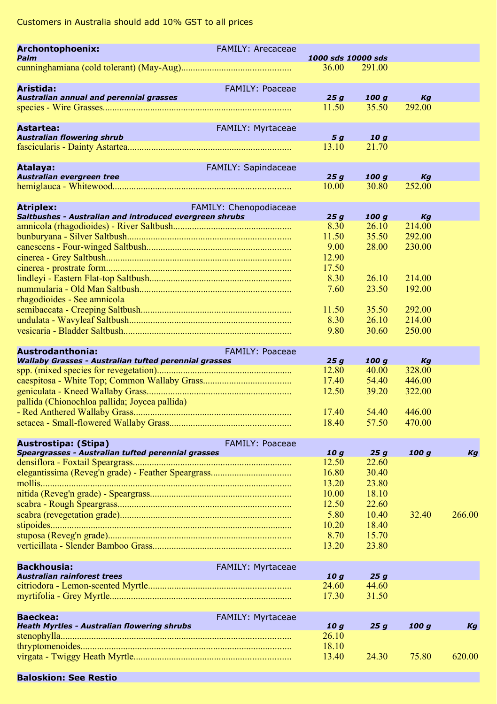| Archontophoenix:<br>Palm                                              | <b>FAMILY: Arecaceae</b> | 1000 sds 10000 sds |                 |                  |        |
|-----------------------------------------------------------------------|--------------------------|--------------------|-----------------|------------------|--------|
|                                                                       |                          | 36.00              | 291.00          |                  |        |
|                                                                       |                          |                    |                 |                  |        |
| Aristida:                                                             | <b>FAMILY: Poaceae</b>   |                    |                 |                  |        |
| Australian annual and perennial grasses                               |                          | 25g                | 100g            | Kg               |        |
|                                                                       |                          | 11.50              | 35.50           | 292.00           |        |
|                                                                       |                          |                    |                 |                  |        |
| <b>Astartea:</b><br><b>Australian flowering shrub</b>                 | FAMILY: Myrtaceae        | 5 g                | 10 <sub>g</sub> |                  |        |
|                                                                       |                          | 13.10              | 21.70           |                  |        |
|                                                                       |                          |                    |                 |                  |        |
| Atalaya:                                                              | FAMILY: Sapindaceae      |                    |                 |                  |        |
| Australian evergreen tree                                             |                          | 25g                | 100q            | Kg               |        |
|                                                                       |                          | 10.00              | 30.80           | 252.00           |        |
| <b>Atriplex:</b>                                                      | FAMILY: Chenopodiaceae   |                    |                 |                  |        |
| Saltbushes - Australian and introduced evergreen shrubs               |                          | 25g                | 100q            | Kg               |        |
|                                                                       |                          | 8.30               | 26.10           | 214.00           |        |
|                                                                       |                          | 11.50              | 35.50           | 292.00           |        |
|                                                                       |                          | 9.00               | 28.00           | 230.00           |        |
|                                                                       |                          | 12.90              |                 |                  |        |
|                                                                       |                          | 17.50              |                 |                  |        |
|                                                                       |                          | 8.30               | 26.10           | 214.00           |        |
|                                                                       |                          | 7.60               | 23.50           | 192.00           |        |
| rhagodioides - See amnicola                                           |                          |                    |                 |                  |        |
|                                                                       |                          | 11.50              | 35.50<br>26.10  | 292.00           |        |
|                                                                       |                          | 8.30<br>9.80       | 30.60           | 214.00<br>250.00 |        |
|                                                                       |                          |                    |                 |                  |        |
| <b>Austrodanthonia:</b>                                               | <b>FAMILY: Poaceae</b>   |                    |                 |                  |        |
| <b>Wallaby Grasses - Australian tufted perennial grasses</b>          |                          | 25g                | 100q            | Кą               |        |
|                                                                       |                          | 12.80              | 40.00           | 328.00           |        |
|                                                                       |                          | 17.40              | 54.40           | 446.00           |        |
|                                                                       |                          | 12.50              | 39.20           | 322.00           |        |
| pallida (Chionochloa pallida; Joycea pallida)                         |                          |                    |                 |                  |        |
|                                                                       |                          | 17.40              | 54.40           | 446.00           |        |
|                                                                       |                          | 18.40              | 57.50           | 470.00           |        |
| Austrostipa: (Stipa)                                                  | <b>FAMILY: Poaceae</b>   |                    |                 |                  |        |
| Speargrasses - Australian tufted perennial grasses                    |                          | 10g                | 25g             | 100 g            | Kg     |
|                                                                       |                          | 12.50              | 22.60           |                  |        |
|                                                                       |                          | 16.80              | 30.40           |                  |        |
|                                                                       |                          | 13.20              | 23.80           |                  |        |
|                                                                       |                          | 10.00              | 18.10           |                  |        |
|                                                                       |                          | 12.50              | 22.60           |                  |        |
|                                                                       |                          | 5.80               | 10.40           | 32.40            | 266.00 |
|                                                                       |                          | 10.20<br>8.70      | 18.40<br>15.70  |                  |        |
|                                                                       |                          | 13.20              | 23.80           |                  |        |
|                                                                       |                          |                    |                 |                  |        |
| <b>Backhousia:</b>                                                    | FAMILY: Myrtaceae        |                    |                 |                  |        |
| Australian rainforest trees                                           |                          | 10 g               | 25g             |                  |        |
|                                                                       |                          | 24.60              | 44.60           |                  |        |
|                                                                       |                          | 17.30              | 31.50           |                  |        |
|                                                                       |                          |                    |                 |                  |        |
| <b>Baeckea:</b><br><b>Heath Myrtles - Australian flowering shrubs</b> | FAMILY: Myrtaceae        | 10g                | 25g             | 100 g            | Кg     |
|                                                                       |                          | 26.10              |                 |                  |        |
|                                                                       |                          | 18.10              |                 |                  |        |
|                                                                       |                          | 13.40              | 24.30           | 75.80            | 620.00 |
|                                                                       |                          |                    |                 |                  |        |

#### **Baloskion: See Restio**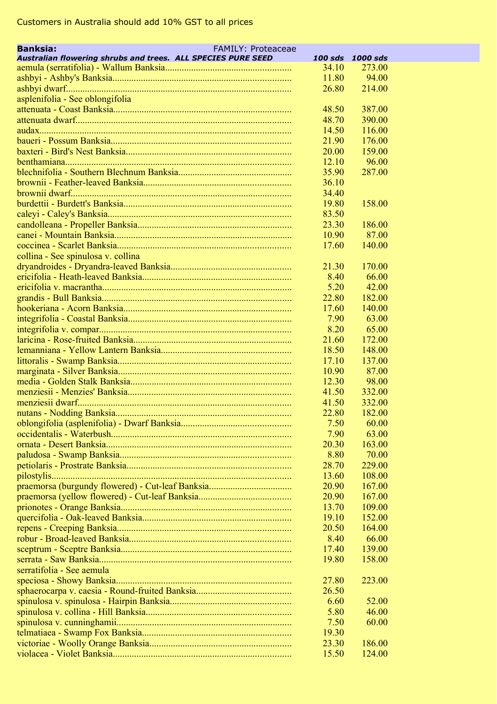| <b>Banksia:</b><br><b>FAMILY: Proteaceae</b>                 |                |                  |  |
|--------------------------------------------------------------|----------------|------------------|--|
| Australian flowering shrubs and trees. ALL SPECIES PURE SEED |                | 100 sds 1000 sds |  |
|                                                              | 34.10          | 273.00           |  |
|                                                              | 11.80          | 94.00            |  |
|                                                              | 26.80          | 214.00           |  |
| asplenifolia - See oblongifolia                              |                |                  |  |
|                                                              | 48.50          | 387.00           |  |
|                                                              | 48.70          | 390.00           |  |
|                                                              | 14.50          | 116.00           |  |
|                                                              | 21.90<br>20.00 | 176.00<br>159.00 |  |
|                                                              |                |                  |  |
|                                                              | 12.10          | 96.00            |  |
|                                                              | 35.90          | 287.00           |  |
|                                                              | 36.10<br>34.40 |                  |  |
|                                                              | 19.80          | 158.00           |  |
|                                                              | 83.50          |                  |  |
|                                                              | 23.30          |                  |  |
|                                                              | 10.90          | 186.00<br>87.00  |  |
|                                                              | 17.60          | 140.00           |  |
|                                                              |                |                  |  |
| collina - See spinulosa v. collina                           |                |                  |  |
|                                                              | 21.30          | 170.00           |  |
|                                                              | 8.40           | 66.00            |  |
|                                                              | 5.20           | 42.00            |  |
|                                                              | 22.80          | 182.00<br>140.00 |  |
|                                                              | 17.60          |                  |  |
|                                                              | 7.90           | 63.00            |  |
|                                                              | 8.20           | 65.00            |  |
|                                                              | 21.60          | 172.00           |  |
|                                                              | 18.50          | 148.00           |  |
|                                                              | 17.10          | 137.00           |  |
|                                                              | 10.90          | 87.00            |  |
|                                                              | 12.30          | 98.00            |  |
|                                                              | 41.50          | 332.00           |  |
|                                                              | 41.50          | 332.00           |  |
|                                                              | 22.80          | 182.00           |  |
|                                                              | 7.50           | 60.00            |  |
|                                                              | 7.90<br>20.30  | 63.00            |  |
|                                                              |                | 163.00           |  |
|                                                              | 8.80           | 70.00            |  |
|                                                              | 28.70          | 229.00           |  |
|                                                              | 13.60<br>20.90 | 108.00           |  |
|                                                              |                | 167.00           |  |
|                                                              | 20.90          | 167.00<br>109.00 |  |
|                                                              | 13.70          | 152.00           |  |
|                                                              | 19.10<br>20.50 | 164.00           |  |
|                                                              | 8.40           | 66.00            |  |
|                                                              | 17.40          |                  |  |
|                                                              | 19.80          | 139.00           |  |
|                                                              |                | 158.00           |  |
| serratifolia - See aemula                                    |                |                  |  |
|                                                              | 27.80          | 223.00           |  |
|                                                              | 26.50          |                  |  |
|                                                              | 6.60           | 52.00            |  |
|                                                              | 5.80           | 46.00            |  |
|                                                              | 7.50           | 60.00            |  |
|                                                              | 19.30          |                  |  |
|                                                              | 23.30          | 186.00           |  |
|                                                              | 15.50          | 124.00           |  |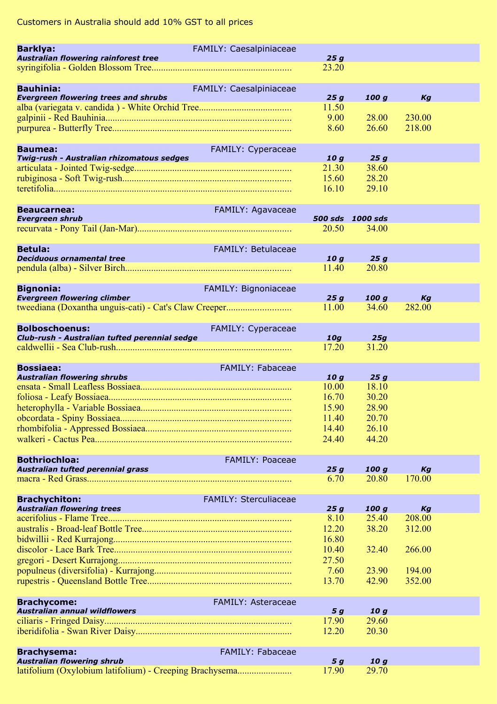| <b>Barklya:</b>                                         | FAMILY: Caesalpiniaceae      |                 |                           |              |  |
|---------------------------------------------------------|------------------------------|-----------------|---------------------------|--------------|--|
| Australian flowering rainforest tree                    |                              | 25g             |                           |              |  |
|                                                         |                              | 23.20           |                           |              |  |
| <b>Bauhinia:</b>                                        | FAMILY: Caesalpiniaceae      |                 |                           |              |  |
| <b>Evergreen flowering trees and shrubs</b>             |                              | 25g             | 100 g                     | Kg           |  |
|                                                         |                              | 11.50           |                           |              |  |
|                                                         |                              | 9.00            | 28.00                     | 230.00       |  |
|                                                         |                              | 8.60            | 26.60                     | 218.00       |  |
| <b>Baumea:</b>                                          | FAMILY: Cyperaceae           |                 |                           |              |  |
| Twig-rush - Australian rhizomatous sedges               |                              | 10 <sub>g</sub> | 25g                       |              |  |
|                                                         |                              | 21.30           | 38.60                     |              |  |
|                                                         |                              | 15.60           | 28.20                     |              |  |
|                                                         |                              | 16.10           | 29.10                     |              |  |
|                                                         |                              |                 |                           |              |  |
| <b>Beaucarnea:</b>                                      | FAMILY: Agavaceae            |                 |                           |              |  |
| <b>Evergreen shrub</b>                                  |                              | 20.50           | 500 sds 1000 sds<br>34.00 |              |  |
|                                                         |                              |                 |                           |              |  |
| <b>Betula:</b>                                          | <b>FAMILY: Betulaceae</b>    |                 |                           |              |  |
| <b>Deciduous ornamental tree</b>                        |                              | 10g             | 25g                       |              |  |
|                                                         |                              | 11.40           | 20.80                     |              |  |
|                                                         |                              |                 |                           |              |  |
| <b>Bignonia:</b>                                        | FAMILY: Bignoniaceae         |                 |                           |              |  |
| <b>Evergreen flowering climber</b>                      |                              | 25g<br>11.00    | 100q<br>34.60             | Kg<br>282.00 |  |
|                                                         |                              |                 |                           |              |  |
| <b>Bolboschoenus:</b>                                   | FAMILY: Cyperaceae           |                 |                           |              |  |
| Club-rush - Australian tufted perennial sedge           |                              | 10g             | 25g                       |              |  |
|                                                         |                              | 17.20           | 31.20                     |              |  |
|                                                         |                              |                 |                           |              |  |
| <b>Bossiaea:</b>                                        | <b>FAMILY: Fabaceae</b>      |                 |                           |              |  |
| <b>Australian flowering shrubs</b>                      |                              | 10g<br>10.00    | 25g<br>18.10              |              |  |
|                                                         |                              | 16.70           | 30.20                     |              |  |
|                                                         |                              | 15.90           | 28.90                     |              |  |
|                                                         |                              | 11.40           | 20.70                     |              |  |
|                                                         |                              | 14.40           | 26.10                     |              |  |
|                                                         |                              | 24.40           | 44.20                     |              |  |
|                                                         |                              |                 |                           |              |  |
| <b>Bothriochloa:</b>                                    | <b>FAMILY: Poaceae</b>       |                 |                           |              |  |
| Australian tufted perennial grass                       |                              | 25 g<br>6.70    | 100 g<br>20.80            | Kg<br>170.00 |  |
|                                                         |                              |                 |                           |              |  |
| <b>Brachychiton:</b>                                    | <b>FAMILY: Sterculiaceae</b> |                 |                           |              |  |
| <b>Australian flowering trees</b>                       |                              | 25g             | 100 g                     | Kg           |  |
|                                                         |                              | 8.10            | 25.40                     | 208.00       |  |
|                                                         |                              | 12.20           | 38.20                     | 312.00       |  |
|                                                         |                              | 16.80           |                           |              |  |
|                                                         |                              | 10.40           | 32.40                     | 266.00       |  |
|                                                         |                              | 27.50<br>7.60   | 23.90                     | 194.00       |  |
|                                                         |                              | 13.70           | 42.90                     | 352.00       |  |
|                                                         |                              |                 |                           |              |  |
| <b>Brachycome:</b>                                      | FAMILY: Asteraceae           |                 |                           |              |  |
| <b>Australian annual wildflowers</b>                    |                              | 5 g             | 10 <sub>g</sub>           |              |  |
|                                                         |                              | 17.90           | 29.60                     |              |  |
|                                                         |                              | 12.20           | 20.30                     |              |  |
|                                                         |                              |                 |                           |              |  |
| <b>Brachysema:</b><br><b>Australian flowering shrub</b> | FAMILY: Fabaceae             | 5 g             | 10 <sub>g</sub>           |              |  |
| latifolium (Oxylobium latifolium) - Creeping Brachysema |                              | 17.90           | 29.70                     |              |  |
|                                                         |                              |                 |                           |              |  |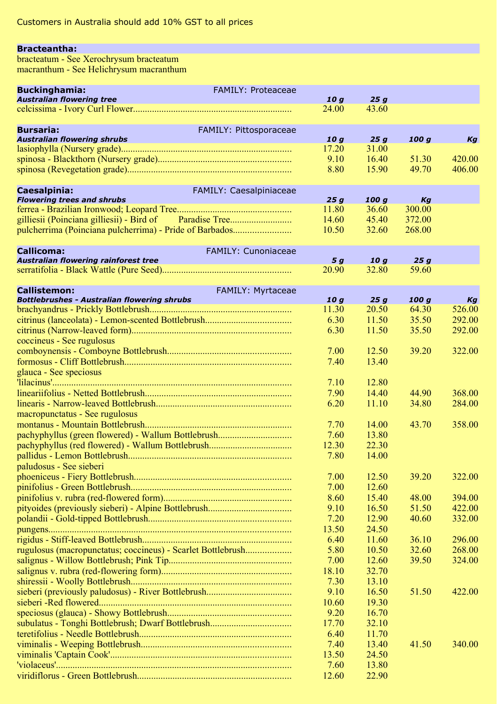#### **Bracteantha:**

bracteatum - See Xerochrysum bracteatum macranthum - See Helichrysum macranthum

| <b>Buckinghamia:</b><br>FAMILY: Proteaceae                                       |                 |                |        |        |
|----------------------------------------------------------------------------------|-----------------|----------------|--------|--------|
| <b>Australian flowering tree</b>                                                 | 10q             | 25g            |        |        |
|                                                                                  | 24.00           | 43.60          |        |        |
|                                                                                  |                 |                |        |        |
| FAMILY: Pittosporaceae<br><b>Bursaria:</b><br><b>Australian flowering shrubs</b> | 10q             | 25q            | 100 g  | Kg     |
|                                                                                  | 17.20           | 31.00          |        |        |
|                                                                                  | 9.10            | 16.40          | 51.30  | 420.00 |
|                                                                                  | 8.80            | 15.90          | 49.70  | 406.00 |
|                                                                                  |                 |                |        |        |
| Caesalpinia:<br>FAMILY: Caesalpiniaceae                                          |                 |                |        |        |
| <b>Flowering trees and shrubs</b>                                                | 25g             | 100 g          | Kg     |        |
|                                                                                  | 11.80           | 36.60          | 300.00 |        |
| gilliesii (Poinciana gilliesii) - Bird of                                        | 14.60           | 45.40          | 372.00 |        |
| pulcherrima (Poinciana pulcherrima) - Pride of Barbados                          | 10.50           | 32.60          | 268.00 |        |
|                                                                                  |                 |                |        |        |
| Callicoma:<br><b>FAMILY: Cunoniaceae</b><br>Australian flowering rainforest tree | 5 g             | 10q            | 25q    |        |
|                                                                                  | 20.90           | 32.80          | 59.60  |        |
|                                                                                  |                 |                |        |        |
| FAMILY: Myrtaceae<br><b>Callistemon:</b>                                         |                 |                |        |        |
| <b>Bottlebrushes - Australian flowering shrubs</b>                               | 10 <sub>g</sub> | 25g            | 100 g  | Kg     |
|                                                                                  | 11.30           | 20.50          | 64.30  | 526.00 |
|                                                                                  | 6.30            | 11.50          | 35.50  | 292.00 |
|                                                                                  | 6.30            | 11.50          | 35.50  | 292.00 |
| coccineus - See rugulosus                                                        |                 |                |        |        |
|                                                                                  | 7.00            | 12.50          | 39.20  | 322.00 |
|                                                                                  | 7.40            | 13.40          |        |        |
| glauca - See speciosus                                                           |                 |                |        |        |
|                                                                                  | 7.10            | 12.80          |        |        |
|                                                                                  | 7.90            | 14.40          | 44.90  | 368.00 |
|                                                                                  | 6.20            | 11.10          | 34.80  | 284.00 |
| macropunctatus - See rugulosus                                                   |                 |                |        |        |
|                                                                                  | 7.70            | 14.00          | 43.70  | 358.00 |
| pachyphyllus (green flowered) - Wallum Bottlebrush                               | 7.60            | 13.80          |        |        |
|                                                                                  | 12.30<br>7.80   | 22.30<br>14.00 |        |        |
| paludosus - See sieberi                                                          |                 |                |        |        |
|                                                                                  | 7.00            | 12.50          | 39.20  | 322.00 |
|                                                                                  | 7.00            | 12.60          |        |        |
|                                                                                  | 8.60            | 15.40          | 48.00  | 394.00 |
|                                                                                  | 9.10            | 16.50          | 51.50  | 422.00 |
|                                                                                  | 7.20            | 12.90          | 40.60  | 332.00 |
|                                                                                  | 13.50           | 24.50          |        |        |
|                                                                                  | 6.40            | 11.60          | 36.10  | 296.00 |
| rugulosus (macropunctatus; coccineus) - Scarlet Bottlebrush                      | 5.80            | 10.50          | 32.60  | 268.00 |
|                                                                                  | 7.00            | 12.60          | 39.50  | 324.00 |
|                                                                                  | 18.10           | 32.70          |        |        |
|                                                                                  | 7.30            | 13.10          |        |        |
|                                                                                  | 9.10            | 16.50          | 51.50  | 422.00 |
|                                                                                  | 10.60           | 19.30          |        |        |
|                                                                                  | 9.20            | 16.70          |        |        |
|                                                                                  | 17.70           | 32.10          |        |        |
|                                                                                  | 6.40            | 11.70          |        |        |
|                                                                                  | 7.40            | 13.40          | 41.50  | 340.00 |
|                                                                                  | 13.50           | 24.50          |        |        |
|                                                                                  | 7.60            | 13.80          |        |        |
|                                                                                  | 12.60           | 22.90          |        |        |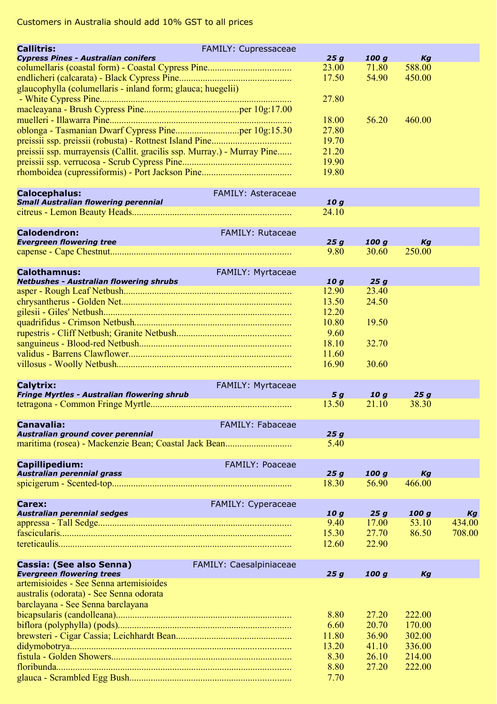| <b>Callitris:</b>                                                       | FAMILY: Cupressaceae      |                |                 |        |        |
|-------------------------------------------------------------------------|---------------------------|----------------|-----------------|--------|--------|
| <b>Cypress Pines - Australian conifers</b>                              |                           | 25g            | 100 g           | Kg     |        |
|                                                                         |                           | 23.00          | 71.80           | 588.00 |        |
|                                                                         |                           | 17.50          | 54.90           | 450.00 |        |
| glaucophylla (columellaris - inland form; glauca; huegelii)             |                           |                |                 |        |        |
|                                                                         |                           | 27.80          |                 |        |        |
|                                                                         |                           |                |                 |        |        |
|                                                                         |                           | 18.00          | 56.20           | 460.00 |        |
|                                                                         |                           | 27.80          |                 |        |        |
|                                                                         |                           | 19.70          |                 |        |        |
| preissii ssp. murrayensis (Callit. gracilis ssp. Murray.) - Murray Pine |                           | 21.20          |                 |        |        |
|                                                                         |                           | 19.90          |                 |        |        |
|                                                                         |                           | 19.80          |                 |        |        |
| <b>Calocephalus:</b>                                                    | <b>FAMILY: Asteraceae</b> |                |                 |        |        |
| <b>Small Australian flowering perennial</b>                             |                           | 10 g           |                 |        |        |
|                                                                         |                           | 24.10          |                 |        |        |
| <b>Calodendron:</b>                                                     | <b>FAMILY: Rutaceae</b>   |                |                 |        |        |
| <b>Evergreen flowering tree</b>                                         |                           | 25g            | 100 g           | Kg     |        |
|                                                                         |                           | 9.80           | 30.60           | 250.00 |        |
|                                                                         |                           |                |                 |        |        |
| <b>Calothamnus:</b>                                                     | FAMILY: Myrtaceae         |                |                 |        |        |
| <b>Netbushes - Australian flowering shrubs</b>                          |                           | 10g            | 25g             |        |        |
|                                                                         |                           | 12.90          | 23.40<br>24.50  |        |        |
|                                                                         |                           | 13.50          |                 |        |        |
|                                                                         |                           | 12.20          |                 |        |        |
|                                                                         |                           | 10.80<br>9.60  | 19.50           |        |        |
|                                                                         |                           |                | 32.70           |        |        |
|                                                                         |                           | 18.10<br>11.60 |                 |        |        |
|                                                                         |                           | 16.90          | 30.60           |        |        |
|                                                                         |                           |                |                 |        |        |
| Calytrix:                                                               | FAMILY: Myrtaceae         |                |                 |        |        |
| Fringe Myrtles - Australian flowering shrub                             |                           | 5 g            | 10 <sub>g</sub> | 25g    |        |
|                                                                         |                           | 13.50          | 21.10           | 38.30  |        |
|                                                                         |                           |                |                 |        |        |
| <b>Canavalia:</b>                                                       | <b>FAMILY: Fabaceae</b>   |                |                 |        |        |
| Australian ground cover perennial                                       |                           | 25g            |                 |        |        |
|                                                                         |                           | 5.40           |                 |        |        |
| Capillipedium:                                                          | <b>FAMILY: Poaceae</b>    |                |                 |        |        |
| Australian perennial grass                                              |                           | 25g            | 100 g           | Kg     |        |
|                                                                         |                           | 18.30          | 56.90           | 466.00 |        |
|                                                                         |                           |                |                 |        |        |
| Carex:                                                                  | <b>FAMILY: Cyperaceae</b> |                |                 |        |        |
| Australian perennial sedges                                             |                           | 10g            | 25g             | 100 g  | Kg     |
|                                                                         |                           | 9.40           | 17.00           | 53.10  | 434.00 |
|                                                                         |                           | 15.30          | 27.70<br>22.90  | 86.50  | 708.00 |
|                                                                         |                           | 12.60          |                 |        |        |
| Cassia: (See also Senna)                                                | FAMILY: Caesalpiniaceae   |                |                 |        |        |
| <b>Evergreen flowering trees</b>                                        |                           | 25 a           | 100 a           | Kа     |        |
| artemisioides - See Senna artemisioides                                 |                           |                |                 |        |        |
| australis (odorata) - See Senna odorata                                 |                           |                |                 |        |        |
| barclayana - See Senna barclayana                                       |                           |                |                 |        |        |
|                                                                         |                           | 8.80           | 27.20           | 222.00 |        |
|                                                                         |                           | 6.60           | 20.70           | 170.00 |        |
|                                                                         |                           | 11.80          | 36.90           | 302.00 |        |
|                                                                         |                           | 13.20          | 41.10           | 336.00 |        |
|                                                                         |                           | 8.30           | 26.10           | 214.00 |        |
|                                                                         |                           | 8.80           | 27.20           | 222.00 |        |
|                                                                         |                           | 7.70           |                 |        |        |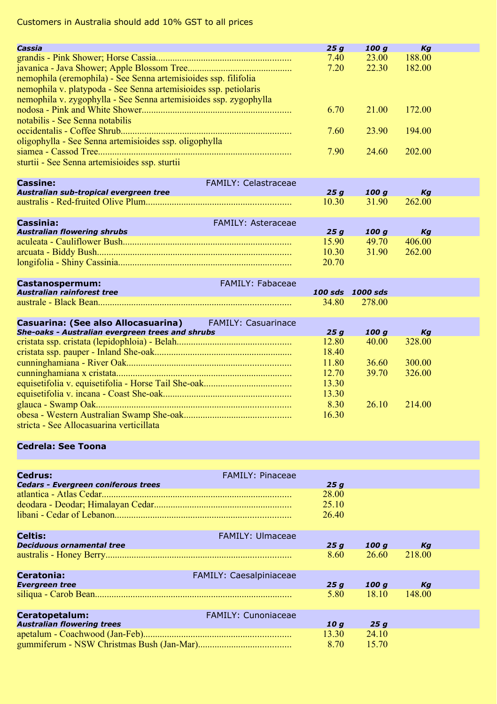| Cassia                                                            |                             | 25g          | 100g             | Kg           |  |
|-------------------------------------------------------------------|-----------------------------|--------------|------------------|--------------|--|
|                                                                   |                             | 7.40         | 23.00            | 188.00       |  |
|                                                                   |                             | 7.20         | 22.30            | 182.00       |  |
| nemophila (eremophila) - See Senna artemisioides ssp. filifolia   |                             |              |                  |              |  |
| nemophila v. platypoda - See Senna artemisioides ssp. petiolaris  |                             |              |                  |              |  |
| nemophila v. zygophylla - See Senna artemisioides ssp. zygophylla |                             |              |                  |              |  |
|                                                                   |                             | 6.70         | 21.00            | 172.00       |  |
| notabilis - See Senna notabilis                                   |                             |              |                  |              |  |
|                                                                   |                             | 7.60         | 23.90            | 194.00       |  |
| oligophylla - See Senna artemisioides ssp. oligophylla            |                             |              |                  |              |  |
|                                                                   |                             | 7.90         | 24.60            | 202.00       |  |
| sturtii - See Senna artemisioides ssp. sturtii                    |                             |              |                  |              |  |
|                                                                   |                             |              |                  |              |  |
| <b>Cassine:</b>                                                   | <b>FAMILY: Celastraceae</b> |              |                  |              |  |
| Australian sub-tropical evergreen tree                            |                             | 25g          | 100q             | Kg           |  |
|                                                                   |                             | 10.30        | 31.90            | 262.00       |  |
|                                                                   |                             |              |                  |              |  |
| <b>Cassinia:</b>                                                  | FAMILY: Asteraceae          |              |                  |              |  |
| <b>Australian flowering shrubs</b>                                |                             | 25g          | 100q<br>49.70    | Kg<br>406.00 |  |
|                                                                   |                             | 15.90        | 31.90            |              |  |
|                                                                   |                             | 10.30        |                  | 262.00       |  |
|                                                                   |                             | 20.70        |                  |              |  |
|                                                                   | FAMILY: Fabaceae            |              |                  |              |  |
| Castanospermum:<br>Australian rainforest tree                     |                             |              | 100 sds 1000 sds |              |  |
|                                                                   |                             | 34.80        | 278.00           |              |  |
|                                                                   |                             |              |                  |              |  |
| Casuarina: (See also Allocasuarina)                               | <b>FAMILY: Casuarinace</b>  |              |                  |              |  |
| She-oaks - Australian evergreen trees and shrubs                  |                             | 25g          | 100q             | Kg           |  |
|                                                                   |                             | 12.80        | 40.00            | 328.00       |  |
|                                                                   |                             | 18.40        |                  |              |  |
|                                                                   |                             | 11.80        | 36.60            | 300.00       |  |
|                                                                   |                             | 12.70        | 39.70            | 326.00       |  |
|                                                                   |                             | 13.30        |                  |              |  |
|                                                                   |                             | 13.30        |                  |              |  |
|                                                                   |                             | 8.30         | 26.10            | 214.00       |  |
|                                                                   |                             | 16.30        |                  |              |  |
| stricta - See Allocasuarina verticillata                          |                             |              |                  |              |  |
|                                                                   |                             |              |                  |              |  |
| <b>Cedrela: See Toona</b>                                         |                             |              |                  |              |  |
|                                                                   |                             |              |                  |              |  |
|                                                                   |                             |              |                  |              |  |
| Cedrus:<br><b>Cedars - Evergreen coniferous trees</b>             | <b>FAMILY: Pinaceae</b>     |              |                  |              |  |
|                                                                   |                             | 25g<br>28.00 |                  |              |  |
|                                                                   |                             | 25.10        |                  |              |  |
|                                                                   |                             | 26.40        |                  |              |  |
|                                                                   |                             |              |                  |              |  |
| <b>Celtis:</b>                                                    | <b>FAMILY: Ulmaceae</b>     |              |                  |              |  |
| <b>Deciduous ornamental tree</b>                                  |                             | 25 g         | 100q             | Kg           |  |
|                                                                   |                             | 8.60         | 26.60            | 218.00       |  |
|                                                                   |                             |              |                  |              |  |
| <b>Ceratonia:</b>                                                 | FAMILY: Caesalpiniaceae     |              |                  |              |  |
| <b>Evergreen tree</b>                                             |                             | 25q          | 100q             | Kg           |  |
|                                                                   |                             | 5.80         | 18.10            | 148.00       |  |
|                                                                   |                             |              |                  |              |  |
| Ceratopetalum:                                                    | <b>FAMILY: Cunoniaceae</b>  |              |                  |              |  |
| <b>Australian flowering trees</b>                                 |                             | 10q          | 25g              |              |  |
|                                                                   |                             | 13.30        | 24.10            |              |  |
|                                                                   |                             | 8.70         | 15.70            |              |  |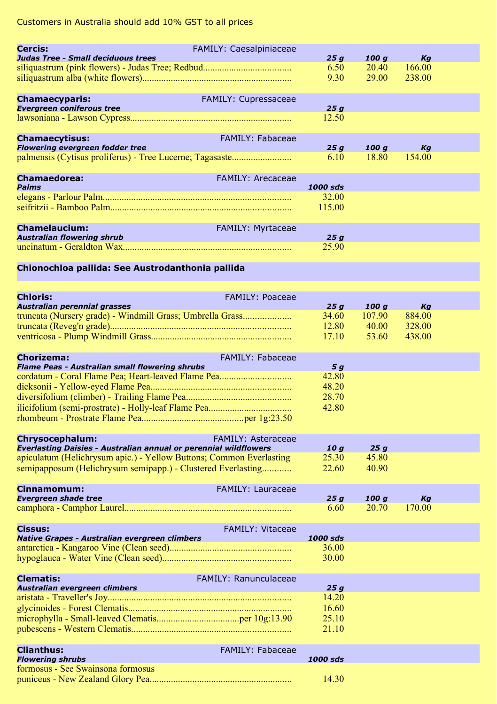| <b>Cercis:</b>                                                                      | <b>FAMILY: Caesalpiniaceae</b> |               |                |              |  |
|-------------------------------------------------------------------------------------|--------------------------------|---------------|----------------|--------------|--|
| Judas Tree - Small deciduous trees                                                  |                                | 25g           | 100 g<br>20.40 | Kg<br>166.00 |  |
|                                                                                     |                                | 6.50<br>9.30  | 29.00          | 238.00       |  |
|                                                                                     |                                |               |                |              |  |
|                                                                                     |                                |               |                |              |  |
| <b>Chamaecyparis:</b><br><b>Evergreen coniferous tree</b>                           | <b>FAMILY: Cupressaceae</b>    | 25g           |                |              |  |
|                                                                                     |                                | 12.50         |                |              |  |
|                                                                                     |                                |               |                |              |  |
| <b>Chamaecytisus:</b>                                                               | <b>FAMILY: Fabaceae</b>        |               |                |              |  |
| <b>Flowering evergreen fodder tree</b>                                              |                                | 25g           | 100 g          | Kg           |  |
| palmensis (Cytisus proliferus) - Tree Lucerne; Tagasaste                            |                                | 6.10          | 18.80          | 154.00       |  |
|                                                                                     |                                |               |                |              |  |
| <b>Chamaedorea:</b>                                                                 | <b>FAMILY: Arecaceae</b>       |               |                |              |  |
| <b>Palms</b>                                                                        |                                | 1000 sds      |                |              |  |
|                                                                                     |                                | 32.00         |                |              |  |
|                                                                                     |                                | 115.00        |                |              |  |
|                                                                                     |                                |               |                |              |  |
| <b>Chamelaucium:</b>                                                                | FAMILY: Myrtaceae              |               |                |              |  |
| <b>Australian flowering shrub</b>                                                   |                                | 25g           |                |              |  |
|                                                                                     |                                | 25.90         |                |              |  |
|                                                                                     |                                |               |                |              |  |
| Chionochloa pallida: See Austrodanthonia pallida                                    |                                |               |                |              |  |
|                                                                                     |                                |               |                |              |  |
| <b>Chloris:</b>                                                                     | <b>FAMILY: Poaceae</b>         |               |                |              |  |
| Australian perennial grasses                                                        |                                | 25q           | 100q           | Кg           |  |
| truncata (Nursery grade) - Windmill Grass; Umbrella Grass                           |                                | 34.60         | 107.90         | 884.00       |  |
|                                                                                     |                                | 12.80         | 40.00          | 328.00       |  |
|                                                                                     |                                | 17.10         | 53.60          | 438.00       |  |
|                                                                                     |                                |               |                |              |  |
| Chorizema:                                                                          | <b>FAMILY: Fabaceae</b>        |               |                |              |  |
| Flame Peas - Australian small flowering shrubs                                      |                                | 5 g           |                |              |  |
| cordatum - Coral Flame Pea; Heart-leaved Flame Pea                                  |                                | 42.80         |                |              |  |
|                                                                                     |                                | 48.20         |                |              |  |
|                                                                                     |                                | 28.70         |                |              |  |
|                                                                                     |                                | 42.80         |                |              |  |
|                                                                                     |                                |               |                |              |  |
|                                                                                     |                                |               |                |              |  |
| Chrysocephalum:<br>Everlasting Daisies - Australian annual or perennial wildflowers | <b>FAMILY: Asteraceae</b>      |               |                |              |  |
| apiculatum (Helichrysum apic.) - Yellow Buttons; Common Everlasting                 |                                | 10 g<br>25.30 | 25g<br>45.80   |              |  |
| semipapposum (Helichrysum semipapp.) - Clustered Everlasting                        |                                | 22.60         | 40.90          |              |  |
|                                                                                     |                                |               |                |              |  |
| Cinnamomum:                                                                         | <b>FAMILY: Lauraceae</b>       |               |                |              |  |
| <b>Evergreen shade tree</b>                                                         |                                | 25g           | 100 g          | Kg           |  |
|                                                                                     |                                | 6.60          | 20.70          | 170.00       |  |
|                                                                                     |                                |               |                |              |  |
| Cissus:                                                                             | <b>FAMILY: Vitaceae</b>        |               |                |              |  |
| Native Grapes - Australian evergreen climbers                                       |                                | 1000 sds      |                |              |  |
|                                                                                     |                                | 36.00         |                |              |  |
|                                                                                     |                                | 30.00         |                |              |  |
|                                                                                     | FAMILY: Ranunculaceae          |               |                |              |  |
| <b>Clematis:</b><br>Australian evergreen climbers                                   |                                | 25 g          |                |              |  |
|                                                                                     |                                | 14.20         |                |              |  |
|                                                                                     |                                | 16.60         |                |              |  |
|                                                                                     |                                | 25.10         |                |              |  |
|                                                                                     |                                | 21.10         |                |              |  |
|                                                                                     |                                |               |                |              |  |
| <b>Clianthus:</b>                                                                   | <b>FAMILY: Fabaceae</b>        |               |                |              |  |
| <b>Flowering shrubs</b>                                                             |                                | 1000 sds      |                |              |  |
| formosus - See Swainsona formosus                                                   |                                |               |                |              |  |
|                                                                                     |                                | 14.30         |                |              |  |
|                                                                                     |                                |               |                |              |  |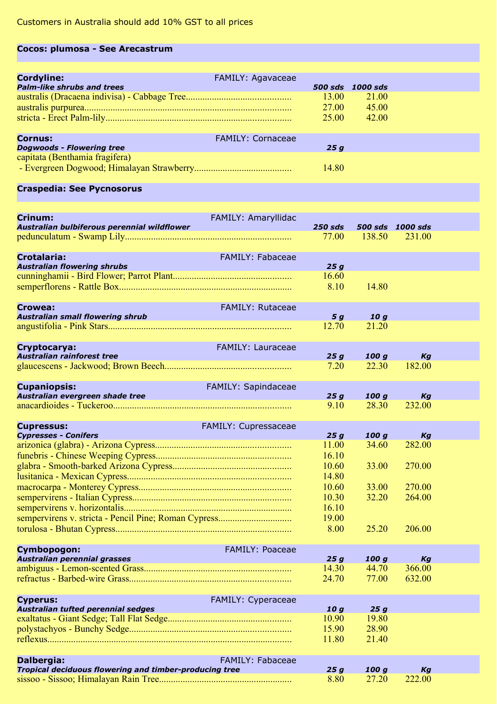## **Cocos: plumosa - See Arecastrum**

| <b>Cordyline:</b><br><b>Palm-like shrubs and trees</b> | <b>FAMILY: Agavaceae</b> | <b>500 sds</b>          | 1000 sds                |  |
|--------------------------------------------------------|--------------------------|-------------------------|-------------------------|--|
|                                                        |                          | 13.00<br>27.00<br>25.00 | 21.00<br>45.00<br>42.00 |  |
| <b>Cornus:</b><br><b>Dogwoods - Flowering tree</b>     | <b>FAMILY: Cornaceae</b> | 25 a                    |                         |  |
| capitata (Benthamia fragifera)                         |                          | 14.80                   |                         |  |

### **Craspedia: See Pycnosorus**

| Crinum:                                                | FAMILY: Amaryllidac     |                |        |                  |  |
|--------------------------------------------------------|-------------------------|----------------|--------|------------------|--|
| Australian bulbiferous perennial wildflower            |                         | <b>250 sds</b> |        | 500 sds 1000 sds |  |
|                                                        |                         | 77.00          | 138.50 | 231.00           |  |
| <b>Crotalaria:</b>                                     | <b>FAMILY: Fabaceae</b> |                |        |                  |  |
| <b>Australian flowering shrubs</b>                     |                         | 25g            |        |                  |  |
|                                                        |                         | 16.60          |        |                  |  |
|                                                        |                         | 8.10           | 14.80  |                  |  |
|                                                        |                         |                |        |                  |  |
| Crowea:                                                | FAMILY: Rutaceae        |                |        |                  |  |
| <b>Australian small flowering shrub</b>                |                         | 5 g            | 10g    |                  |  |
|                                                        |                         | 12.70          | 21.20  |                  |  |
|                                                        |                         |                |        |                  |  |
| Cryptocarya:                                           | FAMILY: Lauraceae       |                |        |                  |  |
| <b>Australian rainforest tree</b>                      |                         | 25q            | 100g   | Kg               |  |
|                                                        |                         | 7.20           | 22.30  | 182.00           |  |
|                                                        |                         |                |        |                  |  |
| <b>Cupaniopsis:</b>                                    | FAMILY: Sapindaceae     |                |        |                  |  |
| Australian evergreen shade tree                        |                         | 25q            | 100 g  | Kg               |  |
|                                                        |                         | 9.10           | 28.30  | 232.00           |  |
|                                                        |                         |                |        |                  |  |
| <b>Cupressus:</b><br><b>Cypresses - Conifers</b>       | FAMILY: Cupressaceae    | 25q            | 100 a  | Kg               |  |
|                                                        |                         | 11.00          | 34.60  | 282.00           |  |
|                                                        |                         | 16.10          |        |                  |  |
|                                                        |                         | 10.60          | 33.00  | 270.00           |  |
|                                                        |                         | 14.80          |        |                  |  |
|                                                        |                         | 10.60          | 33.00  | 270.00           |  |
|                                                        |                         | 10.30          | 32.20  | 264.00           |  |
|                                                        |                         | 16.10          |        |                  |  |
|                                                        |                         | 19.00          |        |                  |  |
|                                                        |                         | 8.00           | 25.20  | 206.00           |  |
|                                                        |                         |                |        |                  |  |
| Cymbopogon:                                            | <b>FAMILY: Poaceae</b>  |                |        |                  |  |
| Australian perennial grasses                           |                         | 25q            | 100 g  | Kg               |  |
|                                                        |                         | 14.30          | 44.70  | 366.00           |  |
|                                                        |                         | 24.70          | 77.00  | 632.00           |  |
|                                                        |                         |                |        |                  |  |
| <b>Cyperus:</b>                                        | FAMILY: Cyperaceae      |                |        |                  |  |
| Australian tufted perennial sedges                     |                         | 10q            | 25q    |                  |  |
|                                                        |                         | 10.90          | 19.80  |                  |  |
|                                                        |                         | 15.90          | 28.90  |                  |  |
|                                                        |                         | 11.80          | 21.40  |                  |  |
|                                                        |                         |                |        |                  |  |
| Dalbergia:                                             | <b>FAMILY: Fabaceae</b> |                |        |                  |  |
| Tropical deciduous flowering and timber-producing tree |                         | 25q            | 100q   | Kg               |  |
|                                                        |                         | 8.80           | 27.20  | 222.00           |  |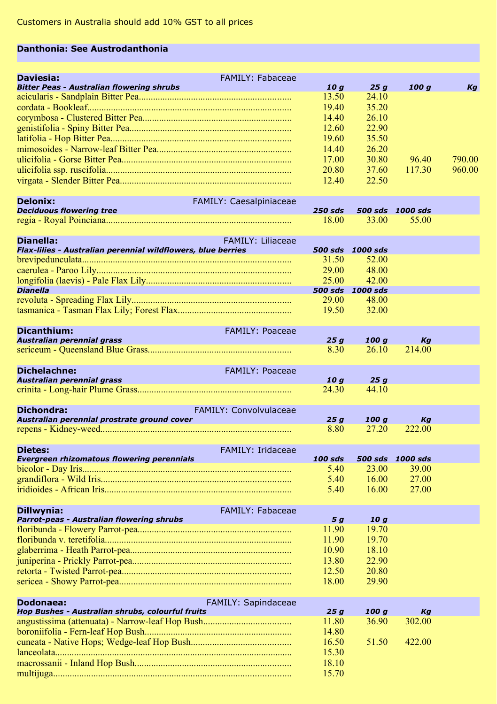## **Danthonia: See Austrodanthonia**

| <b>Daviesia:</b>                                 | <b>FAMILY: Fabaceae</b> |       |       |       |        |
|--------------------------------------------------|-------------------------|-------|-------|-------|--------|
| <b>Bitter Peas - Australian flowering shrubs</b> |                         | 10 a  | 25 a  | 100 a | Кa     |
|                                                  |                         | 13.50 | 24.10 |       |        |
|                                                  |                         | 19.40 | 35.20 |       |        |
|                                                  |                         | 14.40 | 26.10 |       |        |
|                                                  |                         | 12.60 | 22.90 |       |        |
|                                                  |                         | 19.60 | 35.50 |       |        |
|                                                  |                         | 1440  | 26.20 |       |        |
|                                                  |                         | 17.00 | 30.80 | 96.40 | 790.00 |
|                                                  |                         | 20.80 | 37.60 | 11730 | 960.00 |
|                                                  |                         | 12.40 | 22.50 |       |        |

| Delonix:                        | <b>FAMILY: Caesalpiniaceae</b> |  |                          |  |
|---------------------------------|--------------------------------|--|--------------------------|--|
| <b>Deciduous flowering tree</b> |                                |  | 250 sds 500 sds 1000 sds |  |
|                                 |                                |  | 18.00 33.00 55.00        |  |

| <b>Dianella:</b>                                                                                    | <b>FAMILY: Liliaceae</b> |                  |  |
|-----------------------------------------------------------------------------------------------------|--------------------------|------------------|--|
| Flax-lilies - Australian perennial wildflowers, blue berries                                        |                          | 500 sds 1000 sds |  |
|                                                                                                     | 31.50                    | 52.00            |  |
|                                                                                                     | 29.00                    | 48.00            |  |
|                                                                                                     | 25.00                    | $-42.00$         |  |
| <b>Dianella</b><br>,我们也不能在这里,我们也不能会在这里,我们也不能会在这里,我们也不能会在这里,我们也不能会不能会不能会。""我们,我们也不能会不能会不能会不能会不能会不能会不 |                          | 500 sds 1000 sds |  |
|                                                                                                     | 29.00                    | 48.00            |  |
|                                                                                                     | 19.50                    | 32.00            |  |

| Dicanthium:                | FAMILY: Poaceae        |      |       |        |  |
|----------------------------|------------------------|------|-------|--------|--|
| Australian perennial grass |                        | 25 a | 100 a | Ka     |  |
|                            |                        | 8.30 | 26.10 | 214.00 |  |
| Dichelachne:               | <b>FAMILY: Poaceae</b> |      |       |        |  |

| Australian perennial grass |                               | 10 a  | 25a   |  |
|----------------------------|-------------------------------|-------|-------|--|
|                            |                               | 24.30 | 44 10 |  |
| <b>Dichondra:</b>          | <b>FAMILY: Convolvulaceae</b> |       |       |  |

| Australian perennial prostrate ground cover | 25a | <b>100 a</b>      |  |
|---------------------------------------------|-----|-------------------|--|
|                                             |     | 8.80 27.20 222.00 |  |

| Dietes:                                    | FAMILY: Iridaceae |                    |       |                          |  |
|--------------------------------------------|-------------------|--------------------|-------|--------------------------|--|
| Evergreen rhizomatous flowering perennials |                   |                    |       | 100 sds 500 sds 1000 sds |  |
|                                            |                   | 5.40 <sup>-1</sup> | 23.00 | 39.00                    |  |
|                                            |                   | 5.40               | 16.00 | 27.00                    |  |
|                                            |                   | 5.40               | 16.00 | 27.00                    |  |

| Dillwynia:<br><b>FAMILY: Fabaceae</b>     |       |       |  |
|-------------------------------------------|-------|-------|--|
| Parrot-peas - Australian flowering shrubs | 5 a   | 10 a  |  |
|                                           | 11.90 | 19.70 |  |
|                                           | 11.90 | 19.70 |  |
|                                           | 10.90 | 18.10 |  |
|                                           | 13.80 | 22.90 |  |
|                                           | 12.50 | 20.80 |  |
|                                           | 18.00 | 29.90 |  |

| Dodonaea:<br>FAMILY: Sapindaceae                 |       |       |        |  |
|--------------------------------------------------|-------|-------|--------|--|
| Hop Bushes - Australian shrubs, colourful fruits | 25 a  | 100 a | Kа     |  |
|                                                  | 11.80 | 36.90 | 302.00 |  |
|                                                  | 14.80 |       |        |  |
|                                                  | 16.50 | 51.50 | 422.00 |  |
|                                                  | 15.30 |       |        |  |
|                                                  | 18.10 |       |        |  |
|                                                  | 15.70 |       |        |  |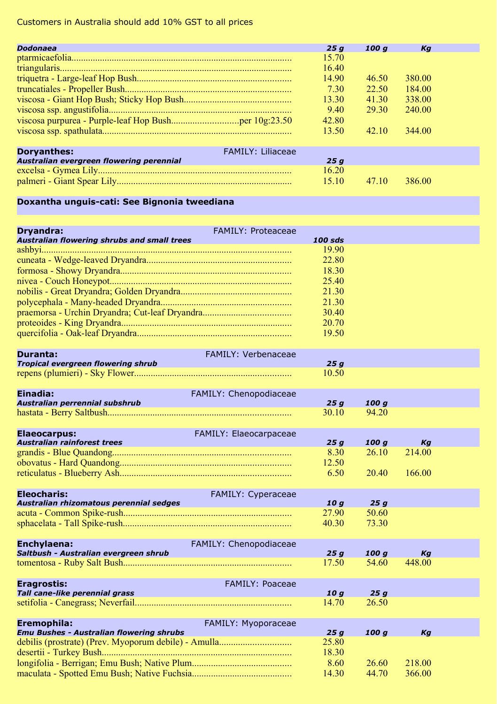| <b>Dodonaea</b>                          | 25 a                     | 100 a | Kа     |  |
|------------------------------------------|--------------------------|-------|--------|--|
|                                          | 15.70                    |       |        |  |
|                                          | 16.40                    |       |        |  |
|                                          | 14.90                    | 46.50 | 380.00 |  |
|                                          | 730                      | 22.50 | 184.00 |  |
|                                          | 13.30                    | 41 30 | 338.00 |  |
|                                          | 9.40                     | 29.30 | 240.00 |  |
|                                          | 42.80                    |       |        |  |
|                                          | 13.50                    | 42.10 | 344.00 |  |
| <b>Doryanthes:</b>                       | <b>FAMILY: Liliaceae</b> |       |        |  |
| Australian evergreen flowering perennial | 25 a                     |       |        |  |
|                                          | 16.20                    |       |        |  |
|                                          | 15 10                    | 47.10 | 386.00 |  |

## **Doxantha unguis-cati: See Bignonia tweediana**

| <b>Dryandra:</b>                                                                                                                                        | <b>FAMILY: Proteaceae</b> |                |       |        |  |
|---------------------------------------------------------------------------------------------------------------------------------------------------------|---------------------------|----------------|-------|--------|--|
| <b>Australian flowering shrubs and small trees</b>                                                                                                      |                           | <b>100 sds</b> |       |        |  |
|                                                                                                                                                         |                           | 19.90          |       |        |  |
|                                                                                                                                                         |                           | 22.80          |       |        |  |
|                                                                                                                                                         |                           | 18.30          |       |        |  |
|                                                                                                                                                         |                           | 25.40          |       |        |  |
|                                                                                                                                                         |                           | 21.30          |       |        |  |
|                                                                                                                                                         |                           | 21.30          |       |        |  |
|                                                                                                                                                         |                           | 30.40          |       |        |  |
|                                                                                                                                                         |                           | 20.70          |       |        |  |
|                                                                                                                                                         |                           | 19.50          |       |        |  |
| Duranta:                                                                                                                                                | FAMILY: Verbenaceae       |                |       |        |  |
| <b>Tropical evergreen flowering shrub</b>                                                                                                               |                           | 25g            |       |        |  |
|                                                                                                                                                         |                           | 10.50          |       |        |  |
| Einadia:                                                                                                                                                | FAMILY: Chenopodiaceae    |                |       |        |  |
| Australian perrennial subshrub                                                                                                                          |                           | 25q            | 100q  |        |  |
|                                                                                                                                                         |                           | 30.10          | 94.20 |        |  |
| <b>Elaeocarpus:</b>                                                                                                                                     | FAMILY: Elaeocarpaceae    |                |       |        |  |
| <b>Contract Contract Contract Contract Contract Contract Contract Contract Contract Contract Contract Contract Co</b><br>Australian rainforest trees    |                           | 25q            | 100q  | Ka     |  |
|                                                                                                                                                         |                           | 8.30           | 26.10 | 214.00 |  |
|                                                                                                                                                         |                           | 12.50          |       |        |  |
|                                                                                                                                                         |                           | 6.50           | 20.40 | 166.00 |  |
| <b>Eleocharis:</b>                                                                                                                                      | FAMILY: Cyperaceae        |                |       |        |  |
| Australian rhizomatous perennial sedges                                                                                                                 |                           | 10q            | 25g   |        |  |
|                                                                                                                                                         |                           | 27.90          | 50.60 |        |  |
|                                                                                                                                                         |                           | 40.30          | 73.30 |        |  |
| Enchylaena:                                                                                                                                             | FAMILY: Chenopodiaceae    |                |       |        |  |
| Saltbush - Australian evergreen shrub                                                                                                                   |                           | 25q            | 100q  | Kg     |  |
|                                                                                                                                                         |                           | 17.50          | 54.60 | 448.00 |  |
| <b>Eragrostis:</b>                                                                                                                                      | FAMILY: Poaceae           |                |       |        |  |
| <b>Contract Contract Contract Contract Contract Contract Contract Contract Contract Contract Contract Contract Co</b><br>Tall cane-like perennial grass |                           | 10g            | 25g   |        |  |
|                                                                                                                                                         |                           | 14.70          | 26.50 |        |  |
| Eremophila:                                                                                                                                             | FAMILY: Myoporaceae       |                |       |        |  |
| <b>Emu Bushes - Australian flowering shrubs</b>                                                                                                         |                           | 25g            | 100 g | Kg     |  |
| debilis (prostrate) (Prev. Myoporum debile) - Amulla                                                                                                    |                           | 25.80          |       |        |  |
|                                                                                                                                                         |                           | 18.30          |       |        |  |
|                                                                                                                                                         |                           | 8.60           | 26.60 | 218.00 |  |
|                                                                                                                                                         |                           | 14.30          | 44.70 | 366.00 |  |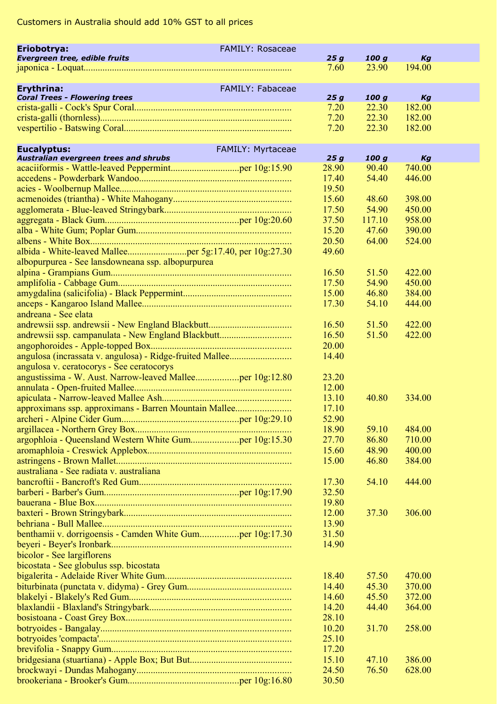| Eriobotrya:                                               | <b>FAMILY: Rosaceae</b> |       |                    |        |  |
|-----------------------------------------------------------|-------------------------|-------|--------------------|--------|--|
| Evergreen tree, edible fruits                             |                         | 25g   | 100 g              | Kg     |  |
|                                                           |                         | 7.60  | 23.90              | 194.00 |  |
| <b>Erythrina:</b><br><b>Coral Trees - Flowering trees</b> | <b>FAMILY: Fabaceae</b> | 25g   | 100 g              | Kg     |  |
|                                                           |                         | 7.20  | 22.30              | 182.00 |  |
|                                                           |                         | 7.20  | 22.30              | 182.00 |  |
|                                                           |                         | 7.20  | 22.30              | 182.00 |  |
|                                                           |                         |       |                    |        |  |
| <b>Eucalyptus:</b>                                        | FAMILY: Myrtaceae       |       |                    |        |  |
| Australian evergreen trees and shrubs                     |                         | 25g   | 100 g              | Kg     |  |
|                                                           |                         | 28.90 | 90.40              | 740.00 |  |
|                                                           |                         | 17.40 | 54.40              | 446.00 |  |
|                                                           |                         | 19.50 |                    |        |  |
|                                                           |                         | 15.60 | 48.60              | 398.00 |  |
|                                                           |                         | 17.50 | 54.90              | 450.00 |  |
|                                                           |                         | 37.50 | 117.10             | 958.00 |  |
|                                                           |                         | 15.20 | 47.60              | 390.00 |  |
|                                                           |                         | 20.50 | 64.00              | 524.00 |  |
|                                                           |                         | 49.60 |                    |        |  |
| albopurpurea - See lansdowneana ssp. albopurpurea         |                         |       |                    |        |  |
|                                                           |                         | 16.50 | 51.50              | 422.00 |  |
|                                                           |                         | 17.50 | 54.90              | 450.00 |  |
|                                                           |                         | 15.00 | 46.80              | 384.00 |  |
|                                                           |                         | 17.30 | 54.10              | 444.00 |  |
| andreana - See elata                                      |                         |       |                    |        |  |
|                                                           |                         | 16.50 | 51.50              | 422.00 |  |
| andrewsii ssp. campanulata - New England Blackbutt        |                         | 16.50 | 51.50              | 422.00 |  |
|                                                           |                         | 20.00 |                    |        |  |
|                                                           |                         | 14.40 |                    |        |  |
| angulosa v. ceratocorys - See ceratocorys                 |                         |       |                    |        |  |
|                                                           |                         | 23.20 |                    |        |  |
|                                                           |                         | 12.00 |                    |        |  |
|                                                           |                         | 13.10 | 40.80              | 334.00 |  |
| approximans ssp. approximans - Barren Mountain Mallee     |                         | 17.10 |                    |        |  |
|                                                           |                         | 52.90 |                    |        |  |
|                                                           |                         | 18.90 | 59.10              | 484.00 |  |
| argophloia - Queensland Western White Gumper 10g:15.30    |                         | 27.70 | 86.80              | 710.00 |  |
|                                                           |                         | 15.60 | 48.90              | 400.00 |  |
|                                                           |                         | 15.00 | 46.80              | 384.00 |  |
| australiana - See radiata v. australiana                  |                         |       |                    |        |  |
|                                                           |                         | 17.30 | 54.10              | 444.00 |  |
|                                                           |                         | 32.50 |                    |        |  |
|                                                           |                         | 19.80 |                    |        |  |
|                                                           |                         | 12.00 | 37.30              | 306.00 |  |
|                                                           |                         | 13.90 |                    |        |  |
|                                                           |                         | 31.50 |                    |        |  |
|                                                           |                         | 14.90 |                    |        |  |
| bicolor - See largiflorens                                |                         |       |                    |        |  |
| bicostata - See globulus ssp. bicostata                   |                         |       |                    |        |  |
|                                                           |                         |       | 18.40 57.50 470.00 |        |  |
|                                                           |                         | 14.40 | 45.30              | 370.00 |  |
|                                                           |                         | 14.60 | 45.50              | 372.00 |  |
|                                                           |                         | 14.20 | 44.40              | 364.00 |  |
|                                                           |                         | 28.10 |                    |        |  |
|                                                           |                         | 10.20 | 31.70              | 258.00 |  |
|                                                           |                         | 25.10 |                    |        |  |
|                                                           |                         | 17.20 |                    |        |  |
|                                                           |                         | 15.10 | 47.10              | 386.00 |  |
|                                                           |                         | 24.50 | 76.50              | 628.00 |  |
|                                                           |                         | 30.50 |                    |        |  |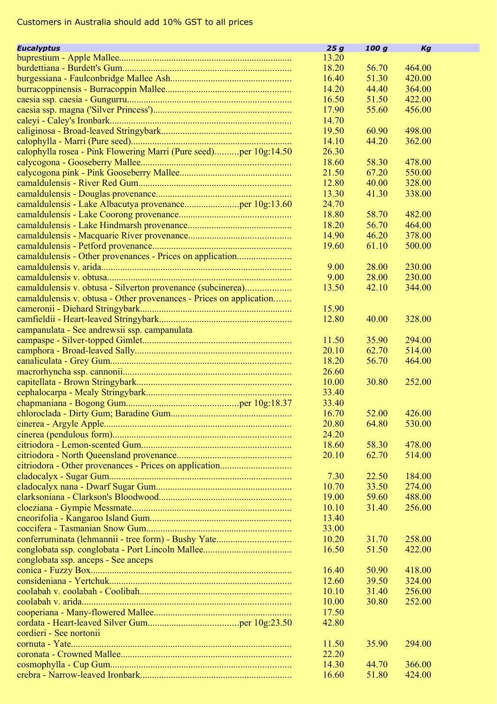| <b>Eucalyptus</b>                                                   | 25g   | 100 g | Кg           |  |
|---------------------------------------------------------------------|-------|-------|--------------|--|
|                                                                     | 13.20 |       |              |  |
|                                                                     | 18.20 | 56.70 | 464.00       |  |
|                                                                     |       |       |              |  |
|                                                                     | 16.40 | 51.30 | 420.00       |  |
|                                                                     | 14.20 | 44.40 | 364.00       |  |
|                                                                     | 16.50 | 51.50 | 422.00       |  |
|                                                                     | 17.90 | 55.60 | 456.00       |  |
|                                                                     | 14.70 |       |              |  |
|                                                                     | 19.50 | 60.90 | 498.00       |  |
|                                                                     | 14.10 | 44.20 | 362.00       |  |
| calophylla rosea - Pink Flowering Marri (Pure seed)per 10g:14.50    | 26.30 |       |              |  |
|                                                                     | 18.60 | 58.30 | 478.00       |  |
|                                                                     | 21.50 | 67.20 | 550.00       |  |
|                                                                     | 12.80 | 40.00 | 328.00       |  |
|                                                                     |       |       |              |  |
|                                                                     | 13.30 | 41.30 | 338.00       |  |
|                                                                     | 24.70 |       |              |  |
|                                                                     | 18.80 | 58.70 | 482.00       |  |
|                                                                     | 18.20 | 56.70 | 464.00       |  |
|                                                                     | 14.90 | 46.20 | 378.00       |  |
|                                                                     | 19.60 | 61.10 | 500.00       |  |
|                                                                     |       |       |              |  |
|                                                                     | 9.00  | 28.00 | 230.00       |  |
|                                                                     | 9.00  | 28.00 | 230.00       |  |
| camaldulensis v. obtusa - Silverton provenance (subcinerea)         | 13.50 | 42.10 | 344.00       |  |
| camaldulensis v. obtusa - Other provenances - Prices on application |       |       |              |  |
|                                                                     | 15.90 |       |              |  |
|                                                                     |       |       |              |  |
|                                                                     | 12.80 | 40.00 | 328.00       |  |
| campanulata - See andrewsii ssp. campanulata                        |       |       |              |  |
|                                                                     | 11.50 | 35.90 | 294.00       |  |
|                                                                     | 20.10 | 62.70 | 514.00       |  |
|                                                                     | 18.20 | 56.70 | 464.00       |  |
|                                                                     | 26.60 |       |              |  |
|                                                                     | 10.00 | 30.80 | 252.00       |  |
|                                                                     | 33.40 |       |              |  |
|                                                                     | 33.40 |       |              |  |
|                                                                     | 16.70 | 52.00 | 426.00       |  |
|                                                                     | 20.80 | 64.80 | 530.00       |  |
|                                                                     | 24.20 |       |              |  |
|                                                                     | 18.60 | 58.30 | 478.00       |  |
|                                                                     |       |       |              |  |
|                                                                     | 20.10 | 62.70 | 514.00       |  |
|                                                                     |       |       |              |  |
|                                                                     | 7.30  | 22.50 | 184.00       |  |
|                                                                     | 10.70 | 33.50 | 274.00       |  |
|                                                                     | 19.00 | 59.60 | 488.00       |  |
|                                                                     | 10.10 | 31.40 | 256.00       |  |
|                                                                     | 13.40 |       |              |  |
|                                                                     | 33.00 |       |              |  |
|                                                                     | 10.20 | 31.70 | 258.00       |  |
|                                                                     | 16.50 | 51.50 | 422.00       |  |
| conglobata ssp. anceps - See anceps                                 |       |       |              |  |
|                                                                     | 16.40 |       | 50.90 418.00 |  |
|                                                                     |       |       |              |  |
|                                                                     | 12.60 | 39.50 | 324.00       |  |
|                                                                     | 10.10 | 31.40 | 256.00       |  |
|                                                                     | 10.00 | 30.80 | 252.00       |  |
|                                                                     | 17.50 |       |              |  |
|                                                                     | 42.80 |       |              |  |
| cordieri - See nortonii                                             |       |       |              |  |
|                                                                     | 11.50 | 35.90 | 294.00       |  |
|                                                                     | 22.20 |       |              |  |
|                                                                     | 14.30 | 44.70 | 366.00       |  |
|                                                                     | 16.60 | 51.80 | 424.00       |  |
|                                                                     |       |       |              |  |

 $\mathbb{Z}^2$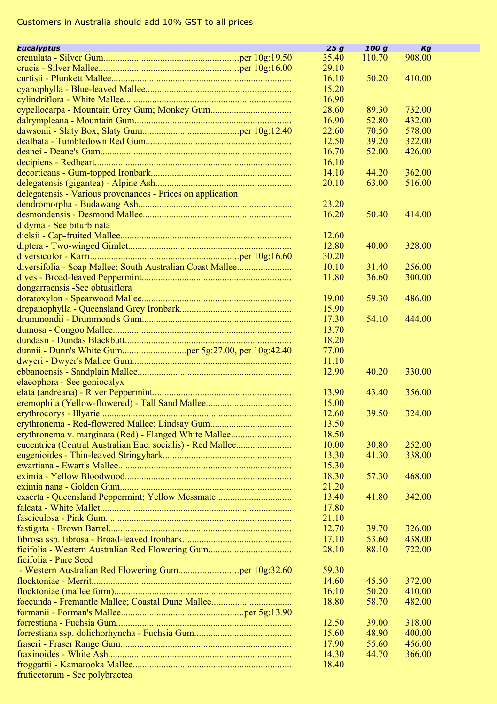| <b>Eucalyptus</b>                                          | 25g   | 100 g  | Kg     |
|------------------------------------------------------------|-------|--------|--------|
|                                                            | 35.40 | 110.70 | 908.00 |
|                                                            | 29.10 |        |        |
|                                                            | 16.10 | 50.20  | 410.00 |
|                                                            | 15.20 |        |        |
|                                                            | 16.90 |        |        |
|                                                            | 28.60 | 89.30  | 732.00 |
|                                                            | 16.90 | 52.80  | 432.00 |
|                                                            | 22.60 | 70.50  | 578.00 |
|                                                            | 12.50 | 39.20  | 322.00 |
|                                                            | 16.70 | 52.00  | 426.00 |
|                                                            | 16.10 |        |        |
|                                                            | 14.10 | 44.20  | 362.00 |
|                                                            | 20.10 | 63.00  | 516.00 |
| delegatensis - Various provenances - Prices on application |       |        |        |
|                                                            | 23.20 |        |        |
|                                                            | 16.20 | 50.40  | 414.00 |
| didyma - See biturbinata                                   |       |        |        |
|                                                            | 12.60 |        |        |
|                                                            | 12.80 | 40.00  | 328.00 |
|                                                            | 30.20 |        |        |
| diversifolia - Soap Mallee; South Australian Coast Mallee  | 10.10 | 31.40  | 256.00 |
|                                                            |       |        |        |
|                                                            | 11.80 | 36.60  | 300.00 |
| dongarraensis - See obtusiflora                            |       |        |        |
|                                                            | 19.00 | 59.30  | 486.00 |
|                                                            | 15.90 |        |        |
|                                                            | 17.30 | 54.10  | 444.00 |
|                                                            | 13.70 |        |        |
|                                                            | 18.20 |        |        |
|                                                            | 77.00 |        |        |
|                                                            | 11.10 |        |        |
|                                                            | 12.90 | 40.20  | 330.00 |
| elaeophora - See goniocalyx                                |       |        |        |
|                                                            | 13.90 | 43.40  | 356.00 |
|                                                            | 15.00 |        |        |
|                                                            | 12.60 | 39.50  | 324.00 |
| erythronema - Red-flowered Mallee; Lindsay Gum             | 13.50 |        |        |
| erythronema v. marginata (Red) - Flanged White Mallee      | 18.50 |        |        |
| eucentrica (Central Australian Euc. socialis) - Red Mallee | 10.00 | 30.80  | 252.00 |
|                                                            | 13.30 | 41.30  | 338.00 |
|                                                            | 15.30 |        |        |
|                                                            | 18.30 | 57.30  | 468.00 |
|                                                            | 21.20 |        |        |
| exserta - Queensland Peppermint; Yellow Messmate           | 13.40 | 41.80  | 342.00 |
|                                                            | 17.80 |        |        |
|                                                            | 21.10 |        |        |
|                                                            | 12.70 | 39.70  | 326.00 |
|                                                            | 17.10 | 53.60  | 438.00 |
|                                                            | 28.10 | 88.10  | 722.00 |
| ficifolia - Pure Seed                                      |       |        |        |
|                                                            | 59.30 |        |        |
|                                                            | 14.60 | 45.50  | 372.00 |
|                                                            | 16.10 | 50.20  | 410.00 |
|                                                            | 18.80 | 58.70  | 482.00 |
|                                                            |       |        |        |
|                                                            | 12.50 | 39.00  | 318.00 |
|                                                            | 15.60 | 48.90  | 400.00 |
|                                                            | 17.90 | 55.60  | 456.00 |
|                                                            | 14.30 | 44.70  | 366.00 |
|                                                            | 18.40 |        |        |
| fruticetorum - See polybractea                             |       |        |        |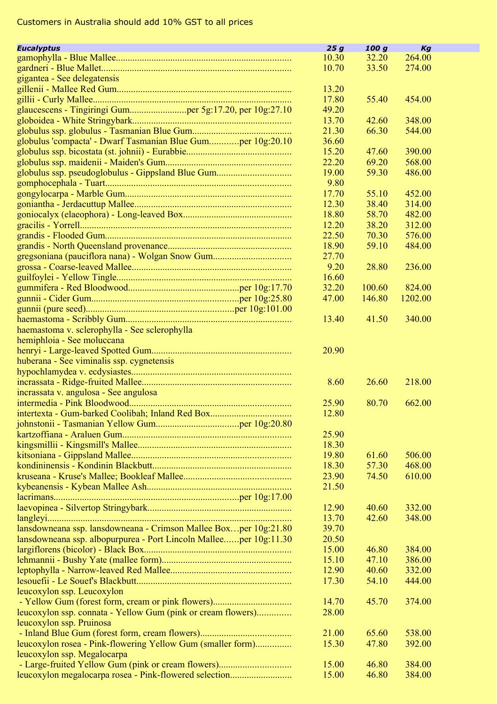| <b>Eucalyptus</b>                                                 | 25g   | 100 g          | Кg      |  |
|-------------------------------------------------------------------|-------|----------------|---------|--|
|                                                                   | 10.30 | 32.20          | 264.00  |  |
|                                                                   | 10.70 | 33.50          | 274.00  |  |
| gigantea - See delegatensis                                       |       |                |         |  |
|                                                                   | 13.20 |                |         |  |
|                                                                   | 17.80 | 55.40          | 454.00  |  |
| glaucescens - Tingiringi Gumper 5g:17.20, per 10g:27.10           | 49.20 |                |         |  |
|                                                                   | 13.70 | 42.60          | 348.00  |  |
|                                                                   | 21.30 | 66.30          | 544.00  |  |
| globulus 'compacta' - Dwarf Tasmanian Blue Gumper 10g:20.10       | 36.60 |                |         |  |
|                                                                   | 15.20 | 47.60          | 390.00  |  |
|                                                                   | 22.20 | 69.20          | 568.00  |  |
| globulus ssp. pseudoglobulus - Gippsland Blue Gum                 | 19.00 | 59.30          | 486.00  |  |
|                                                                   | 9.80  |                |         |  |
|                                                                   | 17.70 |                | 452.00  |  |
|                                                                   | 12.30 | 55.10<br>38.40 | 314.00  |  |
|                                                                   | 18.80 | 58.70          | 482.00  |  |
|                                                                   |       | 38.20          |         |  |
|                                                                   | 12.20 | 70.30          | 312.00  |  |
|                                                                   | 22.50 |                | 576.00  |  |
|                                                                   | 18.90 | 59.10          | 484.00  |  |
|                                                                   | 27.70 |                |         |  |
|                                                                   | 9.20  | 28.80          | 236.00  |  |
|                                                                   | 16.60 |                |         |  |
|                                                                   | 32.20 | 100.60         | 824.00  |  |
|                                                                   | 47.00 | 146.80         | 1202.00 |  |
|                                                                   |       |                |         |  |
|                                                                   | 13.40 | 41.50          | 340.00  |  |
| haemastoma v. sclerophylla - See sclerophylla                     |       |                |         |  |
| hemiphloia - See moluccana                                        |       |                |         |  |
|                                                                   | 20.90 |                |         |  |
| huberana - See viminalis ssp. cygnetensis                         |       |                |         |  |
|                                                                   |       |                |         |  |
|                                                                   | 8.60  | 26.60          | 218.00  |  |
| incrassata v. angulosa - See angulosa                             |       |                |         |  |
|                                                                   | 25.90 | 80.70          | 662.00  |  |
|                                                                   | 12.80 |                |         |  |
|                                                                   |       |                |         |  |
|                                                                   | 25.90 |                |         |  |
|                                                                   | 18.30 |                |         |  |
|                                                                   | 19.80 | 61.60          | 506.00  |  |
|                                                                   | 18.30 | 57.30          | 468.00  |  |
|                                                                   | 23.90 | 74.50          | 610.00  |  |
|                                                                   | 21.50 |                |         |  |
|                                                                   |       |                |         |  |
|                                                                   | 12.90 | 40.60          | 332.00  |  |
|                                                                   | 13.70 | 42.60          | 348.00  |  |
| lansdowneana ssp. lansdowneana - Crimson Mallee Boxper 10g:21.80  | 39.70 |                |         |  |
| lansdowneana ssp. albopurpurea - Port Lincoln Malleeper 10g:11.30 | 20.50 |                |         |  |
|                                                                   | 15.00 | 46.80          | 384.00  |  |
|                                                                   | 15.10 | 47.10          | 386.00  |  |
|                                                                   | 12.90 | 40.60          | 332.00  |  |
|                                                                   | 17.30 | 54.10          | 444.00  |  |
| leucoxylon ssp. Leucoxylon                                        |       |                |         |  |
|                                                                   | 14.70 | 45.70          | 374.00  |  |
| leucoxylon ssp. connata - Yellow Gum (pink or cream flowers)      | 28.00 |                |         |  |
| leucoxylon ssp. Pruinosa                                          |       |                |         |  |
|                                                                   | 21.00 | 65.60          | 538.00  |  |
| leucoxylon rosea - Pink-flowering Yellow Gum (smaller form)       | 15.30 | 47.80          | 392.00  |  |
| leucoxylon ssp. Megalocarpa                                       |       |                |         |  |
| - Large-fruited Yellow Gum (pink or cream flowers)                | 15.00 | 46.80          | 384.00  |  |
| leucoxylon megalocarpa rosea - Pink-flowered selection            | 15.00 | 46.80          | 384.00  |  |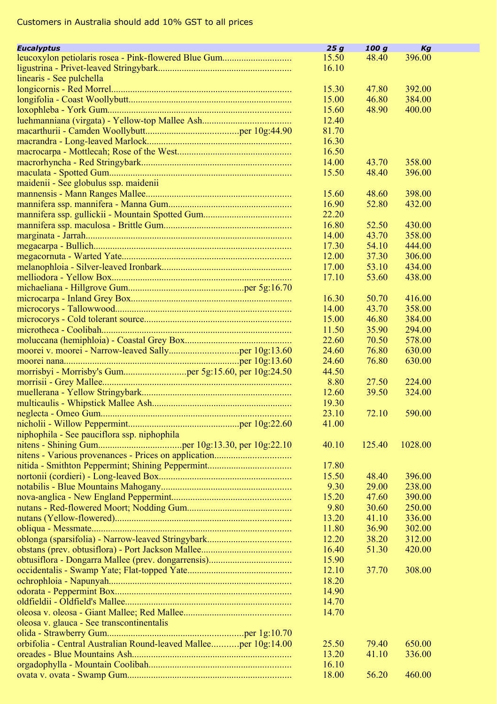| <b>Eucalvptus</b>                                               | 25g   | 100g   | Kg               |  |
|-----------------------------------------------------------------|-------|--------|------------------|--|
|                                                                 | 15.50 | 48.40  | 396.00           |  |
|                                                                 | 16.10 |        |                  |  |
| linearis - See pulchella                                        |       |        |                  |  |
|                                                                 | 15.30 | 47.80  | 392.00           |  |
|                                                                 | 15.00 | 46.80  | 384.00           |  |
|                                                                 | 15.60 | 48.90  | 400.00           |  |
|                                                                 | 12.40 |        |                  |  |
|                                                                 | 81.70 |        |                  |  |
|                                                                 | 16.30 |        |                  |  |
|                                                                 | 16.50 |        |                  |  |
|                                                                 | 14.00 | 43.70  | 358.00           |  |
|                                                                 | 15.50 | 48.40  | 396.00           |  |
| maidenii - See globulus ssp. maidenii                           |       |        |                  |  |
|                                                                 | 15.60 | 48.60  | 398.00           |  |
|                                                                 | 16.90 | 52.80  | 432.00           |  |
|                                                                 | 22.20 |        |                  |  |
|                                                                 | 16.80 | 52.50  | 430.00           |  |
|                                                                 | 14.00 | 43.70  | 358.00           |  |
|                                                                 | 17.30 | 54.10  | 444.00           |  |
|                                                                 | 12.00 | 37.30  | 306.00           |  |
|                                                                 | 17.00 | 53.10  | 434.00           |  |
|                                                                 | 17.10 | 53.60  | 438.00           |  |
|                                                                 |       |        |                  |  |
|                                                                 | 16.30 | 50.70  | 416.00           |  |
|                                                                 | 14.00 | 43.70  | 358.00           |  |
|                                                                 | 15.00 | 46.80  | 384.00           |  |
|                                                                 |       |        |                  |  |
|                                                                 | 11.50 | 35.90  | 294.00           |  |
|                                                                 | 22.60 | 70.50  | 578.00           |  |
|                                                                 | 24.60 | 76.80  | 630.00<br>630.00 |  |
|                                                                 | 24.60 | 76.80  |                  |  |
|                                                                 | 44.50 |        |                  |  |
|                                                                 | 8.80  | 27.50  | 224.00           |  |
|                                                                 | 12.60 | 39.50  | 324.00           |  |
|                                                                 | 19.30 |        |                  |  |
|                                                                 | 23.10 | 72.10  | 590.00           |  |
|                                                                 | 41.00 |        |                  |  |
| niphophila - See pauciflora ssp. niphophila                     |       |        |                  |  |
|                                                                 | 40.10 | 125.40 | 1028.00          |  |
|                                                                 |       |        |                  |  |
|                                                                 | 17.80 |        |                  |  |
|                                                                 | 15.50 | 48.40  | 396.00           |  |
|                                                                 | 9.30  | 29.00  | 238.00           |  |
|                                                                 | 15.20 | 47.60  | 390.00           |  |
|                                                                 | 9.80  | 30.60  | 250.00           |  |
|                                                                 | 13.20 | 41.10  | 336.00           |  |
|                                                                 | 11.80 | 36.90  | 302.00           |  |
|                                                                 | 12.20 | 38.20  | 312.00           |  |
|                                                                 | 16.40 | 51.30  | 420.00           |  |
|                                                                 | 15.90 |        |                  |  |
|                                                                 | 12.10 | 37.70  | 308.00           |  |
|                                                                 | 18.20 |        |                  |  |
|                                                                 | 14.90 |        |                  |  |
|                                                                 | 14.70 |        |                  |  |
|                                                                 | 14.70 |        |                  |  |
| oleosa v. glauca - See transcontinentalis                       |       |        |                  |  |
|                                                                 |       |        |                  |  |
| orbifolia - Central Australian Round-leaved Malleeper 10g:14.00 | 25.50 | 79.40  | 650.00           |  |
|                                                                 | 13.20 | 41.10  | 336.00           |  |
|                                                                 | 16.10 |        |                  |  |
|                                                                 | 18.00 | 56.20  | 460.00           |  |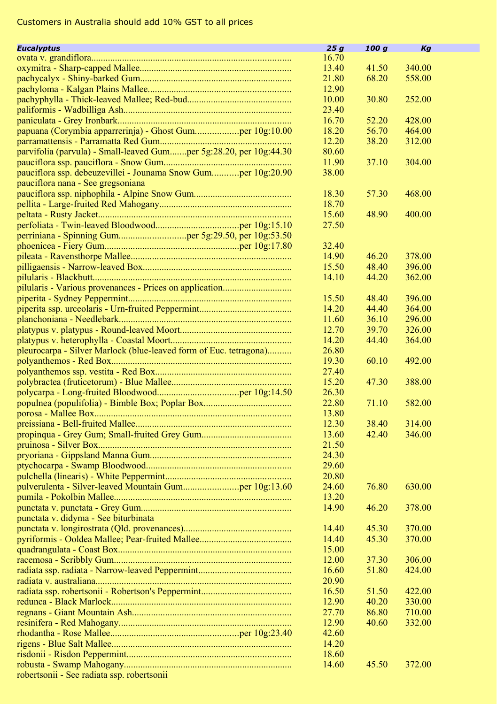| 16.70<br>13.40<br>41.50<br>340.00<br>21.80<br>68.20<br>558.00<br>12.90<br>10.00<br>30.80<br>252.00<br>23.40<br>16.70<br>52.20<br>428.00<br>papuana (Corymbia apparrerinja) - Ghost Gumper 10g:10.00<br>56.70<br>464.00<br>18.20<br>12.20<br>38.20<br>312.00<br>parvifolia (parvula) - Small-leaved Gumper 5g:28.20, per 10g:44.30<br>80.60<br>11.90<br>37.10<br>304.00<br>pauciflora ssp. debeuzevillei - Jounama Snow Gumper 10g:20.90<br>38.00<br>pauciflora nana - See gregsoniana<br>57.30<br>468.00<br>18.30<br>18.70<br>15.60<br>48.90<br>400.00<br>27.50<br>32.40<br>46.20<br>14.90<br>378.00<br>15.50<br>48.40<br>396.00<br>14.10<br>44.20<br>362.00<br>15.50<br>48.40<br>396.00<br>14.20<br>44.40<br>364.00<br>36.10<br>11.60<br>296.00<br>39.70<br>12.70<br>326.00<br>44.40<br>14.20<br>364.00<br>pleurocarpa - Silver Marlock (blue-leaved form of Euc. tetragona)<br>26.80<br>19.30<br>60.10<br>492.00<br>27.40<br>15.20<br>47.30<br>388.00<br>26.30<br>22.80<br>71.10<br>582.00<br>13.80<br>12.30<br>38.40<br>314.00<br>13.60<br>42.40<br>346.00<br>21.50<br>24.30<br>29.60<br>20.80<br>24.60<br>630.00<br>76.80<br>13.20<br>14.90<br>46.20<br>378.00<br>punctata v. didyma - See biturbinata<br>14.40<br>45.30<br>370.00<br>14.40<br>45.30<br>370.00<br>15.00<br>12.00<br>37.30<br>306.00<br>16.60<br>51.80<br>424.00<br>20.90<br>16.50<br>51.50<br>422.00<br>12.90<br>40.20<br>330.00<br>27.70<br>86.80<br>710.00<br>12.90<br>40.60<br>332.00<br>42.60<br>14.20<br>18.60<br>14.60<br>45.50<br>372.00 | <b>Eucalyptus</b>                          | 25g | 100 g | Kg |
|---------------------------------------------------------------------------------------------------------------------------------------------------------------------------------------------------------------------------------------------------------------------------------------------------------------------------------------------------------------------------------------------------------------------------------------------------------------------------------------------------------------------------------------------------------------------------------------------------------------------------------------------------------------------------------------------------------------------------------------------------------------------------------------------------------------------------------------------------------------------------------------------------------------------------------------------------------------------------------------------------------------------------------------------------------------------------------------------------------------------------------------------------------------------------------------------------------------------------------------------------------------------------------------------------------------------------------------------------------------------------------------------------------------------------------------------------------------------------------------------------------------------|--------------------------------------------|-----|-------|----|
|                                                                                                                                                                                                                                                                                                                                                                                                                                                                                                                                                                                                                                                                                                                                                                                                                                                                                                                                                                                                                                                                                                                                                                                                                                                                                                                                                                                                                                                                                                                     |                                            |     |       |    |
|                                                                                                                                                                                                                                                                                                                                                                                                                                                                                                                                                                                                                                                                                                                                                                                                                                                                                                                                                                                                                                                                                                                                                                                                                                                                                                                                                                                                                                                                                                                     |                                            |     |       |    |
|                                                                                                                                                                                                                                                                                                                                                                                                                                                                                                                                                                                                                                                                                                                                                                                                                                                                                                                                                                                                                                                                                                                                                                                                                                                                                                                                                                                                                                                                                                                     |                                            |     |       |    |
|                                                                                                                                                                                                                                                                                                                                                                                                                                                                                                                                                                                                                                                                                                                                                                                                                                                                                                                                                                                                                                                                                                                                                                                                                                                                                                                                                                                                                                                                                                                     |                                            |     |       |    |
|                                                                                                                                                                                                                                                                                                                                                                                                                                                                                                                                                                                                                                                                                                                                                                                                                                                                                                                                                                                                                                                                                                                                                                                                                                                                                                                                                                                                                                                                                                                     |                                            |     |       |    |
|                                                                                                                                                                                                                                                                                                                                                                                                                                                                                                                                                                                                                                                                                                                                                                                                                                                                                                                                                                                                                                                                                                                                                                                                                                                                                                                                                                                                                                                                                                                     |                                            |     |       |    |
|                                                                                                                                                                                                                                                                                                                                                                                                                                                                                                                                                                                                                                                                                                                                                                                                                                                                                                                                                                                                                                                                                                                                                                                                                                                                                                                                                                                                                                                                                                                     |                                            |     |       |    |
|                                                                                                                                                                                                                                                                                                                                                                                                                                                                                                                                                                                                                                                                                                                                                                                                                                                                                                                                                                                                                                                                                                                                                                                                                                                                                                                                                                                                                                                                                                                     |                                            |     |       |    |
|                                                                                                                                                                                                                                                                                                                                                                                                                                                                                                                                                                                                                                                                                                                                                                                                                                                                                                                                                                                                                                                                                                                                                                                                                                                                                                                                                                                                                                                                                                                     |                                            |     |       |    |
|                                                                                                                                                                                                                                                                                                                                                                                                                                                                                                                                                                                                                                                                                                                                                                                                                                                                                                                                                                                                                                                                                                                                                                                                                                                                                                                                                                                                                                                                                                                     |                                            |     |       |    |
|                                                                                                                                                                                                                                                                                                                                                                                                                                                                                                                                                                                                                                                                                                                                                                                                                                                                                                                                                                                                                                                                                                                                                                                                                                                                                                                                                                                                                                                                                                                     |                                            |     |       |    |
|                                                                                                                                                                                                                                                                                                                                                                                                                                                                                                                                                                                                                                                                                                                                                                                                                                                                                                                                                                                                                                                                                                                                                                                                                                                                                                                                                                                                                                                                                                                     |                                            |     |       |    |
|                                                                                                                                                                                                                                                                                                                                                                                                                                                                                                                                                                                                                                                                                                                                                                                                                                                                                                                                                                                                                                                                                                                                                                                                                                                                                                                                                                                                                                                                                                                     |                                            |     |       |    |
|                                                                                                                                                                                                                                                                                                                                                                                                                                                                                                                                                                                                                                                                                                                                                                                                                                                                                                                                                                                                                                                                                                                                                                                                                                                                                                                                                                                                                                                                                                                     |                                            |     |       |    |
|                                                                                                                                                                                                                                                                                                                                                                                                                                                                                                                                                                                                                                                                                                                                                                                                                                                                                                                                                                                                                                                                                                                                                                                                                                                                                                                                                                                                                                                                                                                     |                                            |     |       |    |
|                                                                                                                                                                                                                                                                                                                                                                                                                                                                                                                                                                                                                                                                                                                                                                                                                                                                                                                                                                                                                                                                                                                                                                                                                                                                                                                                                                                                                                                                                                                     |                                            |     |       |    |
|                                                                                                                                                                                                                                                                                                                                                                                                                                                                                                                                                                                                                                                                                                                                                                                                                                                                                                                                                                                                                                                                                                                                                                                                                                                                                                                                                                                                                                                                                                                     |                                            |     |       |    |
|                                                                                                                                                                                                                                                                                                                                                                                                                                                                                                                                                                                                                                                                                                                                                                                                                                                                                                                                                                                                                                                                                                                                                                                                                                                                                                                                                                                                                                                                                                                     |                                            |     |       |    |
|                                                                                                                                                                                                                                                                                                                                                                                                                                                                                                                                                                                                                                                                                                                                                                                                                                                                                                                                                                                                                                                                                                                                                                                                                                                                                                                                                                                                                                                                                                                     |                                            |     |       |    |
|                                                                                                                                                                                                                                                                                                                                                                                                                                                                                                                                                                                                                                                                                                                                                                                                                                                                                                                                                                                                                                                                                                                                                                                                                                                                                                                                                                                                                                                                                                                     |                                            |     |       |    |
|                                                                                                                                                                                                                                                                                                                                                                                                                                                                                                                                                                                                                                                                                                                                                                                                                                                                                                                                                                                                                                                                                                                                                                                                                                                                                                                                                                                                                                                                                                                     |                                            |     |       |    |
|                                                                                                                                                                                                                                                                                                                                                                                                                                                                                                                                                                                                                                                                                                                                                                                                                                                                                                                                                                                                                                                                                                                                                                                                                                                                                                                                                                                                                                                                                                                     |                                            |     |       |    |
|                                                                                                                                                                                                                                                                                                                                                                                                                                                                                                                                                                                                                                                                                                                                                                                                                                                                                                                                                                                                                                                                                                                                                                                                                                                                                                                                                                                                                                                                                                                     |                                            |     |       |    |
|                                                                                                                                                                                                                                                                                                                                                                                                                                                                                                                                                                                                                                                                                                                                                                                                                                                                                                                                                                                                                                                                                                                                                                                                                                                                                                                                                                                                                                                                                                                     |                                            |     |       |    |
|                                                                                                                                                                                                                                                                                                                                                                                                                                                                                                                                                                                                                                                                                                                                                                                                                                                                                                                                                                                                                                                                                                                                                                                                                                                                                                                                                                                                                                                                                                                     |                                            |     |       |    |
|                                                                                                                                                                                                                                                                                                                                                                                                                                                                                                                                                                                                                                                                                                                                                                                                                                                                                                                                                                                                                                                                                                                                                                                                                                                                                                                                                                                                                                                                                                                     |                                            |     |       |    |
|                                                                                                                                                                                                                                                                                                                                                                                                                                                                                                                                                                                                                                                                                                                                                                                                                                                                                                                                                                                                                                                                                                                                                                                                                                                                                                                                                                                                                                                                                                                     |                                            |     |       |    |
|                                                                                                                                                                                                                                                                                                                                                                                                                                                                                                                                                                                                                                                                                                                                                                                                                                                                                                                                                                                                                                                                                                                                                                                                                                                                                                                                                                                                                                                                                                                     |                                            |     |       |    |
|                                                                                                                                                                                                                                                                                                                                                                                                                                                                                                                                                                                                                                                                                                                                                                                                                                                                                                                                                                                                                                                                                                                                                                                                                                                                                                                                                                                                                                                                                                                     |                                            |     |       |    |
|                                                                                                                                                                                                                                                                                                                                                                                                                                                                                                                                                                                                                                                                                                                                                                                                                                                                                                                                                                                                                                                                                                                                                                                                                                                                                                                                                                                                                                                                                                                     |                                            |     |       |    |
|                                                                                                                                                                                                                                                                                                                                                                                                                                                                                                                                                                                                                                                                                                                                                                                                                                                                                                                                                                                                                                                                                                                                                                                                                                                                                                                                                                                                                                                                                                                     |                                            |     |       |    |
|                                                                                                                                                                                                                                                                                                                                                                                                                                                                                                                                                                                                                                                                                                                                                                                                                                                                                                                                                                                                                                                                                                                                                                                                                                                                                                                                                                                                                                                                                                                     |                                            |     |       |    |
|                                                                                                                                                                                                                                                                                                                                                                                                                                                                                                                                                                                                                                                                                                                                                                                                                                                                                                                                                                                                                                                                                                                                                                                                                                                                                                                                                                                                                                                                                                                     |                                            |     |       |    |
|                                                                                                                                                                                                                                                                                                                                                                                                                                                                                                                                                                                                                                                                                                                                                                                                                                                                                                                                                                                                                                                                                                                                                                                                                                                                                                                                                                                                                                                                                                                     |                                            |     |       |    |
|                                                                                                                                                                                                                                                                                                                                                                                                                                                                                                                                                                                                                                                                                                                                                                                                                                                                                                                                                                                                                                                                                                                                                                                                                                                                                                                                                                                                                                                                                                                     |                                            |     |       |    |
|                                                                                                                                                                                                                                                                                                                                                                                                                                                                                                                                                                                                                                                                                                                                                                                                                                                                                                                                                                                                                                                                                                                                                                                                                                                                                                                                                                                                                                                                                                                     |                                            |     |       |    |
|                                                                                                                                                                                                                                                                                                                                                                                                                                                                                                                                                                                                                                                                                                                                                                                                                                                                                                                                                                                                                                                                                                                                                                                                                                                                                                                                                                                                                                                                                                                     |                                            |     |       |    |
|                                                                                                                                                                                                                                                                                                                                                                                                                                                                                                                                                                                                                                                                                                                                                                                                                                                                                                                                                                                                                                                                                                                                                                                                                                                                                                                                                                                                                                                                                                                     |                                            |     |       |    |
|                                                                                                                                                                                                                                                                                                                                                                                                                                                                                                                                                                                                                                                                                                                                                                                                                                                                                                                                                                                                                                                                                                                                                                                                                                                                                                                                                                                                                                                                                                                     |                                            |     |       |    |
|                                                                                                                                                                                                                                                                                                                                                                                                                                                                                                                                                                                                                                                                                                                                                                                                                                                                                                                                                                                                                                                                                                                                                                                                                                                                                                                                                                                                                                                                                                                     |                                            |     |       |    |
|                                                                                                                                                                                                                                                                                                                                                                                                                                                                                                                                                                                                                                                                                                                                                                                                                                                                                                                                                                                                                                                                                                                                                                                                                                                                                                                                                                                                                                                                                                                     |                                            |     |       |    |
|                                                                                                                                                                                                                                                                                                                                                                                                                                                                                                                                                                                                                                                                                                                                                                                                                                                                                                                                                                                                                                                                                                                                                                                                                                                                                                                                                                                                                                                                                                                     |                                            |     |       |    |
|                                                                                                                                                                                                                                                                                                                                                                                                                                                                                                                                                                                                                                                                                                                                                                                                                                                                                                                                                                                                                                                                                                                                                                                                                                                                                                                                                                                                                                                                                                                     |                                            |     |       |    |
|                                                                                                                                                                                                                                                                                                                                                                                                                                                                                                                                                                                                                                                                                                                                                                                                                                                                                                                                                                                                                                                                                                                                                                                                                                                                                                                                                                                                                                                                                                                     |                                            |     |       |    |
|                                                                                                                                                                                                                                                                                                                                                                                                                                                                                                                                                                                                                                                                                                                                                                                                                                                                                                                                                                                                                                                                                                                                                                                                                                                                                                                                                                                                                                                                                                                     |                                            |     |       |    |
|                                                                                                                                                                                                                                                                                                                                                                                                                                                                                                                                                                                                                                                                                                                                                                                                                                                                                                                                                                                                                                                                                                                                                                                                                                                                                                                                                                                                                                                                                                                     |                                            |     |       |    |
|                                                                                                                                                                                                                                                                                                                                                                                                                                                                                                                                                                                                                                                                                                                                                                                                                                                                                                                                                                                                                                                                                                                                                                                                                                                                                                                                                                                                                                                                                                                     |                                            |     |       |    |
|                                                                                                                                                                                                                                                                                                                                                                                                                                                                                                                                                                                                                                                                                                                                                                                                                                                                                                                                                                                                                                                                                                                                                                                                                                                                                                                                                                                                                                                                                                                     |                                            |     |       |    |
|                                                                                                                                                                                                                                                                                                                                                                                                                                                                                                                                                                                                                                                                                                                                                                                                                                                                                                                                                                                                                                                                                                                                                                                                                                                                                                                                                                                                                                                                                                                     |                                            |     |       |    |
|                                                                                                                                                                                                                                                                                                                                                                                                                                                                                                                                                                                                                                                                                                                                                                                                                                                                                                                                                                                                                                                                                                                                                                                                                                                                                                                                                                                                                                                                                                                     |                                            |     |       |    |
|                                                                                                                                                                                                                                                                                                                                                                                                                                                                                                                                                                                                                                                                                                                                                                                                                                                                                                                                                                                                                                                                                                                                                                                                                                                                                                                                                                                                                                                                                                                     |                                            |     |       |    |
|                                                                                                                                                                                                                                                                                                                                                                                                                                                                                                                                                                                                                                                                                                                                                                                                                                                                                                                                                                                                                                                                                                                                                                                                                                                                                                                                                                                                                                                                                                                     |                                            |     |       |    |
|                                                                                                                                                                                                                                                                                                                                                                                                                                                                                                                                                                                                                                                                                                                                                                                                                                                                                                                                                                                                                                                                                                                                                                                                                                                                                                                                                                                                                                                                                                                     |                                            |     |       |    |
|                                                                                                                                                                                                                                                                                                                                                                                                                                                                                                                                                                                                                                                                                                                                                                                                                                                                                                                                                                                                                                                                                                                                                                                                                                                                                                                                                                                                                                                                                                                     |                                            |     |       |    |
|                                                                                                                                                                                                                                                                                                                                                                                                                                                                                                                                                                                                                                                                                                                                                                                                                                                                                                                                                                                                                                                                                                                                                                                                                                                                                                                                                                                                                                                                                                                     |                                            |     |       |    |
|                                                                                                                                                                                                                                                                                                                                                                                                                                                                                                                                                                                                                                                                                                                                                                                                                                                                                                                                                                                                                                                                                                                                                                                                                                                                                                                                                                                                                                                                                                                     |                                            |     |       |    |
|                                                                                                                                                                                                                                                                                                                                                                                                                                                                                                                                                                                                                                                                                                                                                                                                                                                                                                                                                                                                                                                                                                                                                                                                                                                                                                                                                                                                                                                                                                                     |                                            |     |       |    |
|                                                                                                                                                                                                                                                                                                                                                                                                                                                                                                                                                                                                                                                                                                                                                                                                                                                                                                                                                                                                                                                                                                                                                                                                                                                                                                                                                                                                                                                                                                                     |                                            |     |       |    |
|                                                                                                                                                                                                                                                                                                                                                                                                                                                                                                                                                                                                                                                                                                                                                                                                                                                                                                                                                                                                                                                                                                                                                                                                                                                                                                                                                                                                                                                                                                                     | robertsonii - See radiata ssp. robertsonii |     |       |    |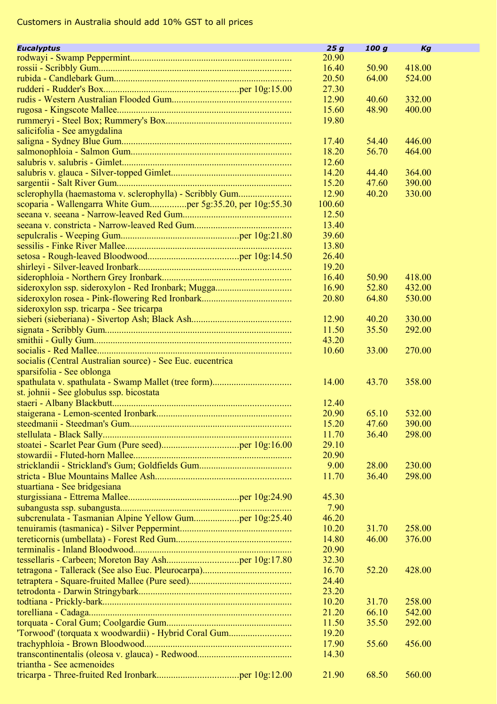| <b>Eucalyptus</b>                                          | 25g    | 100 g | Kg     |  |
|------------------------------------------------------------|--------|-------|--------|--|
|                                                            | 20.90  |       |        |  |
|                                                            | 16.40  | 50.90 | 418.00 |  |
|                                                            | 20.50  | 64.00 | 524.00 |  |
|                                                            | 27.30  |       |        |  |
|                                                            |        |       |        |  |
|                                                            | 12.90  | 40.60 | 332.00 |  |
|                                                            | 15.60  | 48.90 | 400.00 |  |
|                                                            | 19.80  |       |        |  |
| salicifolia - See amygdalina                               |        |       |        |  |
|                                                            | 17.40  | 54.40 | 446.00 |  |
|                                                            | 18.20  | 56.70 | 464.00 |  |
|                                                            | 12.60  |       |        |  |
|                                                            | 14.20  | 44.40 | 364.00 |  |
|                                                            | 15.20  | 47.60 | 390.00 |  |
| sclerophylla (haemastoma v. sclerophylla) - Scribbly Gum   | 12.90  | 40.20 | 330.00 |  |
|                                                            | 100.60 |       |        |  |
|                                                            | 12.50  |       |        |  |
|                                                            | 13.40  |       |        |  |
|                                                            | 39.60  |       |        |  |
|                                                            | 13.80  |       |        |  |
|                                                            | 26.40  |       |        |  |
|                                                            | 19.20  |       |        |  |
|                                                            | 16.40  | 50.90 | 418.00 |  |
|                                                            | 16.90  | 52.80 | 432.00 |  |
|                                                            | 20.80  | 64.80 | 530.00 |  |
|                                                            |        |       |        |  |
| sideroxylon ssp. tricarpa - See tricarpa                   |        |       |        |  |
|                                                            | 12.90  | 40.20 | 330.00 |  |
|                                                            | 11.50  | 35.50 | 292.00 |  |
|                                                            | 43.20  |       |        |  |
|                                                            | 10.60  | 33.00 | 270.00 |  |
| socialis (Central Australian source) - See Euc. eucentrica |        |       |        |  |
| sparsifolia - See oblonga                                  |        |       |        |  |
|                                                            | 14.00  | 43.70 | 358.00 |  |
| st. johnii - See globulus ssp. bicostata                   |        |       |        |  |
|                                                            | 12.40  |       |        |  |
|                                                            | 20.90  | 65.10 | 532.00 |  |
|                                                            | 15.20  | 47.60 | 390.00 |  |
|                                                            | 11.70  | 36.40 | 298.00 |  |
|                                                            | 29.10  |       |        |  |
|                                                            | 20.90  |       |        |  |
|                                                            | 9.00   | 28.00 | 230.00 |  |
|                                                            | 11.70  | 36.40 | 298.00 |  |
| stuartiana - See bridgesiana                               |        |       |        |  |
|                                                            | 45.30  |       |        |  |
|                                                            | 7.90   |       |        |  |
| subcrenulata - Tasmanian Alpine Yellow Gumper 10g:25.40    | 46.20  |       |        |  |
|                                                            | 10.20  | 31.70 | 258.00 |  |
|                                                            | 14.80  | 46.00 | 376.00 |  |
|                                                            | 20.90  |       |        |  |
|                                                            | 32.30  |       |        |  |
|                                                            | 16.70  | 52.20 | 428.00 |  |
|                                                            |        |       |        |  |
|                                                            | 24.40  |       |        |  |
|                                                            | 23.20  |       |        |  |
|                                                            | 10.20  | 31.70 | 258.00 |  |
|                                                            | 21.20  | 66.10 | 542.00 |  |
|                                                            | 11.50  | 35.50 | 292.00 |  |
| 'Torwood' (torquata x woodwardii) - Hybrid Coral Gum       | 19.20  |       |        |  |
|                                                            | 17.90  | 55.60 | 456.00 |  |
|                                                            | 14.30  |       |        |  |
| triantha - See acmenoides                                  |        |       |        |  |
|                                                            | 21.90  | 68.50 | 560.00 |  |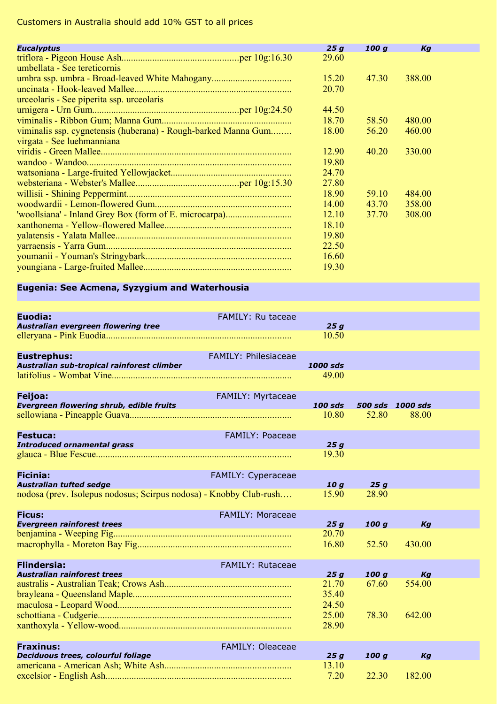| <b>Eucalyptus</b>                                              | 25q   | 100 g | Kg     |  |
|----------------------------------------------------------------|-------|-------|--------|--|
|                                                                | 29.60 |       |        |  |
| umbellata - See tereticornis                                   |       |       |        |  |
|                                                                | 15.20 | 47.30 | 388.00 |  |
|                                                                | 20.70 |       |        |  |
| urceolaris - See piperita ssp. urceolaris                      |       |       |        |  |
|                                                                | 44.50 |       |        |  |
|                                                                | 18.70 | 58.50 | 480.00 |  |
| viminalis ssp. cygnetensis (huberana) - Rough-barked Manna Gum | 18.00 | 56.20 | 460.00 |  |
| virgata - See luehmanniana                                     |       |       |        |  |
|                                                                | 12.90 | 40.20 | 330.00 |  |
|                                                                | 19.80 |       |        |  |
|                                                                | 24.70 |       |        |  |
|                                                                | 27.80 |       |        |  |
|                                                                | 18.90 | 59.10 | 484.00 |  |
|                                                                | 14.00 | 43.70 | 358.00 |  |
|                                                                | 12.10 | 37.70 | 308.00 |  |
|                                                                | 18.10 |       |        |  |
|                                                                | 19.80 |       |        |  |
|                                                                | 22.50 |       |        |  |
|                                                                | 16.60 |       |        |  |
|                                                                | 19.30 |       |        |  |

m,

## **Eugenia: See Acmena, Syzygium and Waterhousia**

| Euodia:<br>Australian evergreen flowering tree                                                                          | <b>FAMILY: Ru taceae</b>    | 25q                     |              |                           |  |
|-------------------------------------------------------------------------------------------------------------------------|-----------------------------|-------------------------|--------------|---------------------------|--|
|                                                                                                                         |                             | 10.50                   |              |                           |  |
| <b>Eustrephus:</b><br>Australian sub-tropical rainforest climber                                                        | <b>FAMILY: Philesiaceae</b> | 1000 sds<br>49.00       |              |                           |  |
| <b>Feijoa:</b><br>Evergreen flowering shrub, edible fruits                                                              | <b>FAMILY: Myrtaceae</b>    | $100$ sds<br>10.80      | 52.80        | 500 sds 1000 sds<br>88.00 |  |
| <b>Festuca:</b><br><b>Introduced ornamental grass</b><br><u>a sa sala sa sala sa sa sala sa sa</u>                      | <b>FAMILY: Poaceae</b>      | 25q<br>19.30            |              |                           |  |
| <b>Ficinia:</b><br><b>Australian tufted sedge</b><br>nodosa (prev. Isolepus nodosus; Scirpus nodosa) - Knobby Club-rush | FAMILY: Cyperaceae          | 10q<br>15.90            | 25q<br>28.90 |                           |  |
| <b>Ficus:</b><br><b>Evergreen rainforest trees</b><br><u> 1989 - Johann Stein, mars an t-Amerikaansk kommunister (</u>  | FAMILY: Moraceae            | 25q                     | 100q         | Ka                        |  |
|                                                                                                                         |                             | 20.70<br>16.80          | 52.50        | 430.00                    |  |
| <b>Flindersia:</b><br><b>Australian rainforest trees</b>                                                                | <b>FAMILY: Rutaceae</b>     | 25q                     | 100q         | Kg                        |  |
|                                                                                                                         |                             | 21.70<br>35.40<br>24.50 | 67.60        | 554.00                    |  |
|                                                                                                                         |                             | 25.00<br>28.90          | 78.30        | 642.00                    |  |
| <b>Fraxinus:</b><br>Deciduous trees, colourful foliage                                                                  | <b>FAMILY: Oleaceae</b>     | 25q                     | 100q         | Kg                        |  |
|                                                                                                                         |                             | 13.10<br>7.20           | 22.30        | 182.00                    |  |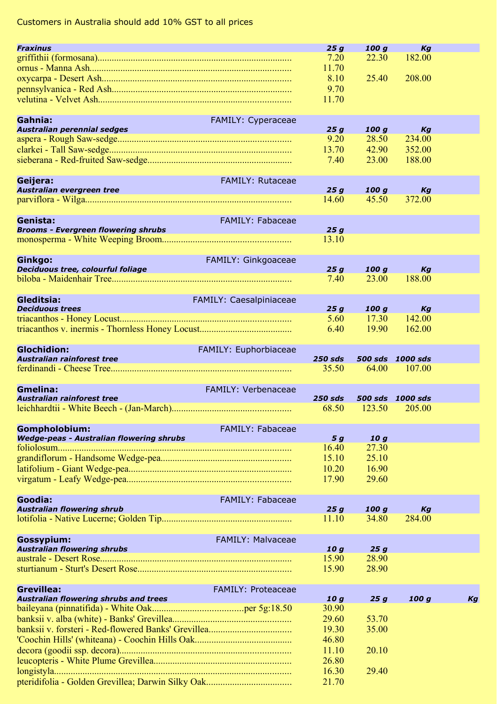| <b>Fraxinus</b>                                                                                                                                 |                            | 25g             | 100q   | Kg               |    |
|-------------------------------------------------------------------------------------------------------------------------------------------------|----------------------------|-----------------|--------|------------------|----|
|                                                                                                                                                 |                            | 7.20            | 22.30  | 182.00           |    |
|                                                                                                                                                 |                            | 11.70           |        |                  |    |
|                                                                                                                                                 |                            |                 |        |                  |    |
|                                                                                                                                                 |                            | 8.10            | 25.40  | 208.00           |    |
|                                                                                                                                                 |                            | 9.70            |        |                  |    |
|                                                                                                                                                 |                            | 11.70           |        |                  |    |
|                                                                                                                                                 |                            |                 |        |                  |    |
|                                                                                                                                                 |                            |                 |        |                  |    |
| Gahnia:<br>Australian perennial sedges<br>8spera - Pavel S                                                                                      | FAMILY: Cyperaceae         |                 |        |                  |    |
|                                                                                                                                                 |                            | 25g             | 100 g  | Кg               |    |
|                                                                                                                                                 |                            | 9.20            | 28.50  | 234.00           |    |
|                                                                                                                                                 |                            | 13.70           | 42.90  | 352.00           |    |
|                                                                                                                                                 |                            | 7.40            | 23.00  | 188.00           |    |
|                                                                                                                                                 |                            |                 |        |                  |    |
|                                                                                                                                                 |                            |                 |        |                  |    |
| Geijera:                                                                                                                                        | FAMILY: Rutaceae           |                 |        |                  |    |
| Australian evergreen tree                                                                                                                       |                            | 25g             | 100 g  | Kg               |    |
|                                                                                                                                                 |                            | 14.60           | 45.50  | 372.00           |    |
|                                                                                                                                                 |                            |                 |        |                  |    |
| Genista:                                                                                                                                        | <b>FAMILY: Fabaceae</b>    |                 |        |                  |    |
| <b>Brooms - Evergreen flowering shrubs</b>                                                                                                      |                            | 25g             |        |                  |    |
|                                                                                                                                                 |                            |                 |        |                  |    |
|                                                                                                                                                 |                            | 13.10           |        |                  |    |
|                                                                                                                                                 |                            |                 |        |                  |    |
| Ginkgo:                                                                                                                                         | FAMILY: Ginkgoaceae        |                 |        |                  |    |
| Deciduous tree, colourful foliage                                                                                                               |                            | 25g             | 100 g  | Kg               |    |
|                                                                                                                                                 |                            | 7.40            | 23.00  | 188.00           |    |
|                                                                                                                                                 |                            |                 |        |                  |    |
|                                                                                                                                                 |                            |                 |        |                  |    |
| Gleditsia:                                                                                                                                      | FAMILY: Caesalpiniaceae    |                 |        |                  |    |
| <b>Deciduous trees</b><br><b>Contract Contract Contract Contract Contract Contract Contract Contract Contract Contract Contract Contract Co</b> |                            | 25g             | 100 g  | Kg               |    |
|                                                                                                                                                 |                            | 5.60            | 17.30  | 142.00           |    |
|                                                                                                                                                 |                            | 6.40            | 19.90  | 162.00           |    |
|                                                                                                                                                 |                            |                 |        |                  |    |
|                                                                                                                                                 |                            |                 |        |                  |    |
| <b>Glochidion:</b>                                                                                                                              | FAMILY: Euphorbiaceae      |                 |        |                  |    |
| Australian rainforest tree                                                                                                                      |                            | <b>250 sds</b>  |        | 500 sds 1000 sds |    |
|                                                                                                                                                 |                            | 35.50           | 64.00  | 107.00           |    |
|                                                                                                                                                 |                            |                 |        |                  |    |
| <b>Gmelina:</b>                                                                                                                                 | <b>FAMILY: Verbenaceae</b> |                 |        |                  |    |
| <b>Australian rainforest tree</b>                                                                                                               |                            | <b>250 sds</b>  |        | 500 sds 1000 sds |    |
|                                                                                                                                                 |                            | 68.50           | 123.50 | 205.00           |    |
|                                                                                                                                                 |                            |                 |        |                  |    |
|                                                                                                                                                 |                            |                 |        |                  |    |
| Gompholobium:                                                                                                                                   | <b>FAMILY: Fabaceae</b>    |                 |        |                  |    |
| Wedge-peas - Australian flowering shrubs                                                                                                        |                            | 5 g             | 10g    |                  |    |
|                                                                                                                                                 |                            | 16.40           | 27.30  |                  |    |
|                                                                                                                                                 |                            | 15.10           | 25.10  |                  |    |
|                                                                                                                                                 |                            |                 |        |                  |    |
|                                                                                                                                                 |                            | 10.20           | 16.90  |                  |    |
|                                                                                                                                                 |                            | 17.90           | 29.60  |                  |    |
|                                                                                                                                                 |                            |                 |        |                  |    |
| Goodia:                                                                                                                                         | <b>FAMILY: Fabaceae</b>    |                 |        |                  |    |
| <b>Australian flowering shrub</b>                                                                                                               |                            | 25g             | 100 g  | Kg               |    |
|                                                                                                                                                 |                            | 11.10           | 34.80  | 284.00           |    |
|                                                                                                                                                 |                            |                 |        |                  |    |
|                                                                                                                                                 |                            |                 |        |                  |    |
| Gossypium:                                                                                                                                      | FAMILY: Malvaceae          |                 |        |                  |    |
| <b>Australian flowering shrubs</b>                                                                                                              |                            | 10 g            | 25g    |                  |    |
|                                                                                                                                                 |                            | 15.90           | 28.90  |                  |    |
|                                                                                                                                                 |                            | 15.90           | 28.90  |                  |    |
|                                                                                                                                                 |                            |                 |        |                  |    |
|                                                                                                                                                 |                            |                 |        |                  |    |
| <b>Grevillea:</b>                                                                                                                               | <b>FAMILY: Proteaceae</b>  |                 |        |                  |    |
| <b>Australian flowering shrubs and trees</b>                                                                                                    |                            | 10 <sub>g</sub> | 25g    | 100 g            | Kq |
|                                                                                                                                                 |                            | 30.90           |        |                  |    |
|                                                                                                                                                 |                            | 29.60           | 53.70  |                  |    |
|                                                                                                                                                 |                            | 19.30           | 35.00  |                  |    |
|                                                                                                                                                 |                            |                 |        |                  |    |
|                                                                                                                                                 |                            | 46.80           |        |                  |    |
|                                                                                                                                                 |                            | 11.10           | 20.10  |                  |    |
|                                                                                                                                                 |                            |                 |        |                  |    |
|                                                                                                                                                 |                            | 26.80           |        |                  |    |
|                                                                                                                                                 |                            |                 |        |                  |    |
|                                                                                                                                                 |                            | 16.30<br>21.70  | 29.40  |                  |    |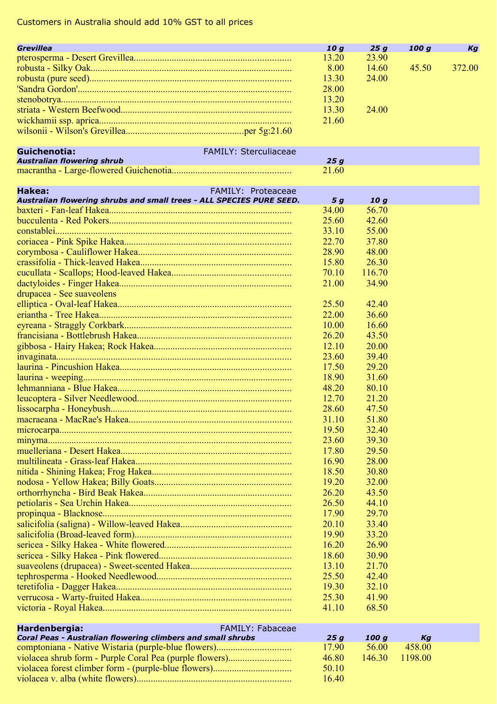| Grevillea                                                            |                           | 10 g<br>13.20 | 25g<br>23.90 | 100 g | Kg     |
|----------------------------------------------------------------------|---------------------------|---------------|--------------|-------|--------|
|                                                                      |                           |               | 14.60        | 45.50 | 372.00 |
|                                                                      |                           | 8.00          |              |       |        |
|                                                                      |                           | 13.30         | 24.00        |       |        |
|                                                                      |                           | 28.00         |              |       |        |
|                                                                      |                           | 13.20         |              |       |        |
|                                                                      |                           | 13.30         | 24.00        |       |        |
|                                                                      |                           | 21.60         |              |       |        |
|                                                                      |                           |               |              |       |        |
| Guichenotia:                                                         | FAMILY: Sterculiaceae     |               |              |       |        |
| <b>Australian flowering shrub</b>                                    |                           | 25g           |              |       |        |
|                                                                      |                           | 21.60         |              |       |        |
|                                                                      |                           |               |              |       |        |
| Hakea:                                                               | <b>FAMILY: Proteaceae</b> |               |              |       |        |
| Australian flowering shrubs and small trees - ALL SPECIES PURE SEED. |                           | 5 g           | 10q          |       |        |
|                                                                      |                           | 34.00         | 56.70        |       |        |
|                                                                      |                           | 25.60         | 42.60        |       |        |
|                                                                      |                           | 33.10         | 55.00        |       |        |
|                                                                      |                           | 22.70         | 37.80        |       |        |
|                                                                      |                           | 28.90         | 48.00        |       |        |
|                                                                      |                           | 15.80         | 26.30        |       |        |
|                                                                      |                           | 70.10         | 116.70       |       |        |
|                                                                      |                           | 21.00         | 34.90        |       |        |
| drupacea - See suaveolens                                            |                           |               |              |       |        |
|                                                                      |                           | 25.50         | 42.40        |       |        |
|                                                                      |                           | 22.00         | 36.60        |       |        |
|                                                                      |                           | 10.00         | 16.60        |       |        |
|                                                                      |                           | 26.20         | 43.50        |       |        |
|                                                                      |                           | 12.10         | 20.00        |       |        |
|                                                                      |                           | 23.60         | 39.40        |       |        |
|                                                                      |                           | 17.50         | 29.20        |       |        |
|                                                                      |                           | 18.90         | 31.60        |       |        |
|                                                                      |                           | 48.20         | 80.10        |       |        |
|                                                                      |                           | 12.70         | 21.20        |       |        |
|                                                                      |                           | 28.60         | 47.50        |       |        |
|                                                                      |                           | 31.10         | 51.80        |       |        |
|                                                                      |                           | 19.50         | 32.40        |       |        |
|                                                                      |                           | 23.60         | 39.30        |       |        |
|                                                                      |                           | 17.80         | 29.50        |       |        |
|                                                                      |                           |               | 28.00        |       |        |
|                                                                      |                           | 16.90         |              |       |        |
|                                                                      |                           | 18.50         | 30.80        |       |        |
|                                                                      |                           | 19.20         | 32.00        |       |        |
|                                                                      |                           | 26.20         | 43.50        |       |        |
|                                                                      |                           | 26.50         | 44.10        |       |        |
|                                                                      |                           | 17.90         | 29.70        |       |        |
|                                                                      |                           | 20.10         | 33.40        |       |        |
|                                                                      |                           | 19.90         | 33.20        |       |        |
|                                                                      |                           | 16.20         | 26.90        |       |        |
|                                                                      |                           | 18.60         | 30.90        |       |        |
|                                                                      |                           | 13.10         | 21.70        |       |        |
|                                                                      |                           | 25.50         | 42.40        |       |        |
|                                                                      |                           | 19.30         | 32.10        |       |        |
|                                                                      |                           | 25.30         | 41.90        |       |        |
|                                                                      |                           | 41.10         | 68.50        |       |        |
|                                                                      |                           |               |              |       |        |
| Hardenbergia:                                                        | FAMILY: Fabaceae          |               |              |       |        |

| 25 a  | 100 a  | Kа      |  |
|-------|--------|---------|--|
| 17.90 | 56.00  | 458.00  |  |
| 46.80 | 146.30 | 1198.00 |  |
| 50.10 |        |         |  |
| 16.40 |        |         |  |
|       |        |         |  |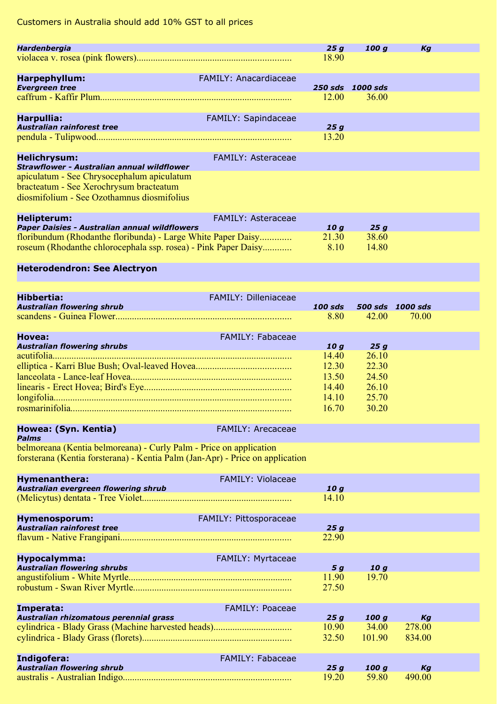| Hardenbergia                                                                          |                             | 25g             | 100q             | Kg               |  |
|---------------------------------------------------------------------------------------|-----------------------------|-----------------|------------------|------------------|--|
|                                                                                       |                             | 18.90           |                  |                  |  |
|                                                                                       |                             |                 |                  |                  |  |
| Harpephyllum:                                                                         | FAMILY: Anacardiaceae       |                 |                  |                  |  |
| <b>Evergreen tree</b>                                                                 |                             |                 | 250 sds 1000 sds |                  |  |
|                                                                                       |                             | 12.00           | 36.00            |                  |  |
|                                                                                       |                             |                 |                  |                  |  |
| Harpullia:                                                                            | <b>FAMILY: Sapindaceae</b>  |                 |                  |                  |  |
| <b>Australian rainforest tree</b>                                                     |                             | 25g             |                  |                  |  |
|                                                                                       |                             | 13.20           |                  |                  |  |
|                                                                                       |                             |                 |                  |                  |  |
| <b>Helichrysum:</b>                                                                   | <b>FAMILY: Asteraceae</b>   |                 |                  |                  |  |
| <b>Strawflower - Australian annual wildflower</b>                                     |                             |                 |                  |                  |  |
| apiculatum - See Chrysocephalum apiculatum                                            |                             |                 |                  |                  |  |
| bracteatum - See Xerochrysum bracteatum<br>diosmifolium - See Ozothamnus diosmifolius |                             |                 |                  |                  |  |
|                                                                                       |                             |                 |                  |                  |  |
|                                                                                       |                             |                 |                  |                  |  |
| <b>Helipterum:</b><br>Paper Daisies - Australian annual wildflowers                   | <b>FAMILY: Asteraceae</b>   | 10g             | 25g              |                  |  |
| floribundum (Rhodanthe floribunda) - Large White Paper Daisy                          |                             | 21.30           | 38.60            |                  |  |
| roseum (Rhodanthe chlorocephala ssp. rosea) - Pink Paper Daisy                        |                             | 8.10            | 14.80            |                  |  |
|                                                                                       |                             |                 |                  |                  |  |
| <b>Heterodendron: See Alectryon</b>                                                   |                             |                 |                  |                  |  |
|                                                                                       |                             |                 |                  |                  |  |
|                                                                                       |                             |                 |                  |                  |  |
| <b>Hibbertia:</b>                                                                     | <b>FAMILY: Dilleniaceae</b> |                 |                  |                  |  |
| <b>Australian flowering shrub</b>                                                     |                             | <b>100 sds</b>  |                  | 500 sds 1000 sds |  |
| scandens - Guinea Flower                                                              |                             | 8.80            | 42.00            | 70.00            |  |
|                                                                                       |                             |                 |                  |                  |  |
| <b>Hovea:</b>                                                                         | <b>FAMILY: Fabaceae</b>     |                 |                  |                  |  |
| <b>Australian flowering shrubs</b>                                                    |                             | 10 g            | 25g              |                  |  |
|                                                                                       |                             | 14.40           | 26.10            |                  |  |
|                                                                                       |                             | 12.30           | 22.30            |                  |  |
|                                                                                       |                             | 13.50           | 24.50            |                  |  |
|                                                                                       |                             | 14.40           | 26.10            |                  |  |
|                                                                                       |                             | 14.10           | 25.70            |                  |  |
|                                                                                       |                             | 16.70           | 30.20            |                  |  |
|                                                                                       |                             |                 |                  |                  |  |
| Howea: (Syn. Kentia)<br><b>Palms</b>                                                  | <b>FAMILY: Arecaceae</b>    |                 |                  |                  |  |
| belmoreana (Kentia belmoreana) - Curly Palm - Price on application                    |                             |                 |                  |                  |  |
| forsterana (Kentia forsterana) - Kentia Palm (Jan-Apr) - Price on application         |                             |                 |                  |                  |  |
|                                                                                       |                             |                 |                  |                  |  |
| Hymenanthera:                                                                         | <b>FAMILY: Violaceae</b>    |                 |                  |                  |  |
| Australian evergreen flowering shrub                                                  |                             | 10 <sub>g</sub> |                  |                  |  |
|                                                                                       |                             | 14.10           |                  |                  |  |
|                                                                                       |                             |                 |                  |                  |  |
| Hymenosporum:                                                                         | FAMILY: Pittosporaceae      |                 |                  |                  |  |
| Australian rainforest tree                                                            |                             | 25g             |                  |                  |  |
|                                                                                       |                             | 22.90           |                  |                  |  |
|                                                                                       |                             |                 |                  |                  |  |
| Hypocalymma:                                                                          | <b>FAMILY: Myrtaceae</b>    |                 |                  |                  |  |
| <b>Australian flowering shrubs</b>                                                    |                             | 5 g             | 10 g             |                  |  |
|                                                                                       |                             | 11.90           | 19.70            |                  |  |
|                                                                                       |                             | 27.50           |                  |                  |  |
|                                                                                       |                             |                 |                  |                  |  |
| Imperata:<br>Australian rhizomatous perennial grass                                   | <b>FAMILY: Poaceae</b>      | 25g             | 100 g            | Кg               |  |
|                                                                                       |                             | 10.90           | 34.00            | 278.00           |  |
|                                                                                       |                             | 32.50           | 101.90           | 834.00           |  |
|                                                                                       |                             |                 |                  |                  |  |
| Indigofera:                                                                           | FAMILY: Fabaceae            |                 |                  |                  |  |
| <b>Australian flowering shrub</b>                                                     |                             | 25g             | 100g             | Kg               |  |
|                                                                                       |                             | 19.20           | 59.80            | 490.00           |  |
|                                                                                       |                             |                 |                  |                  |  |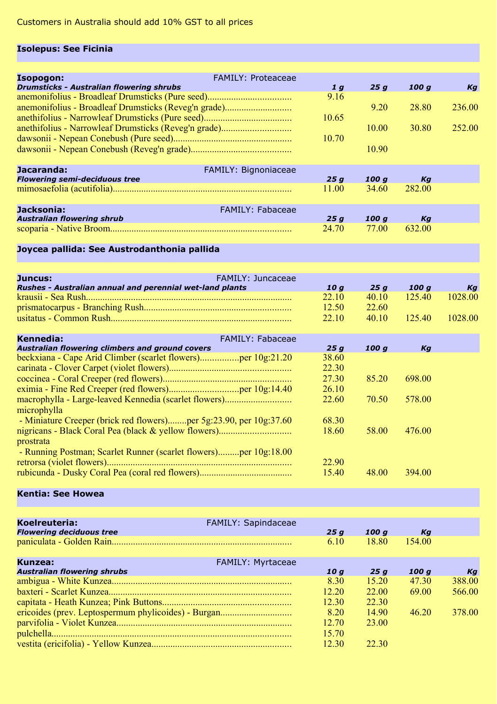## **Isolepus: See Ficinia**

| Isopogon:                                            | <b>FAMILY: Proteaceae</b>   |       |       |        |        |
|------------------------------------------------------|-----------------------------|-------|-------|--------|--------|
| <b>Drumsticks - Australian flowering shrubs</b>      |                             | 1q    | 25 a  | 100 a  | Kg     |
|                                                      |                             | 9.16  |       |        |        |
| anemonifolius - Broadleaf Drumsticks (Reveg'n grade) |                             |       | 9.20  | 28.80  | 236.00 |
|                                                      |                             | 10.65 |       |        |        |
| anethifolius - Narrowleaf Drumsticks (Reveg'n grade) |                             |       | 10.00 | 30.80  | 252.00 |
|                                                      |                             | 10.70 |       |        |        |
|                                                      |                             |       | 10.90 |        |        |
|                                                      |                             |       |       |        |        |
| Jacaranda:                                           | <b>FAMILY: Bignoniaceae</b> |       |       |        |        |
| <b>Flowering semi-deciduous tree</b>                 |                             | 25a   | 100 a | Kа     |        |
|                                                      |                             | 11.00 | 34.60 | 282.00 |        |
|                                                      |                             |       |       |        |        |
| Jacksonia:                                           | <b>FAMILY: Fabaceae</b>     |       |       |        |        |
| <b>Australian flowering shrub</b>                    |                             | 25a   | 100 a | Kа     |        |
|                                                      |                             | 24.70 | 77.00 | 632.00 |        |
|                                                      |                             |       |       |        |        |

## **Joycea pallida: See Austrodanthonia pallida**

| Juncus:                                                         | FAMILY: Juncaceae |       |       |       |         |
|-----------------------------------------------------------------|-------------------|-------|-------|-------|---------|
| <b>Rushes - Australian annual and perennial wet-land plants</b> |                   | 10 a  | 25 a  | 100 a | Кa      |
|                                                                 |                   | 22.10 | 40.10 | 12540 | 1028.00 |
|                                                                 |                   | 12.50 | 22.60 |       |         |
|                                                                 |                   | 22.10 | 40.10 | 12540 | 1028.00 |
|                                                                 |                   |       |       |       |         |
| Kennedia:                                                       | FAMILY: Fabaceae  |       |       |       |         |

| <b>Australian flowering climbers and ground covers</b>             | 25a   | 100 a | Kа     |
|--------------------------------------------------------------------|-------|-------|--------|
|                                                                    | 38.60 |       |        |
|                                                                    | 22.30 |       |        |
|                                                                    | 27.30 | 85.20 | 698.00 |
|                                                                    | 26.10 |       |        |
|                                                                    | 22.60 | 70.50 | 578.00 |
| microphylla                                                        |       |       |        |
| - Miniature Creeper (brick red flowers)per 5g:23.90, per 10g:37.60 | 68.30 |       |        |
|                                                                    | 18.60 | 58.00 | 476.00 |
| prostrata                                                          |       |       |        |
| - Running Postman; Scarlet Runner (scarlet flowers)per 10g:18.00   |       |       |        |
|                                                                    | 22.90 |       |        |
|                                                                    | 15.40 | 48.00 | 394.00 |
|                                                                    |       |       |        |

#### **Kentia: See Howea**

| Koelreuteria:<br><b>Flowering deciduous tree</b> | FAMILY: Sapindaceae      | 25q   | 100 a | Kа     |        |
|--------------------------------------------------|--------------------------|-------|-------|--------|--------|
|                                                  |                          | 6.10  | 18.80 | 154.00 |        |
| Kunzea:                                          | <b>FAMILY: Myrtaceae</b> |       |       |        |        |
| <b>Australian flowering shrubs</b>               |                          | 10 a  | 25 a  | 100 a  | Ka     |
|                                                  |                          | 8.30  | 1520  | 47.30  | 388.00 |
|                                                  |                          | 12.20 | 22.00 | 69.00  | 566.00 |
|                                                  |                          | 12.30 | 22.30 |        |        |
|                                                  |                          | 8.20  | 14.90 | 4620   | 378.00 |
|                                                  |                          | 12.70 | 23.00 |        |        |
|                                                  |                          | 15.70 |       |        |        |
|                                                  |                          | 12.30 | 22.30 |        |        |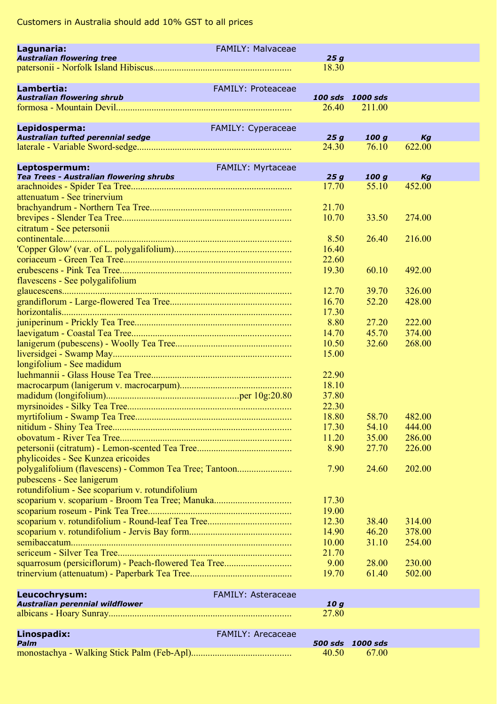| Lagunaria:                                             | <b>FAMILY: Malvaceae</b>  |                 |                            |                  |
|--------------------------------------------------------|---------------------------|-----------------|----------------------------|------------------|
| <b>Australian flowering tree</b>                       |                           | 25 g            |                            |                  |
|                                                        |                           | 18.30           |                            |                  |
|                                                        |                           |                 |                            |                  |
| Lambertia:                                             | <b>FAMILY: Proteaceae</b> |                 |                            |                  |
| <b>Australian flowering shrub</b>                      |                           | 26.40           | 100 sds 1000 sds<br>211.00 |                  |
|                                                        |                           |                 |                            |                  |
| Lepidosperma:                                          | FAMILY: Cyperaceae        |                 |                            |                  |
| Australian tufted perennial sedge                      |                           | 25g             | 100 g                      | Kg               |
|                                                        |                           | 24.30           | 76.10                      | 622.00           |
| Leptospermum:                                          | FAMILY: Myrtaceae         |                 |                            |                  |
| Tea Trees - Australian flowering shrubs                |                           | 25q             | 100 g                      | Kg               |
|                                                        |                           | 17.70           | 55.10                      | 452.00           |
| attenuatum - See trinervium                            |                           |                 |                            |                  |
|                                                        |                           | 21.70           |                            |                  |
|                                                        |                           | 10.70           | 33.50                      | 274.00           |
| citratum - See petersonii                              |                           |                 |                            |                  |
|                                                        |                           | 8.50            | 26.40                      | 216.00           |
|                                                        |                           | 16.40           |                            |                  |
|                                                        |                           | 22.60           |                            |                  |
|                                                        |                           | 19.30           | 60.10                      | 492.00           |
| flavescens - See polygalifolium                        |                           |                 | 39.70                      |                  |
|                                                        |                           | 12.70<br>16.70  | 52.20                      | 326.00<br>428.00 |
|                                                        |                           | 17.30           |                            |                  |
|                                                        |                           | 8.80            | 27.20                      | 222.00           |
|                                                        |                           | 14.70           | 45.70                      | 374.00           |
|                                                        |                           | 10.50           | 32.60                      | 268.00           |
|                                                        |                           | 15.00           |                            |                  |
| longifolium - See madidum                              |                           |                 |                            |                  |
|                                                        |                           | 22.90           |                            |                  |
|                                                        |                           | 18.10           |                            |                  |
|                                                        |                           | 37.80           |                            |                  |
|                                                        |                           | 22.30           |                            |                  |
|                                                        |                           | 18.80           | 58.70                      | 482.00           |
|                                                        |                           | 17.30           | 54.10                      | 444.00           |
|                                                        |                           | 11.20           | 35.00                      | 286.00           |
|                                                        |                           | 8.90            | 27.70                      | 226.00           |
| phylicoides - See Kunzea ericoides                     |                           |                 |                            |                  |
| polygalifolium (flavescens) - Common Tea Tree; Tantoon |                           | 7.90            | 24.60                      | 202.00           |
| pubescens - See lanigerum                              |                           |                 |                            |                  |
| rotundifolium - See scoparium v. rotundifolium         |                           |                 |                            |                  |
| scoparium v. scoparium - Broom Tea Tree; Manuka        |                           | 17.30           |                            |                  |
|                                                        |                           | 19.00           |                            |                  |
|                                                        |                           | 12.30           | 38.40                      | 314.00           |
|                                                        |                           | 14.90           | 46.20                      | 378.00           |
|                                                        |                           | 10.00           | 31.10                      | 254.00           |
|                                                        |                           | 21.70           |                            |                  |
|                                                        |                           | 9.00            | 28.00                      | 230.00           |
|                                                        |                           | 19.70           | 61.40                      | 502.00           |
| Leucochrysum:                                          | <b>FAMILY: Asteraceae</b> |                 |                            |                  |
| Australian perennial wildflower                        |                           | 10 <sub>g</sub> |                            |                  |
|                                                        |                           | 27.80           |                            |                  |
|                                                        |                           |                 |                            |                  |
| Linospadix:                                            | <b>FAMILY: Arecaceae</b>  |                 |                            |                  |
| Palm                                                   |                           |                 | 500 sds 1000 sds           |                  |
|                                                        |                           | 40.50           | 67.00                      |                  |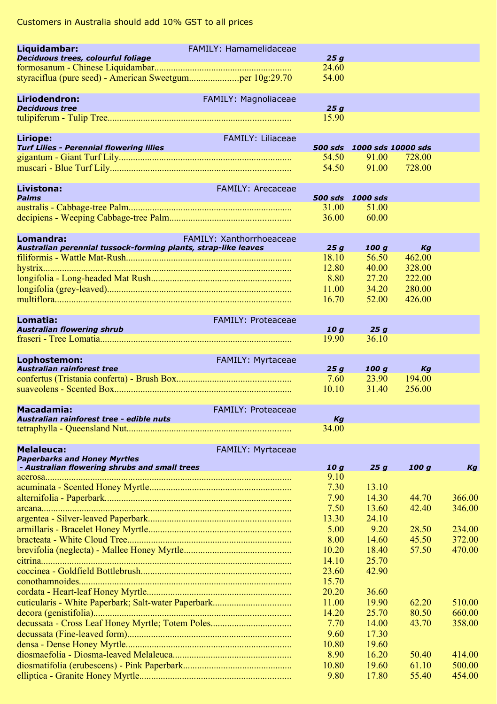| Liquidambar:                                                   | FAMILY: Hamamelidaceae          |                 |                            |        |        |
|----------------------------------------------------------------|---------------------------------|-----------------|----------------------------|--------|--------|
| Deciduous trees, colourful foliage                             |                                 | 25g             |                            |        |        |
| styraciflua (pure seed) - American Sweetgumper 10g:29.70       |                                 | 24.60<br>54.00  |                            |        |        |
|                                                                |                                 |                 |                            |        |        |
| Liriodendron:                                                  | FAMILY: Magnoliaceae            |                 |                            |        |        |
| <b>Deciduous tree</b>                                          |                                 | 25g             |                            |        |        |
|                                                                |                                 | 15.90           |                            |        |        |
|                                                                |                                 |                 |                            |        |        |
| Liriope:                                                       | <b>FAMILY: Liliaceae</b>        |                 |                            |        |        |
| <b>Turf Lilies - Perennial flowering lilies</b>                |                                 |                 | 500 sds 1000 sds 10000 sds |        |        |
|                                                                |                                 | 54.50           | 91.00                      | 728.00 |        |
|                                                                |                                 | 54.50           | 91.00                      | 728.00 |        |
| <b>Livistona:</b>                                              | <b>FAMILY: Arecaceae</b>        |                 |                            |        |        |
| <b>Palms</b>                                                   |                                 |                 | 500 sds 1000 sds           |        |        |
|                                                                |                                 | 31.00           | 51.00                      |        |        |
|                                                                |                                 | 36.00           | 60.00                      |        |        |
|                                                                |                                 |                 |                            |        |        |
| Lomandra:                                                      | <b>FAMILY: Xanthorrhoeaceae</b> |                 |                            |        |        |
| Australian perennial tussock-forming plants, strap-like leaves |                                 | 25g             | 100 g                      | Kg     |        |
|                                                                |                                 | 18.10           | 56.50                      | 462.00 |        |
|                                                                |                                 | 12.80           | 40.00                      | 328.00 |        |
|                                                                |                                 | 8.80            | 27.20                      | 222.00 |        |
|                                                                |                                 | 11.00           | 34.20                      | 280.00 |        |
|                                                                |                                 | 16.70           | 52.00                      | 426.00 |        |
|                                                                |                                 |                 |                            |        |        |
| Lomatia:                                                       | <b>FAMILY: Proteaceae</b>       |                 |                            |        |        |
| <b>Australian flowering shrub</b>                              |                                 | 10 g<br>19.90   | 25g<br>36.10               |        |        |
|                                                                |                                 |                 |                            |        |        |
| Lophostemon:                                                   | FAMILY: Myrtaceae               |                 |                            |        |        |
| Australian rainforest tree                                     |                                 | 25g             | 100 g                      | Kg     |        |
|                                                                |                                 | 7.60            | 23.90                      | 194.00 |        |
|                                                                |                                 | 10.10           | 31.40                      | 256.00 |        |
|                                                                |                                 |                 |                            |        |        |
| Macadamia:                                                     | <b>FAMILY: Proteaceae</b>       |                 |                            |        |        |
| Australian rainforest tree - edible nuts                       |                                 | Kq              |                            |        |        |
|                                                                |                                 | 34.00           |                            |        |        |
|                                                                |                                 |                 |                            |        |        |
| <b>Melaleuca:</b><br><b>Paperbarks and Honey Myrtles</b>       | <b>FAMILY: Myrtaceae</b>        |                 |                            |        |        |
| - Australian flowering shrubs and small trees                  |                                 | 10 <sub>g</sub> | 25g                        | 100 g  | Kg     |
|                                                                |                                 | 9.10            |                            |        |        |
|                                                                |                                 | 7.30            | 13.10                      |        |        |
|                                                                |                                 | 7.90            | 14.30                      | 44.70  | 366.00 |
|                                                                |                                 | 7.50            | 13.60                      | 42.40  | 346.00 |
|                                                                |                                 | 13.30           | 24.10                      |        |        |
|                                                                |                                 | 5.00            | 9.20                       | 28.50  | 234.00 |
|                                                                |                                 | 8.00            | 14.60                      | 45.50  | 372.00 |
|                                                                |                                 | 10.20           | 18.40                      | 57.50  | 470.00 |
|                                                                |                                 | 14.10           | 25.70                      |        |        |
|                                                                |                                 | 23.60           | 42.90                      |        |        |
|                                                                |                                 | 15.70           |                            |        |        |
|                                                                |                                 | 20.20           | 36.60                      |        |        |
|                                                                |                                 | 11.00           | 19.90                      | 62.20  | 510.00 |
|                                                                |                                 | 14.20           | 25.70                      | 80.50  | 660.00 |
|                                                                |                                 | 7.70            | 14.00                      | 43.70  | 358.00 |
|                                                                |                                 | 9.60            | 17.30                      |        |        |
|                                                                |                                 | 10.80           | 19.60                      |        |        |
|                                                                |                                 | 8.90            | 16.20                      | 50.40  | 414.00 |
|                                                                |                                 | 10.80           | 19.60                      | 61.10  | 500.00 |
|                                                                |                                 | 9.80            | 17.80                      | 55.40  | 454.00 |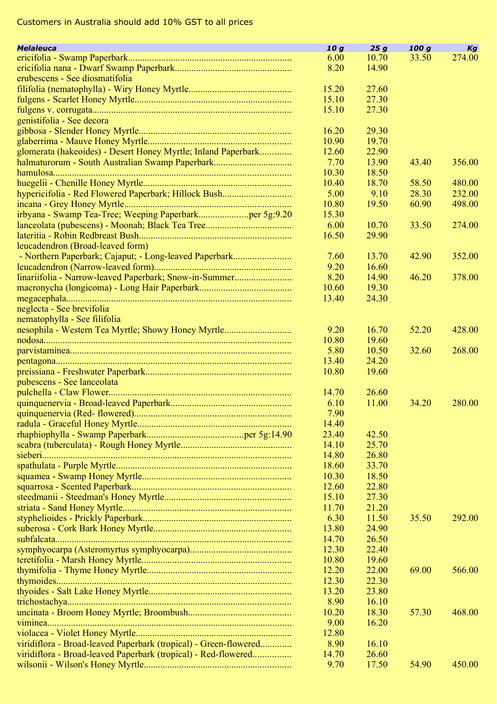| <b>Melaleuca</b>                                                 | 10 <sub>g</sub> | 25g   | 100q  | Kg     |
|------------------------------------------------------------------|-----------------|-------|-------|--------|
|                                                                  | 6.00            | 10.70 | 33.50 | 274.00 |
|                                                                  | 8.20            | 14.90 |       |        |
| erubescens - See diosmatifolia                                   |                 |       |       |        |
|                                                                  | 15.20           | 27.60 |       |        |
|                                                                  | 15.10           | 27.30 |       |        |
|                                                                  | 15.10           | 27.30 |       |        |
| genistifolia - See decora                                        |                 |       |       |        |
|                                                                  | 16.20           | 29.30 |       |        |
|                                                                  | 10.90           | 19.70 |       |        |
| glomerata (hakeoides) - Desert Honey Myrtle; Inland Paperbark    | 12.60           | 22.90 |       |        |
| halmaturorum - South Australian Swamp Paperbark                  | 7.70            | 13.90 | 43.40 | 356.00 |
|                                                                  | 10.30           | 18.50 |       |        |
|                                                                  | 10.40           | 18.70 | 58.50 | 480.00 |
| hypericifolia - Red Flowered Paperbark; Hillock Bush             | 5.00            | 9.10  | 28.30 | 232.00 |
|                                                                  | 10.80           | 19.50 | 60.90 | 498.00 |
| irbyana - Swamp Tea-Tree; Weeping Paperbarkper 5g:9.20           | 15.30           |       |       |        |
|                                                                  | 6.00            | 10.70 | 33.50 | 274.00 |
|                                                                  | 16.50           | 29.90 |       |        |
| leucadendron (Broad-leaved form)                                 |                 |       |       |        |
| - Northern Paperbark; Cajaput; - Long-leaved Paperbark           | 7.60            | 13.70 | 42.90 | 352.00 |
|                                                                  | 9.20            | 16.60 |       |        |
| linariifolia - Narrow-leaved Paperbark; Snow-in-Summer           | 8.20            | 14.90 | 46.20 | 378.00 |
|                                                                  | 10.60           | 19.30 |       |        |
|                                                                  | 13.40           | 24.30 |       |        |
| neglecta - See brevifolia                                        |                 |       |       |        |
| nematophylla - See filifolia                                     |                 |       |       |        |
| nesophila - Western Tea Myrtle; Showy Honey Myrtle               | 9.20            | 16.70 | 52.20 | 428.00 |
|                                                                  | 10.80           | 19.60 |       |        |
|                                                                  | 5.80            | 10.50 | 32.60 | 268.00 |
|                                                                  | 13.40           | 24.20 |       |        |
|                                                                  | 10.80           | 19.60 |       |        |
| pubescens - See lanceolata                                       |                 |       |       |        |
|                                                                  | 14.70           | 26.60 |       |        |
|                                                                  | 6.10            | 11.00 | 34.20 | 280.00 |
|                                                                  | 7.90            |       |       |        |
|                                                                  | 14.40           |       |       |        |
|                                                                  | 23.40           | 42.50 |       |        |
|                                                                  | 14.10           | 25.70 |       |        |
|                                                                  | 14.80           | 26.80 |       |        |
|                                                                  | 18.60           | 33.70 |       |        |
|                                                                  | 10.30           | 18.50 |       |        |
|                                                                  | 12.60           | 22.80 |       |        |
|                                                                  | 15.10           | 27.30 |       |        |
|                                                                  | 11.70           | 21.20 |       |        |
|                                                                  | 6.30            | 11.50 | 35.50 | 292.00 |
|                                                                  | 13.80           | 24.90 |       |        |
|                                                                  | 14.70           | 26.50 |       |        |
|                                                                  | 12.30           | 22.40 |       |        |
|                                                                  | 10.80           | 19.60 |       |        |
|                                                                  | 12.20           | 22.00 | 69.00 | 566.00 |
|                                                                  | 12.30           | 22.30 |       |        |
|                                                                  | 13.20           | 23.80 |       |        |
|                                                                  | 8.90            | 16.10 |       |        |
|                                                                  | 10.20           | 18.30 | 57.30 | 468.00 |
|                                                                  | 9.00            | 16.20 |       |        |
|                                                                  | 12.80           |       |       |        |
| viridiflora - Broad-leaved Paperbark (tropical) - Green-flowered | 8.90            | 16.10 |       |        |
| viridiflora - Broad-leaved Paperbark (tropical) - Red-flowered   | 14.70           | 26.60 |       |        |
|                                                                  | 9.70            | 17.50 | 54.90 | 450.00 |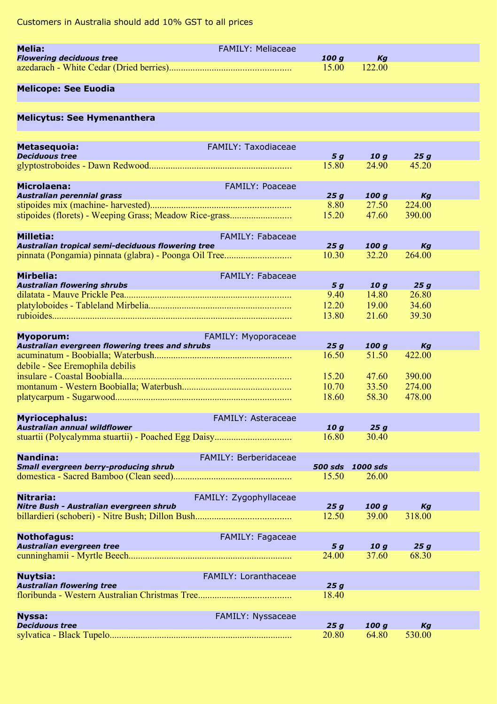| Melia:                          | FAMILY: Meliaceae |              |    |
|---------------------------------|-------------------|--------------|----|
| <b>Flowering deciduous tree</b> |                   | 100 a        | Kа |
|                                 |                   | 15.00 122.00 |    |

## **Melicope: See Euodia**

| <b>Melicytus: See Hymenanthera</b> |
|------------------------------------|
|------------------------------------|

| Metasequoia:                                                                                                                                         | <b>FAMILY: Taxodiaceae</b>  |                         |                          |              |  |
|------------------------------------------------------------------------------------------------------------------------------------------------------|-----------------------------|-------------------------|--------------------------|--------------|--|
| <b>Deciduous tree</b>                                                                                                                                |                             | 5 <sub>g</sub><br>15.80 | 10 <sub>g</sub><br>24.90 | 25g<br>45.20 |  |
|                                                                                                                                                      |                             |                         |                          |              |  |
|                                                                                                                                                      |                             |                         |                          |              |  |
| <b>Microlaena:</b><br><u>a je po predstavanj</u><br>Australian perennial grass                                                                       | FAMILY: Poaceae             | 25q                     | 100q                     | Kg           |  |
|                                                                                                                                                      |                             | 8.80                    | 27.50                    | 224.00       |  |
|                                                                                                                                                      |                             | 15.20                   | 47.60                    | 390.00       |  |
|                                                                                                                                                      |                             |                         |                          |              |  |
| <b>Milletia:</b>                                                                                                                                     | FAMILY: Fabaceae            |                         |                          |              |  |
| Australian tropical semi-deciduous flowering tree                                                                                                    |                             | 25q                     | 100q                     | Kg           |  |
|                                                                                                                                                      |                             | 10.30                   | 32.20                    | 264.00       |  |
|                                                                                                                                                      |                             |                         |                          |              |  |
| <b>Mirbelia:</b>                                                                                                                                     | <b>FAMILY: Fabaceae</b>     |                         |                          |              |  |
| and the state of the state of the state of the state of the state of the state of the state of the state of th<br><b>Australian flowering shrubs</b> |                             | 5 g                     | 10g                      | 25g          |  |
|                                                                                                                                                      |                             | 9.40                    | 14.80                    | 26.80        |  |
|                                                                                                                                                      |                             | 12.20                   | 19.00                    | 34.60        |  |
|                                                                                                                                                      |                             | 13.80                   | 21.60                    | 39.30        |  |
|                                                                                                                                                      |                             |                         |                          |              |  |
| <b>Myoporum:</b>                                                                                                                                     | FAMILY: Myoporaceae         |                         |                          |              |  |
| Australian evergreen flowering trees and shrubs                                                                                                      |                             | 25g                     | 100g                     | Kg           |  |
|                                                                                                                                                      |                             | 16.50                   | 51.50                    | 422.00       |  |
| debile - See Eremophila debilis                                                                                                                      |                             |                         |                          |              |  |
|                                                                                                                                                      |                             | 15.20                   | 47.60                    | 390.00       |  |
|                                                                                                                                                      |                             | 10.70                   | 33.50                    | 274.00       |  |
|                                                                                                                                                      |                             | 18.60                   | 58.30                    | 478.00       |  |
|                                                                                                                                                      |                             |                         |                          |              |  |
| <b>Myriocephalus:</b>                                                                                                                                | FAMILY: Asteraceae          |                         |                          |              |  |
| Australian annual wildflower                                                                                                                         |                             | 10q                     | 25q                      |              |  |
|                                                                                                                                                      |                             | 16.80                   | 30.40                    |              |  |
|                                                                                                                                                      |                             |                         |                          |              |  |
| <b>Nandina:</b>                                                                                                                                      | FAMILY: Berberidaceae       |                         |                          |              |  |
| Small evergreen berry-producing shrub                                                                                                                |                             |                         | 500 sds 1000 sds         |              |  |
|                                                                                                                                                      |                             | 15.50                   | 26.00                    |              |  |
|                                                                                                                                                      |                             |                         |                          |              |  |
| Nitraria:                                                                                                                                            | FAMILY: Zygophyllaceae      |                         |                          |              |  |
| Nitre Bush - Australian evergreen shrub                                                                                                              |                             | 25g                     | 100q                     | Kg           |  |
|                                                                                                                                                      |                             | 12.50                   | 39.00                    | 318.00       |  |
|                                                                                                                                                      |                             |                         |                          |              |  |
| <b>Nothofagus:</b>                                                                                                                                   | FAMILY: Fagaceae            |                         |                          |              |  |
| Australian evergreen tree                                                                                                                            |                             | 5q                      | 10q                      | 25q          |  |
|                                                                                                                                                      |                             | 24.00                   | 37.60                    | 68.30        |  |
|                                                                                                                                                      |                             |                         |                          |              |  |
| <b>Nuytsia:</b>                                                                                                                                      | <b>FAMILY: Loranthaceae</b> |                         |                          |              |  |
| <b>Australian flowering tree</b>                                                                                                                     |                             | 25g<br>18.40            |                          |              |  |
|                                                                                                                                                      |                             |                         |                          |              |  |
|                                                                                                                                                      |                             |                         |                          |              |  |
| <b>Nyssa:</b><br><b>Deciduous tree</b>                                                                                                               | FAMILY: Nyssaceae           | 25q                     | 100q                     | Kg           |  |
|                                                                                                                                                      |                             | 20.80                   | 64.80                    | 530.00       |  |
|                                                                                                                                                      |                             |                         |                          |              |  |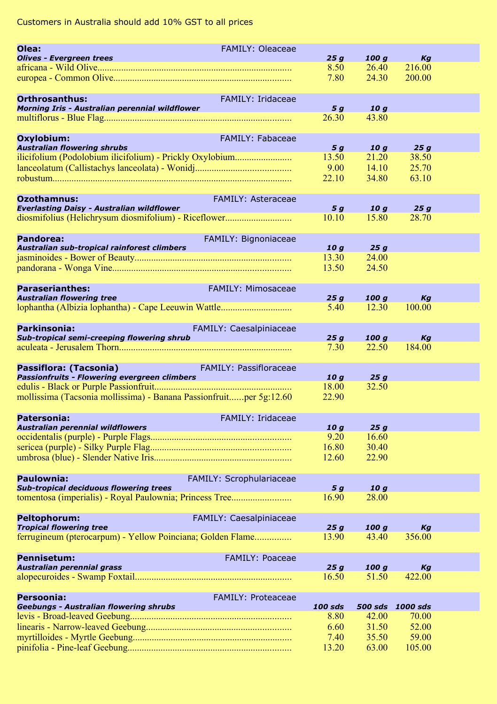| Olea:                                                                  | <b>FAMILY: Oleaceae</b>   |                |                 |                  |  |
|------------------------------------------------------------------------|---------------------------|----------------|-----------------|------------------|--|
| <b>Olives - Evergreen trees</b>                                        |                           | 25g            | 100q            | Kg               |  |
|                                                                        |                           | 8.50           | 26.40           | 216.00           |  |
|                                                                        |                           | 7.80           | 24.30           | 200.00           |  |
|                                                                        |                           |                |                 |                  |  |
| <b>Orthrosanthus:</b>                                                  | <b>FAMILY: Iridaceae</b>  |                |                 |                  |  |
| Morning Iris - Australian perennial wildflower                         |                           | 5 g            | 10g             |                  |  |
|                                                                        |                           | 26.30          | 43.80           |                  |  |
|                                                                        |                           |                |                 |                  |  |
| Oxylobium:                                                             | FAMILY: Fabaceae          |                |                 |                  |  |
| <b>Australian flowering shrubs</b>                                     |                           | 5 g            | 10 <sub>g</sub> | 25g              |  |
| ilicifolium (Podolobium ilicifolium) - Prickly Oxylobium               |                           | 13.50          | 21.20<br>14.10  | 38.50            |  |
|                                                                        |                           | 9.00           |                 | 25.70            |  |
|                                                                        |                           | 22.10          | 34.80           | 63.10            |  |
|                                                                        |                           |                |                 |                  |  |
| <b>Ozothamnus:</b><br><b>Everlasting Daisy - Australian wildflower</b> | <b>FAMILY: Asteraceae</b> | 5 <sub>g</sub> | 10g             | 25g              |  |
| diosmifolius (Helichrysum diosmifolium) - Riceflower                   |                           | 10.10          | 15.80           | 28.70            |  |
|                                                                        |                           |                |                 |                  |  |
| Pandorea:                                                              | FAMILY: Bignoniaceae      |                |                 |                  |  |
| Australian sub-tropical rainforest climbers                            |                           | 10g            | 25g             |                  |  |
|                                                                        |                           | 13.30          | 24.00           |                  |  |
|                                                                        |                           | 13.50          | 24.50           |                  |  |
|                                                                        |                           |                |                 |                  |  |
| <b>Paraserianthes:</b>                                                 | FAMILY: Mimosaceae        |                |                 |                  |  |
| <b>Australian flowering tree</b>                                       |                           | 25g            | 100g            | Kg               |  |
|                                                                        |                           | 5.40           | 12.30           | 100.00           |  |
|                                                                        |                           |                |                 |                  |  |
| Parkinsonia:                                                           | FAMILY: Caesalpiniaceae   |                |                 |                  |  |
| Sub-tropical semi-creeping flowering shrub                             |                           | 25q            | 100q            | Kg               |  |
|                                                                        |                           | 7.30           | 22.50           | 184.00           |  |
|                                                                        |                           |                |                 |                  |  |
| Passiflora: (Tacsonia)                                                 | FAMILY: Passifloraceae    |                |                 |                  |  |
| Passionfruits - Flowering evergreen climbers                           |                           | 10q            | 25q             |                  |  |
|                                                                        |                           | 18.00          | 32.50           |                  |  |
| mollissima (Tacsonia mollissima) - Banana Passionfruitper 5g:12.60     |                           | 22.90          |                 |                  |  |
|                                                                        |                           |                |                 |                  |  |
| Patersonia:                                                            | FAMILY: Iridaceae         |                |                 |                  |  |
| Australian perennial wildflowers                                       |                           | 10q<br>9.20    | 25g<br>16.60    |                  |  |
|                                                                        |                           | 16.80          | 30.40           |                  |  |
|                                                                        |                           | 12.60          | 22.90           |                  |  |
|                                                                        |                           |                |                 |                  |  |
| Paulownia:                                                             | FAMILY: Scrophulariaceae  |                |                 |                  |  |
| <b>Sub-tropical deciduous flowering trees</b>                          |                           | 5q             | 10q             |                  |  |
|                                                                        |                           | 16.90          | 28.00           |                  |  |
|                                                                        |                           |                |                 |                  |  |
| <b>Peltophorum:</b>                                                    | FAMILY: Caesalpiniaceae   |                |                 |                  |  |
| <b>Tropical flowering tree</b>                                         |                           | 25g            | 100q            | Kg               |  |
| ferrugineum (pterocarpum) - Yellow Poinciana; Golden Flame             |                           | 13.90          | 43.40           | 356.00           |  |
|                                                                        |                           |                |                 |                  |  |
| <b>Pennisetum:</b>                                                     | <b>FAMILY: Poaceae</b>    |                |                 |                  |  |
| <b>Australian perennial grass</b>                                      |                           | 25q            | 100 g           | Kg               |  |
|                                                                        |                           | 16.50          | 51.50           | 422.00           |  |
|                                                                        |                           |                |                 |                  |  |
| Persoonia:                                                             | <b>FAMILY: Proteaceae</b> |                |                 |                  |  |
| <b>Geebungs - Australian flowering shrubs</b>                          |                           | 100 sds        |                 | 500 sds 1000 sds |  |
|                                                                        |                           | 8.80           | 42.00           | 70.00            |  |
|                                                                        |                           | 6.60           | 31.50           | 52.00            |  |
|                                                                        |                           | 7.40           | 35.50           | 59.00            |  |
|                                                                        |                           | 13.20          | 63.00           | 105.00           |  |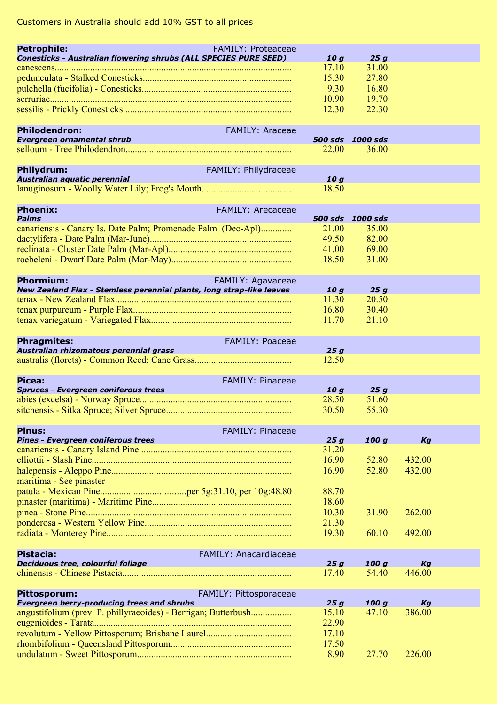| <b>Petrophile:</b>                                                                                                  | <b>FAMILY: Proteaceae</b>    |                 |                  |              |  |
|---------------------------------------------------------------------------------------------------------------------|------------------------------|-----------------|------------------|--------------|--|
| Conesticks - Australian flowering shrubs (ALL SPECIES PURE SEED)                                                    |                              | 10 g<br>17.10   | 25g<br>31.00     |              |  |
|                                                                                                                     |                              | 15.30           | 27.80            |              |  |
|                                                                                                                     |                              | 9.30            | 16.80            |              |  |
|                                                                                                                     |                              | 10.90           | 19.70            |              |  |
|                                                                                                                     |                              | 12.30           | 22.30            |              |  |
| <b>Philodendron:</b>                                                                                                | <b>FAMILY: Araceae</b>       |                 |                  |              |  |
| Evergreen ornamental shrub                                                                                          |                              |                 | 500 sds 1000 sds |              |  |
|                                                                                                                     |                              | 22.00           | 36.00            |              |  |
| Philydrum:                                                                                                          | FAMILY: Philydraceae         |                 |                  |              |  |
| Australian aquatic perennial                                                                                        |                              | 10 g            |                  |              |  |
|                                                                                                                     |                              | 18.50           |                  |              |  |
| <b>Phoenix:</b>                                                                                                     | <b>FAMILY: Arecaceae</b>     |                 |                  |              |  |
| <b>Palms</b>                                                                                                        |                              |                 | 500 sds 1000 sds |              |  |
| canariensis - Canary Is. Date Palm; Promenade Palm (Dec-Apl)                                                        |                              | 21.00           | 35.00            |              |  |
|                                                                                                                     |                              | 49.50           | 82.00            |              |  |
|                                                                                                                     |                              | 41.00<br>18.50  | 69.00<br>31.00   |              |  |
|                                                                                                                     |                              |                 |                  |              |  |
| <b>Phormium:</b>                                                                                                    | FAMILY: Agavaceae            |                 |                  |              |  |
| New Zealand Flax - Stemless perennial plants, long strap-like leaves                                                |                              | 10 g            | 25 g             |              |  |
|                                                                                                                     |                              | 11.30<br>16.80  | 20.50<br>30.40   |              |  |
|                                                                                                                     |                              | 11.70           | 21.10            |              |  |
|                                                                                                                     |                              |                 |                  |              |  |
| <b>Phragmites:</b><br>Australian rhizomatous perennial grass                                                        | FAMILY: Poaceae              |                 |                  |              |  |
|                                                                                                                     |                              | 25g<br>12.50    |                  |              |  |
|                                                                                                                     |                              |                 |                  |              |  |
| Picea:<br><b>Spruces - Evergreen coniferous trees</b>                                                               | FAMILY: Pinaceae             | 10 <sub>g</sub> | 25g              |              |  |
|                                                                                                                     |                              | 28.50           | 51.60            |              |  |
|                                                                                                                     |                              | 30.50           | 55.30            |              |  |
|                                                                                                                     |                              |                 |                  |              |  |
| <b>Pinus:</b><br>Pines - Evergreen coniferous trees                                                                 | <b>FAMILY: Pinaceae</b>      | 25g             | 100 g            | Kg           |  |
|                                                                                                                     |                              | 31.20           |                  |              |  |
|                                                                                                                     |                              | 16.90           | 52.80            | 432.00       |  |
|                                                                                                                     |                              | 16.90           | 52.80            | 432.00       |  |
| maritima - See pinaster                                                                                             |                              |                 |                  |              |  |
|                                                                                                                     |                              | 88.70<br>18.60  |                  |              |  |
|                                                                                                                     |                              | 10.30           | 31.90            | 262.00       |  |
|                                                                                                                     |                              | 21.30           |                  |              |  |
|                                                                                                                     |                              | 19.30           | 60.10            | 492.00       |  |
|                                                                                                                     |                              |                 |                  |              |  |
| Pistacia:<br>Deciduous tree, colourful foliage                                                                      | <b>FAMILY: Anacardiaceae</b> | 25g             | 100 g            | Kg           |  |
| chinensis - Chinese Pistacia                                                                                        |                              | 17.40           | 54.40            | 446.00       |  |
|                                                                                                                     |                              |                 |                  |              |  |
| Pittosporum:                                                                                                        | FAMILY: Pittosporaceae       |                 |                  |              |  |
| <b>Evergreen berry-producing trees and shrubs</b><br>angustifolium (prev. P. phillyraeoides) - Berrigan; Butterbush |                              | 25g<br>15.10    | 100 g<br>47.10   | Kg<br>386.00 |  |
|                                                                                                                     |                              | 22.90           |                  |              |  |
|                                                                                                                     |                              | 17.10           |                  |              |  |
|                                                                                                                     |                              | 17.50           |                  |              |  |
|                                                                                                                     |                              | 8.90            | 27.70            | 226.00       |  |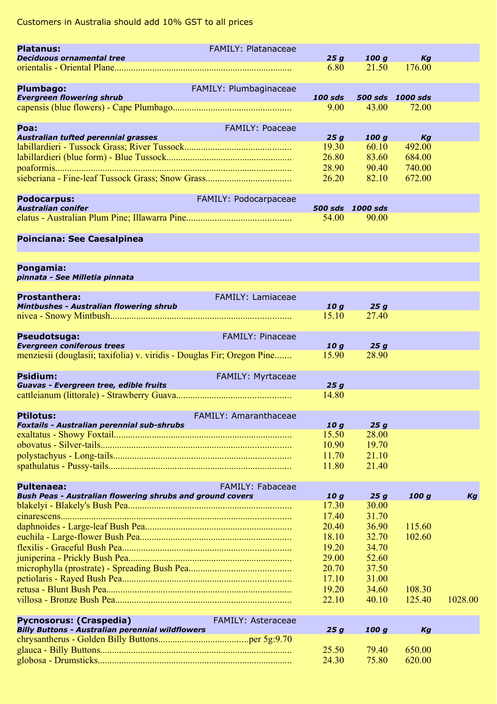| <b>Platanus:</b>                                                       | FAMILY: Platanaceae          |                 |                  |                  |         |
|------------------------------------------------------------------------|------------------------------|-----------------|------------------|------------------|---------|
| <b>Deciduous ornamental tree</b>                                       |                              | 25g             | 100 g            | Кg               |         |
|                                                                        |                              | 6.80            | 21.50            | 176.00           |         |
|                                                                        |                              |                 |                  |                  |         |
| Plumbago:                                                              | FAMILY: Plumbaginaceae       |                 |                  |                  |         |
| <b>Evergreen flowering shrub</b>                                       |                              | 100 sds         |                  | 500 sds 1000 sds |         |
|                                                                        |                              | 9.00            | 43.00            | 72.00            |         |
|                                                                        |                              |                 |                  |                  |         |
| Poa:<br>Australian tufted perennial grasses                            | <b>FAMILY: Poaceae</b>       | 25g             | 100 g            | Kg               |         |
|                                                                        |                              | 19.30           | 60.10            | 492.00           |         |
|                                                                        |                              | 26.80           | 83.60            | 684.00           |         |
|                                                                        |                              | 28.90           | 90.40            | 740.00           |         |
|                                                                        |                              | 26.20           | 82.10            | 672.00           |         |
|                                                                        |                              |                 |                  |                  |         |
| <b>Podocarpus:</b>                                                     | FAMILY: Podocarpaceae        |                 |                  |                  |         |
| <b>Australian conifer</b>                                              |                              |                 | 500 sds 1000 sds |                  |         |
|                                                                        |                              | 54.00           | 90.00            |                  |         |
|                                                                        |                              |                 |                  |                  |         |
| Poinciana: See Caesalpinea                                             |                              |                 |                  |                  |         |
|                                                                        |                              |                 |                  |                  |         |
|                                                                        |                              |                 |                  |                  |         |
| Pongamia:<br>pinnata - See Milletia pinnata                            |                              |                 |                  |                  |         |
|                                                                        |                              |                 |                  |                  |         |
| <b>Prostanthera:</b>                                                   | FAMILY: Lamiaceae            |                 |                  |                  |         |
| Mintbushes - Australian flowering shrub                                |                              | 10 <sub>g</sub> | 25g              |                  |         |
|                                                                        |                              | 15.10           | 27.40            |                  |         |
|                                                                        |                              |                 |                  |                  |         |
| Pseudotsuga:                                                           | <b>FAMILY: Pinaceae</b>      |                 |                  |                  |         |
| <b>Evergreen coniferous trees</b>                                      |                              | 10 g            | 25q              |                  |         |
| menziesii (douglasii; taxifolia) v. viridis - Douglas Fir; Oregon Pine |                              | 15.90           | 28.90            |                  |         |
| <b>Psidium:</b>                                                        |                              |                 |                  |                  |         |
| Guavas - Evergreen tree, edible fruits                                 | FAMILY: Myrtaceae            | 25g             |                  |                  |         |
|                                                                        |                              | 14.80           |                  |                  |         |
|                                                                        |                              |                 |                  |                  |         |
| <b>Ptilotus:</b>                                                       | <b>FAMILY: Amaranthaceae</b> |                 |                  |                  |         |
| Foxtails - Australian perennial sub-shrubs                             |                              | 10g             | 25g              |                  |         |
|                                                                        |                              | 15.50           | 28.00            |                  |         |
|                                                                        |                              | 10.90           | 19.70            |                  |         |
|                                                                        |                              | 11.70           | 21.10            |                  |         |
|                                                                        |                              | 11.80           | 21.40            |                  |         |
|                                                                        |                              |                 |                  |                  |         |
| <b>Pultenaea:</b>                                                      | <b>FAMILY: Fabaceae</b>      |                 |                  |                  |         |
| Bush Peas - Australian flowering shrubs and ground covers              |                              | 10 g            | 25g              | 100 g            | Kg      |
|                                                                        |                              | 17.30<br>17.40  | 30.00<br>31.70   |                  |         |
|                                                                        |                              | 20.40           | 36.90            | 115.60           |         |
|                                                                        |                              | 18.10           | 32.70            | 102.60           |         |
|                                                                        |                              | 19.20           | 34.70            |                  |         |
|                                                                        |                              | 29.00           | 52.60            |                  |         |
|                                                                        |                              | 20.70           |                  |                  |         |
|                                                                        |                              | 17.10           | 37.50<br>31.00   |                  |         |
|                                                                        |                              | 19.20           | 34.60            | 108.30           |         |
|                                                                        |                              | 22.10           | 40.10            | 125.40           | 1028.00 |
|                                                                        |                              |                 |                  |                  |         |
| <b>Pycnosorus: (Craspedia)</b>                                         | FAMILY: Asteraceae           |                 |                  |                  |         |
| <b>Billy Buttons - Australian perennial wildflowers</b>                |                              | 25g             | 100 g            | Kg               |         |
|                                                                        |                              |                 |                  |                  |         |
|                                                                        |                              | 25.50           | 79.40            | 650.00           |         |
|                                                                        |                              | 24.30           | 75.80            | 620.00           |         |
|                                                                        |                              |                 |                  |                  |         |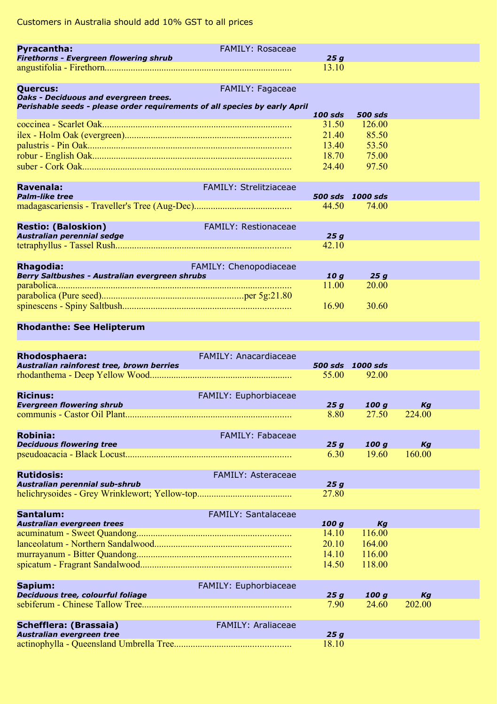| <b>Pyracantha:</b>                                                         | <b>FAMILY: Rosaceae</b>       |                |                |  |
|----------------------------------------------------------------------------|-------------------------------|----------------|----------------|--|
| <b>Firethorns - Evergreen flowering shrub</b>                              |                               | 25q            |                |  |
|                                                                            |                               | 13.10          |                |  |
| <b>Quercus:</b>                                                            | FAMILY: Fagaceae              |                |                |  |
| Oaks - Deciduous and evergreen trees.                                      |                               |                |                |  |
| Perishable seeds - please order requirements of all species by early April |                               | $100$ sds      | <b>500 sds</b> |  |
|                                                                            |                               | 31.50          | 126.00         |  |
|                                                                            |                               | 21.40          | 85.50          |  |
|                                                                            |                               | 13.40          | 53.50          |  |
|                                                                            |                               | 18.70          | 75.00          |  |
|                                                                            |                               | 24.40          | 97.50          |  |
|                                                                            |                               |                |                |  |
| Ravenala:                                                                  | <b>FAMILY: Strelitziaceae</b> |                |                |  |
| <b>Palm-like tree</b>                                                      |                               | <b>500 sds</b> | 1000 sds       |  |
|                                                                            |                               | 44.50          | 74.00          |  |
|                                                                            |                               |                |                |  |
| <b>Restio: (Baloskion)</b>                                                 | <b>FAMILY: Restionaceae</b>   |                |                |  |
| Australian perennial sedge                                                 |                               | 25a<br>42.10   |                |  |
|                                                                            |                               |                |                |  |
| <b>Rhagodia:</b>                                                           | FAMILY: Chenopodiaceae        |                |                |  |
| Berry Saltbushes - Australian evergreen shrubs                             |                               | 10 a           | 25a            |  |
|                                                                            |                               | 11.00          | 20.00          |  |
|                                                                            |                               |                |                |  |
|                                                                            |                               | 16.90          | 30.60          |  |

### **Rhodanthe: See Helipterum**

| <b>Rhodosphaera:</b><br>Australian rainforest tree, brown berries | <b>FAMILY: Anacardiaceae</b>                                                                                     | <b>500 sds</b> | 1000 sds |        |  |
|-------------------------------------------------------------------|------------------------------------------------------------------------------------------------------------------|----------------|----------|--------|--|
|                                                                   |                                                                                                                  |                |          |        |  |
|                                                                   |                                                                                                                  | 55.00          | 92.00    |        |  |
|                                                                   |                                                                                                                  |                |          |        |  |
| <b>Ricinus:</b>                                                   | FAMILY: Euphorbiaceae                                                                                            |                |          |        |  |
| <b>Evergreen flowering shrub</b>                                  |                                                                                                                  | 25a            | 100q     | Kg     |  |
|                                                                   |                                                                                                                  | 8.80           | 27.50    | 224.00 |  |
|                                                                   |                                                                                                                  |                |          |        |  |
| <b>Robinia:</b>                                                   | FAMILY: Fabaceae                                                                                                 |                |          |        |  |
| <b>Deciduous flowering tree</b>                                   |                                                                                                                  | 25a            | 100 a    | Ka     |  |
|                                                                   |                                                                                                                  | 6.30           | 19.60    | 160.00 |  |
|                                                                   |                                                                                                                  |                |          |        |  |
| <b>Rutidosis:</b>                                                 | <b>FAMILY: Asteraceae</b>                                                                                        |                |          |        |  |
| Australian perennial sub-shrub                                    |                                                                                                                  | 25q            |          |        |  |
|                                                                   |                                                                                                                  | 27.80          |          |        |  |
|                                                                   |                                                                                                                  |                |          |        |  |
| Santalum:                                                         | <b>FAMILY: Santalaceae</b>                                                                                       |                |          |        |  |
| Australian evergreen trees                                        | and the control of the control of the control of the control of the control of the control of the control of the | 100q           | Ka       |        |  |
|                                                                   |                                                                                                                  | 14.10          | 116.00   |        |  |
|                                                                   |                                                                                                                  | 20.10          | 164.00   |        |  |
|                                                                   |                                                                                                                  | 14.10          | 116.00   |        |  |
|                                                                   |                                                                                                                  |                | 118.00   |        |  |
|                                                                   |                                                                                                                  | 14.50          |          |        |  |
|                                                                   |                                                                                                                  |                |          |        |  |
| Sapium:                                                           | FAMILY: Euphorbiaceae                                                                                            |                |          |        |  |
| Deciduous tree, colourful foliage                                 |                                                                                                                  | 25a            | 100q     | Kg     |  |
|                                                                   |                                                                                                                  | 7.90           | 24.60    | 202.00 |  |
|                                                                   |                                                                                                                  |                |          |        |  |
| Schefflera: (Brassaia)                                            | <b>FAMILY: Araliaceae</b>                                                                                        |                |          |        |  |
| Australian evergreen tree                                         |                                                                                                                  | 25q            |          |        |  |
|                                                                   |                                                                                                                  | 18.10          |          |        |  |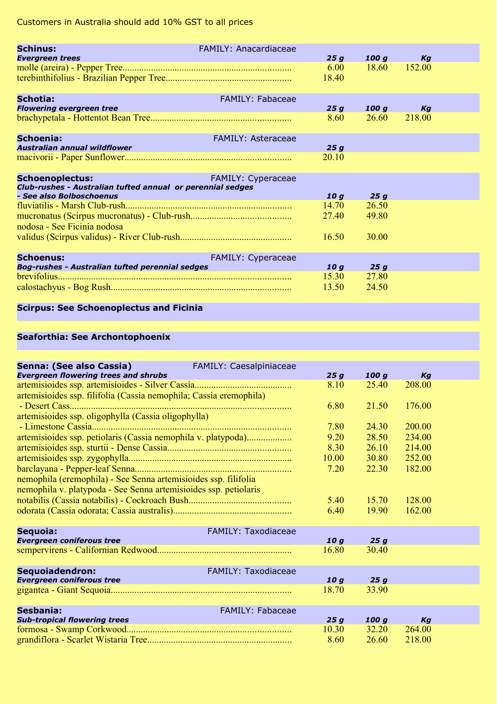| <b>Schinus:</b>                                                                      | <b>FAMILY: Anacardiaceae</b> |       |       |        |  |
|--------------------------------------------------------------------------------------|------------------------------|-------|-------|--------|--|
| <b>Evergreen trees</b>                                                               |                              | 25a   | 100 a | Ka     |  |
|                                                                                      |                              | 6.00  | 18.60 | 152.00 |  |
|                                                                                      |                              | 18.40 |       |        |  |
| Schotia:                                                                             | <b>FAMILY: Fabaceae</b>      |       |       |        |  |
| <b>Flowering evergreen tree</b>                                                      |                              | 25a   | 100 a | Ka     |  |
|                                                                                      |                              | 8.60  | 26.60 | 218.00 |  |
| Schoenia:                                                                            | <b>FAMILY: Asteraceae</b>    |       |       |        |  |
| Australian annual wildflower                                                         |                              | 25q   |       |        |  |
|                                                                                      |                              | 20.10 |       |        |  |
| <b>Schoenoplectus:</b><br>Club-rushes - Australian tufted annual or perennial sedges | <b>FAMILY: Cyperaceae</b>    |       |       |        |  |
| - See also Bolboschoenus                                                             |                              | 10 a  | 25a   |        |  |
|                                                                                      |                              | 14.70 | 26.50 |        |  |
| nodosa - See Ficinia nodosa                                                          |                              | 27.40 | 49.80 |        |  |
|                                                                                      |                              | 16.50 | 30.00 |        |  |
| Schoenus:                                                                            | FAMILY: Cyperaceae           |       |       |        |  |
| <b>Bog-rushes - Australian tufted perennial sedges</b>                               |                              | 10 a  | 25 a  |        |  |
|                                                                                      |                              | 15.30 | 27.80 |        |  |
|                                                                                      |                              | 13.50 | 24.50 |        |  |

## **Scirpus: See Schoenoplectus and Ficinia**

## **Seaforthia: See Archontophoenix**

| Senna: (See also Cassia)<br><b>Evergreen flowering trees and shrubs</b> | FAMILY: Caesalpiniaceae    | 25a   | 100 a | Ka     |  |
|-------------------------------------------------------------------------|----------------------------|-------|-------|--------|--|
|                                                                         |                            | 8.10  | 25.40 | 208.00 |  |
| artemisioides ssp. filifolia (Cassia nemophila; Cassia eremophila)      |                            |       |       |        |  |
|                                                                         |                            | 6.80  | 21.50 | 176.00 |  |
|                                                                         |                            |       |       |        |  |
| artemisioides ssp. oligophylla (Cassia oligophylla)                     |                            | 7.80  |       | 200.00 |  |
|                                                                         |                            |       | 24.30 |        |  |
| artemisioides ssp. petiolaris (Cassia nemophila v. platypoda)           |                            | 9.20  | 28.50 | 234.00 |  |
|                                                                         |                            | 8.30  | 26.10 | 214.00 |  |
|                                                                         |                            | 10.00 | 30.80 | 252.00 |  |
|                                                                         |                            | 7.20  | 22.30 | 182.00 |  |
| nemophila (eremophila) - See Senna artemisioides ssp. filifolia         |                            |       |       |        |  |
| nemophila v. platypoda - See Senna artemisioides ssp. petiolaris        |                            |       |       |        |  |
|                                                                         |                            | 5.40  | 15.70 | 128.00 |  |
|                                                                         |                            | 6.40  | 19.90 | 162.00 |  |
|                                                                         |                            |       |       |        |  |
| Sequoia:                                                                | <b>FAMILY: Taxodiaceae</b> |       |       |        |  |
| <b>Evergreen coniferous tree</b>                                        |                            | 10q   | 25q   |        |  |
|                                                                         |                            | 16.80 | 30.40 |        |  |
|                                                                         |                            |       |       |        |  |
| Sequoiadendron:                                                         | FAMILY: Taxodiaceae        |       |       |        |  |
| <b>Evergreen coniferous tree</b>                                        |                            | 10q   | 25q   |        |  |
|                                                                         |                            | 18.70 | 33.90 |        |  |
|                                                                         |                            |       |       |        |  |
| Sesbania:                                                               | <b>FAMILY: Fabaceae</b>    |       |       |        |  |
| <b>Sub-tropical flowering trees</b>                                     |                            | 25q   | 100q  | Kg     |  |
|                                                                         |                            | 10.30 | 32.20 | 264.00 |  |
|                                                                         |                            | 8.60  | 26.60 | 218.00 |  |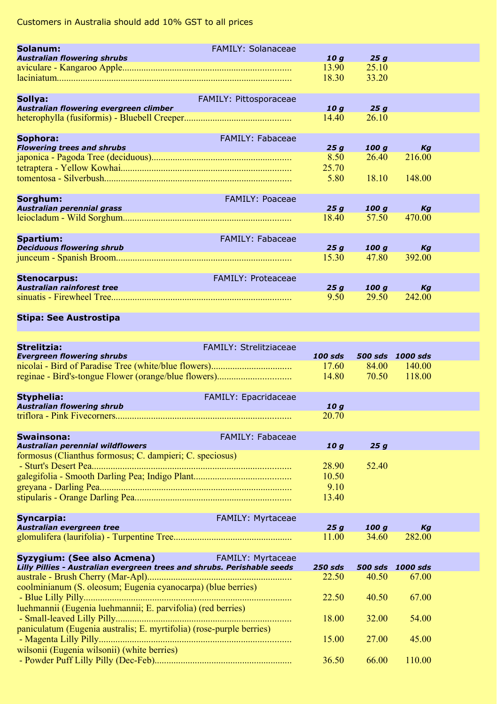| Solanum:<br><b>Australian flowering shrubs</b>           | <b>FAMILY: Solanaceae</b> | 10q            | 25a            |        |  |
|----------------------------------------------------------|---------------------------|----------------|----------------|--------|--|
|                                                          |                           | 13.90<br>18.30 | 25.10<br>33.20 |        |  |
| Sollya:<br>Australian flowering evergreen climber        | FAMILY: Pittosporaceae    | 10q            | 25q            |        |  |
|                                                          |                           | 14.40          | 26.10          |        |  |
| Sophora:<br><b>Flowering trees and shrubs</b>            | <b>FAMILY: Fabaceae</b>   | 25a            | 100 a          | Kg     |  |
|                                                          |                           | 8.50<br>25.70  | 26.40          | 216.00 |  |
|                                                          |                           | 5.80           | 18.10          | 148.00 |  |
| Sorghum:<br><b>Australian perennial grass</b>            | <b>FAMILY: Poaceae</b>    | 25a            | 100 a          | Ka     |  |
|                                                          |                           | 18.40          | 57.50          | 470.00 |  |
| <b>Spartium:</b><br><b>Deciduous flowering shrub</b>     | <b>FAMILY: Fabaceae</b>   | 25q            | 100q           | Kg     |  |
|                                                          |                           | 15.30          | 47.80          | 392.00 |  |
| <b>Stenocarpus:</b><br><b>Australian rainforest tree</b> | <b>FAMILY: Proteaceae</b> | 25q            | 100q           | Kg     |  |
|                                                          |                           | 9.50           | 29.50          | 242.00 |  |
| China: Can Assamentina                                   |                           |                |                |        |  |

#### **Stipa: See Austrostipa**

| Strelitzia:<br><b>Evergreen flowering shrubs</b>                                                                                                                           | <b>FAMILY: Strelitziaceae</b> | $100$ sds<br>17.60<br>14.80     | 84.00<br>70.50 | 500 sds 1000 sds<br>140.00<br>118.00 |  |
|----------------------------------------------------------------------------------------------------------------------------------------------------------------------------|-------------------------------|---------------------------------|----------------|--------------------------------------|--|
| <b>Styphelia:</b><br><b>Australian flowering shrub</b><br>and the control of the control of the control of the control of the control of the control of the control of the | FAMILY: Epacridaceae          | 10 <sub>a</sub>                 |                |                                      |  |
|                                                                                                                                                                            |                               | 20.70                           |                |                                      |  |
| <b>Swainsona:</b><br><b>Australian perennial wildflowers</b>                                                                                                               | FAMILY: Fabaceae              | 10q                             | 25q            |                                      |  |
| formosus (Clianthus formosus; C. dampieri; C. speciosus)                                                                                                                   |                               | 28.90<br>10.50<br>9.10<br>13.40 | 52.40          |                                      |  |
| Syncarpia:<br>Australian evergreen tree                                                                                                                                    | FAMILY: Myrtaceae             | 25q                             | 100q           | Kg                                   |  |
|                                                                                                                                                                            |                               | 11.00                           | 34.60          | 282.00                               |  |
| Syzygium: (See also Acmena)<br>Lilly Pillies - Australian evergreen trees and shrubs. Perishable seeds                                                                     | FAMILY: Myrtaceae             | $250$ sds                       |                | 500 sds 1000 sds                     |  |
| coolminianum (S. oleosum; Eugenia cyanocarpa) (blue berries)                                                                                                               |                               | 22.50                           | 40.50          | 67.00                                |  |
| luehmannii (Eugenia luehmannii; E. parvifolia) (red berries)                                                                                                               |                               | 22.50                           | 40.50          | 67.00                                |  |
| paniculatum (Eugenia australis; E. myrtifolia) (rose-purple berries)                                                                                                       |                               | 18.00                           | 32.00          | 54.00                                |  |
| wilsonii (Eugenia wilsonii) (white berries)                                                                                                                                |                               | 15.00                           | 27.00          | 45.00                                |  |
|                                                                                                                                                                            |                               | 36.50                           | 66.00          | 110.00                               |  |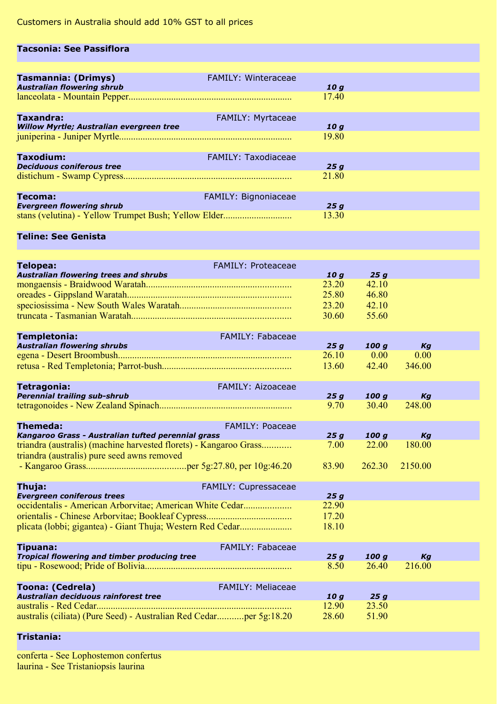#### **Tacsonia: See Passiflora**

| <b>Tasmannia: (Drimys)</b><br><b>Australian flowering shrub</b> | <b>FAMILY: Winteraceae</b> | 10q   |
|-----------------------------------------------------------------|----------------------------|-------|
|                                                                 |                            | 1740  |
| <b>Taxandra:</b>                                                | <b>FAMILY: Myrtaceae</b>   |       |
| <b>Willow Myrtle; Australian evergreen tree</b>                 |                            | 10q   |
|                                                                 |                            | 19.80 |
| <b>Taxodium:</b>                                                | <b>FAMILY: Taxodiaceae</b> |       |
| <b>Deciduous coniferous tree</b>                                |                            | 25q   |
|                                                                 |                            | 21.80 |
| Tecoma:                                                         | FAMILY: Bignoniaceae       |       |
| <b>Evergreen flowering shrub</b>                                |                            | 25q   |
|                                                                 |                            | 13.30 |

#### **Teline: See Genista**

| <b>Telopea:</b><br><b>FAMILY: Proteaceae</b><br><b>Australian flowering trees and shrubs</b>                     | 10 <sub>a</sub> | 25a            |              |  |
|------------------------------------------------------------------------------------------------------------------|-----------------|----------------|--------------|--|
|                                                                                                                  | 23.20           | 42.10          |              |  |
|                                                                                                                  | 25.80           | 46.80          |              |  |
|                                                                                                                  | 23.20           | 42.10          |              |  |
|                                                                                                                  | 30.60           | 55.60          |              |  |
| <b>FAMILY: Fabaceae</b><br><b>Templetonia:</b>                                                                   |                 |                |              |  |
| <b>Australian flowering shrubs</b>                                                                               | 25q<br>26.10    | 100q<br>0.00   | Kg<br>0.00   |  |
|                                                                                                                  | 13.60           | 42.40          | 346.00       |  |
|                                                                                                                  |                 |                |              |  |
| FAMILY: Aizoaceae<br>Tetragonia:                                                                                 |                 |                |              |  |
| <b>Perennial trailing sub-shrub</b>                                                                              | 25q             | 100q           | Kg           |  |
|                                                                                                                  | 9.70            | 30.40          | 248.00       |  |
| Themeda:<br>FAMILY: Poaceae                                                                                      |                 |                |              |  |
| Kangaroo Grass - Australian tufted perennial grass                                                               | 25q             | 100 a          | Kg           |  |
| triandra (australis) (machine harvested florets) - Kangaroo Grass<br>triandra (australis) pure seed awns removed | 7.00            | 22.00          | 180.00       |  |
|                                                                                                                  | 83.90           | 262.30         | 2150.00      |  |
| Thuja:<br>FAMILY: Cupressaceae                                                                                   |                 |                |              |  |
| <b>Evergreen coniferous trees</b>                                                                                | 25q             |                |              |  |
| occidentalis - American Arborvitae; American White Cedar                                                         | 22.90           |                |              |  |
|                                                                                                                  | 17.20           |                |              |  |
|                                                                                                                  | 18.10           |                |              |  |
| FAMILY: Fabaceae<br><b>Tipuana:</b>                                                                              |                 |                |              |  |
| Tropical flowering and timber producing tree                                                                     | 25q<br>8.50     | 100 g<br>26.40 | Kg<br>216.00 |  |
| <b>FAMILY: Meliaceae</b><br><b>Toona: (Cedrela)</b>                                                              |                 |                |              |  |
| Australian deciduous rainforest tree                                                                             | 10q             | 25q            |              |  |
|                                                                                                                  | 12.90           | 23.50          |              |  |
| australis (ciliata) (Pure Seed) - Australian Red Cedarper 5g:18.20                                               | 28.60           | 51.90          |              |  |

#### **Tristania:**

conferta - See Lophostemon confertus laurina - See Tristaniopsis laurina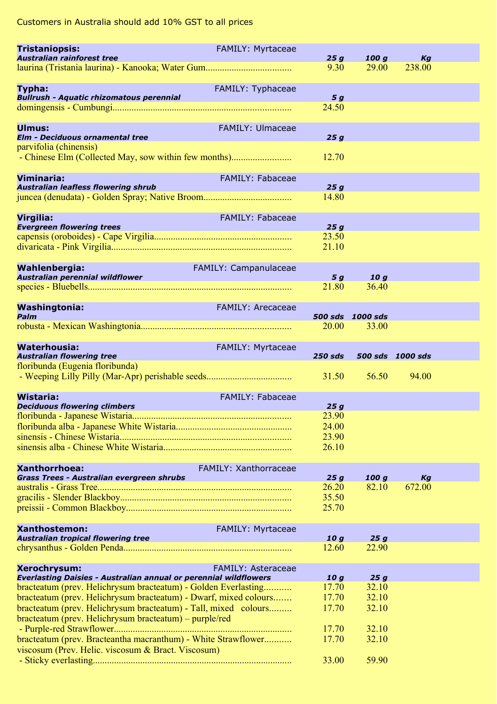| <b>Tristaniopsis:</b>                                                                                                              | FAMILY: Myrtaceae         |                           |                |                  |  |
|------------------------------------------------------------------------------------------------------------------------------------|---------------------------|---------------------------|----------------|------------------|--|
| Australian rainforest tree                                                                                                         |                           | 25g<br>9.30               | 100 g<br>29.00 | Kg<br>238.00     |  |
|                                                                                                                                    |                           |                           |                |                  |  |
| Typha:                                                                                                                             | FAMILY: Typhaceae         |                           |                |                  |  |
| <b>Bullrush - Aquatic rhizomatous perennial</b>                                                                                    |                           | 5 g                       |                |                  |  |
|                                                                                                                                    |                           | 24.50                     |                |                  |  |
| Ulmus:                                                                                                                             | <b>FAMILY: Ulmaceae</b>   |                           |                |                  |  |
| <b>Elm - Deciduous ornamental tree</b>                                                                                             |                           | 25 g                      |                |                  |  |
| parvifolia (chinensis)                                                                                                             |                           |                           |                |                  |  |
|                                                                                                                                    |                           | 12.70                     |                |                  |  |
|                                                                                                                                    |                           |                           |                |                  |  |
| Viminaria:                                                                                                                         | FAMILY: Fabaceae          |                           |                |                  |  |
| <b>Australian leafless flowering shrub</b>                                                                                         |                           | 25g<br>14.80              |                |                  |  |
|                                                                                                                                    |                           |                           |                |                  |  |
| Virgilia:                                                                                                                          | FAMILY: Fabaceae          |                           |                |                  |  |
| <b>Evergreen flowering trees</b>                                                                                                   |                           | 25g                       |                |                  |  |
|                                                                                                                                    |                           | 23.50                     |                |                  |  |
|                                                                                                                                    |                           | 21.10                     |                |                  |  |
| Wahlenbergia:                                                                                                                      | FAMILY: Campanulaceae     |                           |                |                  |  |
| Australian perennial wildflower                                                                                                    |                           | 5 g                       | 10 g           |                  |  |
|                                                                                                                                    |                           | 21.80                     | 36.40          |                  |  |
|                                                                                                                                    |                           |                           |                |                  |  |
| <b>Washingtonia:</b><br>Palm                                                                                                       | <b>FAMILY: Arecaceae</b>  |                           |                |                  |  |
|                                                                                                                                    |                           | 500 sds 1000 sds<br>20.00 | 33.00          |                  |  |
|                                                                                                                                    |                           |                           |                |                  |  |
| <b>Waterhousia:</b>                                                                                                                | FAMILY: Myrtaceae         |                           |                |                  |  |
| <b>Australian flowering tree</b>                                                                                                   |                           | <b>250 sds</b>            |                | 500 sds 1000 sds |  |
| floribunda (Eugenia floribunda)                                                                                                    |                           |                           |                |                  |  |
|                                                                                                                                    |                           |                           |                |                  |  |
|                                                                                                                                    |                           | 31.50                     | 56.50          | 94.00            |  |
|                                                                                                                                    |                           |                           |                |                  |  |
| <b>Wistaria:</b><br><b>Deciduous flowering climbers</b>                                                                            | <b>FAMILY: Fabaceae</b>   | 25g                       |                |                  |  |
|                                                                                                                                    |                           | 23.90                     |                |                  |  |
|                                                                                                                                    |                           | 24.00                     |                |                  |  |
|                                                                                                                                    |                           | 23.90                     |                |                  |  |
|                                                                                                                                    |                           | 26.10                     |                |                  |  |
| Xanthorrhoea:                                                                                                                      |                           |                           |                |                  |  |
| Grass Trees - Australian evergreen shrubs                                                                                          | FAMILY: Xanthorraceae     | 25g                       | 100 g          | Kg               |  |
|                                                                                                                                    |                           | 26.20                     | 82.10          | 672.00           |  |
|                                                                                                                                    |                           | 35.50                     |                |                  |  |
|                                                                                                                                    |                           | 25.70                     |                |                  |  |
|                                                                                                                                    |                           |                           |                |                  |  |
| <b>Xanthostemon:</b><br><b>Australian tropical flowering tree</b>                                                                  | <b>FAMILY: Myrtaceae</b>  | 10 g                      | 25g            |                  |  |
|                                                                                                                                    |                           | 12.60                     | 22.90          |                  |  |
|                                                                                                                                    |                           |                           |                |                  |  |
| Xerochrysum:                                                                                                                       | <b>FAMILY: Asteraceae</b> |                           |                |                  |  |
| <b>Everlasting Daisies - Australian annual or perennial wildflowers</b>                                                            |                           | 10q                       | 25g            |                  |  |
| bracteatum (prev. Helichrysum bracteatum) - Golden Everlasting<br>bracteatum (prev. Helichrysum bracteatum) - Dwarf, mixed colours |                           | 17.70<br>17.70            | 32.10<br>32.10 |                  |  |
| bracteatum (prev. Helichrysum bracteatum) - Tall, mixed colours                                                                    |                           | 17.70                     | 32.10          |                  |  |
| bracteatum (prev. Helichrysum bracteatum) – purple/red                                                                             |                           |                           |                |                  |  |
|                                                                                                                                    |                           | 17.70                     | 32.10          |                  |  |
| bracteatum (prev. Bracteantha macranthum) - White Strawflower                                                                      |                           | 17.70                     | 32.10          |                  |  |
| viscosum (Prev. Helic. viscosum & Bract. Viscosum)                                                                                 |                           | 33.00                     | 59.90          |                  |  |